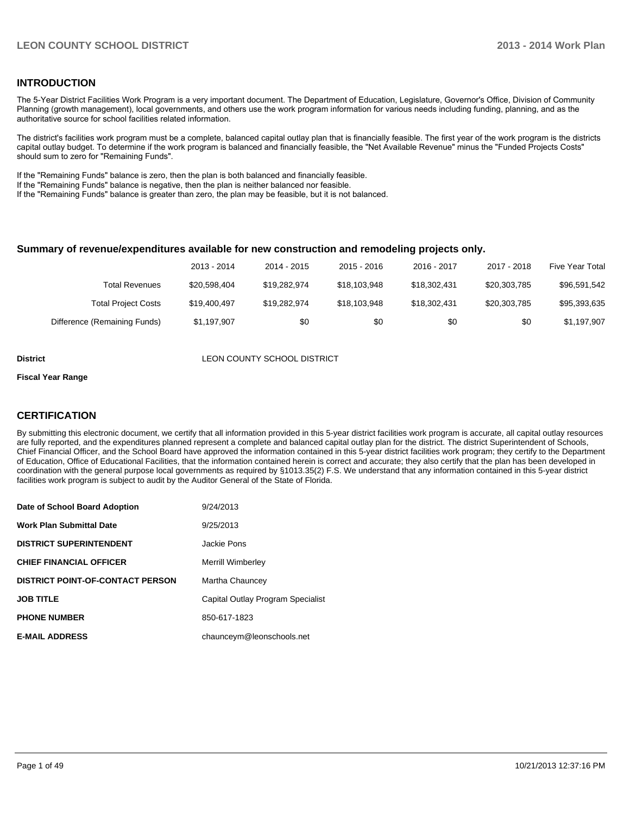#### **INTRODUCTION**

The 5-Year District Facilities Work Program is a very important document. The Department of Education, Legislature, Governor's Office, Division of Community Planning (growth management), local governments, and others use the work program information for various needs including funding, planning, and as the authoritative source for school facilities related information.

The district's facilities work program must be a complete, balanced capital outlay plan that is financially feasible. The first year of the work program is the districts capital outlay budget. To determine if the work program is balanced and financially feasible, the "Net Available Revenue" minus the "Funded Projects Costs" should sum to zero for "Remaining Funds".

If the "Remaining Funds" balance is zero, then the plan is both balanced and financially feasible.

If the "Remaining Funds" balance is negative, then the plan is neither balanced nor feasible.

If the "Remaining Funds" balance is greater than zero, the plan may be feasible, but it is not balanced.

#### **Summary of revenue/expenditures available for new construction and remodeling projects only.**

| Five Year Total | 2017 - 2018  | 2016 - 2017  | 2015 - 2016  | 2014 - 2015  | 2013 - 2014  |                              |
|-----------------|--------------|--------------|--------------|--------------|--------------|------------------------------|
| \$96,591,542    | \$20,303,785 | \$18.302.431 | \$18,103,948 | \$19.282.974 | \$20,598,404 | <b>Total Revenues</b>        |
| \$95,393,635    | \$20,303,785 | \$18,302,431 | \$18,103,948 | \$19,282,974 | \$19,400,497 | <b>Total Project Costs</b>   |
| \$1,197,907     | \$0          | \$0          | \$0          | \$0          | \$1,197,907  | Difference (Remaining Funds) |

**District District LEON COUNTY SCHOOL DISTRICT** 

#### **Fiscal Year Range**

#### **CERTIFICATION**

By submitting this electronic document, we certify that all information provided in this 5-year district facilities work program is accurate, all capital outlay resources are fully reported, and the expenditures planned represent a complete and balanced capital outlay plan for the district. The district Superintendent of Schools, Chief Financial Officer, and the School Board have approved the information contained in this 5-year district facilities work program; they certify to the Department of Education, Office of Educational Facilities, that the information contained herein is correct and accurate; they also certify that the plan has been developed in coordination with the general purpose local governments as required by §1013.35(2) F.S. We understand that any information contained in this 5-year district facilities work program is subject to audit by the Auditor General of the State of Florida.

| Date of School Board Adoption           | 9/24/2013                         |
|-----------------------------------------|-----------------------------------|
| <b>Work Plan Submittal Date</b>         | 9/25/2013                         |
| <b>DISTRICT SUPERINTENDENT</b>          | Jackie Pons                       |
| <b>CHIEF FINANCIAL OFFICER</b>          | <b>Merrill Wimberley</b>          |
| <b>DISTRICT POINT-OF-CONTACT PERSON</b> | Martha Chauncey                   |
| <b>JOB TITLE</b>                        | Capital Outlay Program Specialist |
| <b>PHONE NUMBER</b>                     | 850-617-1823                      |
| <b>E-MAIL ADDRESS</b>                   | chaunceym@leonschools.net         |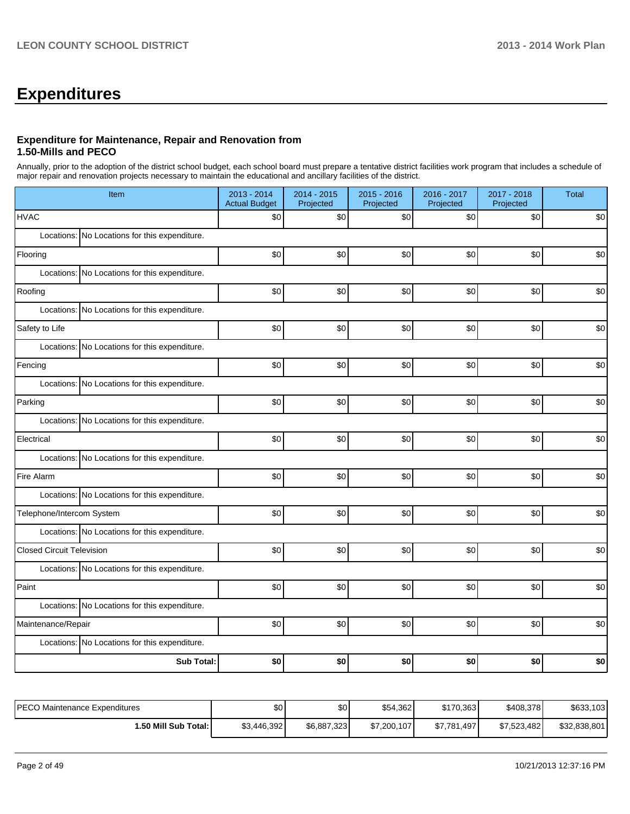## **Expenditures**

#### **Expenditure for Maintenance, Repair and Renovation from 1.50-Mills and PECO**

Annually, prior to the adoption of the district school budget, each school board must prepare a tentative district facilities work program that includes a schedule of major repair and renovation projects necessary to maintain the educational and ancillary facilities of the district.

| Item                                          | 2013 - 2014<br><b>Actual Budget</b> | 2014 - 2015<br>Projected | 2015 - 2016<br>Projected | 2016 - 2017<br>Projected | 2017 - 2018<br>Projected | <b>Total</b> |  |  |
|-----------------------------------------------|-------------------------------------|--------------------------|--------------------------|--------------------------|--------------------------|--------------|--|--|
| <b>HVAC</b>                                   | \$0                                 | \$0                      | \$0                      | \$0                      | \$0                      | \$0          |  |  |
| Locations: No Locations for this expenditure. |                                     |                          |                          |                          |                          |              |  |  |
| Flooring                                      | \$0                                 | \$0                      | \$0                      | \$0                      | \$0                      | \$0          |  |  |
| Locations: No Locations for this expenditure. |                                     |                          |                          |                          |                          |              |  |  |
| Roofing                                       | \$0                                 | \$0                      | \$0                      | \$0                      | \$0                      | \$0          |  |  |
| Locations: No Locations for this expenditure. |                                     |                          |                          |                          |                          |              |  |  |
| Safety to Life                                | \$0                                 | \$0                      | \$0                      | \$0                      | \$0                      | \$0          |  |  |
| Locations: No Locations for this expenditure. |                                     |                          |                          |                          |                          |              |  |  |
| Fencing                                       | \$0                                 | \$0                      | \$0                      | \$0                      | \$0                      | \$0          |  |  |
| Locations: No Locations for this expenditure. |                                     |                          |                          |                          |                          |              |  |  |
| Parking                                       | \$0                                 | \$0                      | \$0                      | \$0                      | \$0                      | \$0          |  |  |
| Locations: No Locations for this expenditure. |                                     |                          |                          |                          |                          |              |  |  |
| Electrical                                    | \$0                                 | \$0                      | \$0                      | \$0                      | \$0                      | \$0          |  |  |
| Locations: No Locations for this expenditure. |                                     |                          |                          |                          |                          |              |  |  |
| Fire Alarm                                    | \$0                                 | \$0                      | \$0                      | \$0                      | \$0                      | \$0          |  |  |
| Locations: No Locations for this expenditure. |                                     |                          |                          |                          |                          |              |  |  |
| Telephone/Intercom System                     | \$0                                 | \$0                      | \$0                      | \$0                      | \$0                      | \$0          |  |  |
| Locations: No Locations for this expenditure. |                                     |                          |                          |                          |                          |              |  |  |
| <b>Closed Circuit Television</b>              | \$0                                 | \$0                      | \$0                      | \$0                      | \$0                      | \$0          |  |  |
| Locations: No Locations for this expenditure. |                                     |                          |                          |                          |                          |              |  |  |
| Paint                                         | \$0                                 | \$0                      | \$0                      | \$0                      | \$0                      | \$0          |  |  |
| Locations: No Locations for this expenditure. |                                     |                          |                          |                          |                          |              |  |  |
| Maintenance/Repair                            | \$0                                 | \$0                      | \$0                      | \$0                      | \$0                      | \$0          |  |  |
| Locations: No Locations for this expenditure. |                                     |                          |                          |                          |                          |              |  |  |
| <b>Sub Total:</b>                             | \$0                                 | \$0                      | \$0                      | \$0                      | \$0                      | \$0          |  |  |

| PECO Maintenance Expenditures | \$0         | \$0         | \$54,362    | \$170,363   | \$408,378   | \$633,103    |
|-------------------------------|-------------|-------------|-------------|-------------|-------------|--------------|
| 1.50 Mill Sub Total: I        | \$3,446,392 | \$6,887,323 | \$7,200,107 | \$7,781,497 | \$7,523,482 | \$32,838,801 |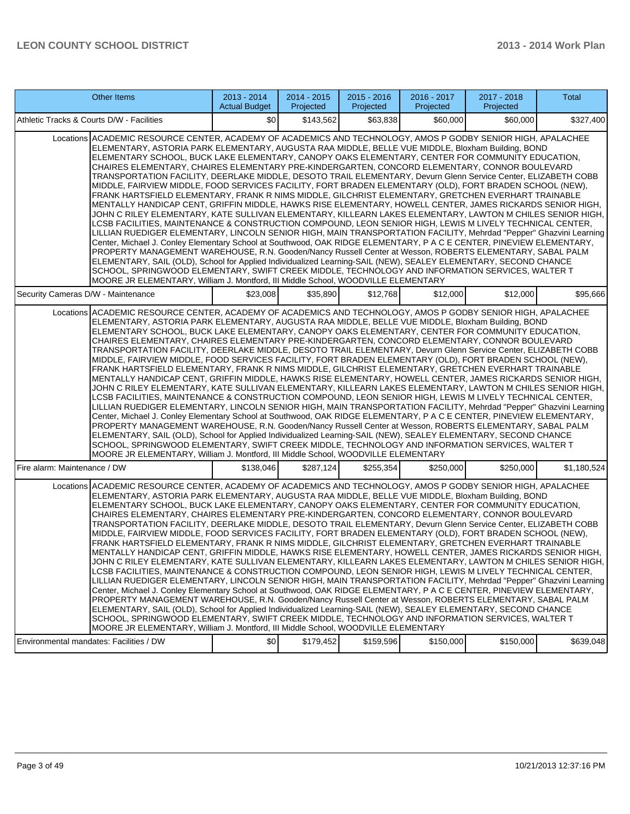| <b>Other Items</b>                                                                                                                                                                                                                                                                                                                                                                                                                                                                                                                                                                                                                                                                                                                                                                                                                                                                                                                                                                                                                                                                                                                                                                                                                                                                                                                                                                                                                                                                                                                                                                                                                                                                                                                                                                                                   | 2013 - 2014<br><b>Actual Budget</b> | 2014 - 2015<br>Projected | $2015 - 2016$<br>Projected | 2016 - 2017<br>Projected | 2017 - 2018<br>Projected | Total       |
|----------------------------------------------------------------------------------------------------------------------------------------------------------------------------------------------------------------------------------------------------------------------------------------------------------------------------------------------------------------------------------------------------------------------------------------------------------------------------------------------------------------------------------------------------------------------------------------------------------------------------------------------------------------------------------------------------------------------------------------------------------------------------------------------------------------------------------------------------------------------------------------------------------------------------------------------------------------------------------------------------------------------------------------------------------------------------------------------------------------------------------------------------------------------------------------------------------------------------------------------------------------------------------------------------------------------------------------------------------------------------------------------------------------------------------------------------------------------------------------------------------------------------------------------------------------------------------------------------------------------------------------------------------------------------------------------------------------------------------------------------------------------------------------------------------------------|-------------------------------------|--------------------------|----------------------------|--------------------------|--------------------------|-------------|
| Athletic Tracks & Courts D/W - Facilities                                                                                                                                                                                                                                                                                                                                                                                                                                                                                                                                                                                                                                                                                                                                                                                                                                                                                                                                                                                                                                                                                                                                                                                                                                                                                                                                                                                                                                                                                                                                                                                                                                                                                                                                                                            | \$0                                 | \$143,562                | \$63,838                   | \$60,000                 | \$60,000                 | \$327,400   |
| Locations ACADEMIC RESOURCE CENTER, ACADEMY OF ACADEMICS AND TECHNOLOGY, AMOS P GODBY SENIOR HIGH, APALACHEE<br>ELEMENTARY, ASTORIA PARK ELEMENTARY, AUGUSTA RAA MIDDLE, BELLE VUE MIDDLE, Bloxham Building, BOND<br>ELEMENTARY SCHOOL, BUCK LAKE ELEMENTARY, CANOPY OAKS ELEMENTARY, CENTER FOR COMMUNITY EDUCATION,<br>CHAIRES ELEMENTARY, CHAIRES ELEMENTARY PRE-KINDERGARTEN, CONCORD ELEMENTARY, CONNOR BOULEVARD<br>TRANSPORTATION FACILITY, DEERLAKE MIDDLE, DESOTO TRAIL ELEMENTARY, Devurn Glenn Service Center, ELIZABETH COBB<br>MIDDLE, FAIRVIEW MIDDLE, FOOD SERVICES FACILITY, FORT BRADEN ELEMENTARY (OLD), FORT BRADEN SCHOOL (NEW),<br>FRANK HARTSFIELD ELEMENTARY, FRANK R NIMS MIDDLE, GILCHRIST ELEMENTARY, GRETCHEN EVERHART TRAINABLE<br>MENTALLY HANDICAP CENT, GRIFFIN MIDDLE, HAWKS RISE ELEMENTARY, HOWELL CENTER, JAMES RICKARDS SENIOR HIGH,<br>JOHN C RILEY ELEMENTARY, KATE SULLIVAN ELEMENTARY, KILLEARN LAKES ELEMENTARY, LAWTON M CHILES SENIOR HIGH,<br>LCSB FACILITIES, MAINTENANCE & CONSTRUCTION COMPOUND, LEON SENIOR HIGH, LEWIS M LIVELY TECHNICAL CENTER,<br>LILLIAN RUEDIGER ELEMENTARY, LINCOLN SENIOR HIGH, MAIN TRANSPORTATION FACILITY, Mehrdad "Pepper" Ghazvini Learning<br>Center, Michael J. Conley Elementary School at Southwood, OAK RIDGE ELEMENTARY, P A C E CENTER, PINEVIEW ELEMENTARY,<br>PROPERTY MANAGEMENT WAREHOUSE, R.N. Gooden/Nancy Russell Center at Wesson, ROBERTS ELEMENTARY, SABAL PALM<br>ELEMENTARY, SAIL (OLD), School for Applied Individualized Learning-SAIL (NEW), SEALEY ELEMENTARY, SECOND CHANCE<br>SCHOOL, SPRINGWOOD ELEMENTARY, SWIFT CREEK MIDDLE, TECHNOLOGY AND INFORMATION SERVICES, WALTER T<br>MOORE JR ELEMENTARY, William J. Montford, III Middle School, WOODVILLE ELEMENTARY                                            |                                     |                          |                            |                          |                          |             |
| Security Cameras D/W - Maintenance                                                                                                                                                                                                                                                                                                                                                                                                                                                                                                                                                                                                                                                                                                                                                                                                                                                                                                                                                                                                                                                                                                                                                                                                                                                                                                                                                                                                                                                                                                                                                                                                                                                                                                                                                                                   | \$23,008                            | \$35,890                 | \$12,768                   | \$12,000                 | \$12,000                 | \$95,666    |
| Locations ACADEMIC RESOURCE CENTER, ACADEMY OF ACADEMICS AND TECHNOLOGY, AMOS P GODBY SENIOR HIGH, APALACHEE<br>ELEMENTARY, ASTORIA PARK ELEMENTARY, AUGUSTA RAA MIDDLE, BELLE VUE MIDDLE, Bloxham Building, BOND<br>ELEMENTARY SCHOOL, BUCK LAKE ELEMENTARY, CANOPY OAKS ELEMENTARY, CENTER FOR COMMUNITY EDUCATION,<br>CHAIRES ELEMENTARY, CHAIRES ELEMENTARY PRE-KINDERGARTEN, CONCORD ELEMENTARY, CONNOR BOULEVARD<br>TRANSPORTATION FACILITY, DEERLAKE MIDDLE, DESOTO TRAIL ELEMENTARY, Devurn Glenn Service Center, ELIZABETH COBB<br>MIDDLE, FAIRVIEW MIDDLE, FOOD SERVICES FACILITY, FORT BRADEN ELEMENTARY (OLD), FORT BRADEN SCHOOL (NEW),<br>FRANK HARTSFIELD ELEMENTARY, FRANK R NIMS MIDDLE, GILCHRIST ELEMENTARY, GRETCHEN EVERHART TRAINABLE<br>MENTALLY HANDICAP CENT, GRIFFIN MIDDLE, HAWKS RISE ELEMENTARY, HOWELL CENTER, JAMES RICKARDS SENIOR HIGH,<br>JOHN C RILEY ELEMENTARY, KATE SULLIVAN ELEMENTARY, KILLEARN LAKES ELEMENTARY, LAWTON M CHILES SENIOR HIGH,<br>LCSB FACILITIES, MAINTENANCE & CONSTRUCTION COMPOUND, LEON SENIOR HIGH, LEWIS M LIVELY TECHNICAL CENTER,<br>LILLIAN RUEDIGER ELEMENTARY, LINCOLN SENIOR HIGH, MAIN TRANSPORTATION FACILITY, Mehrdad "Pepper" Ghazvini Learning<br>Center, Michael J. Conley Elementary School at Southwood, OAK RIDGE ELEMENTARY, P A C E CENTER, PINEVIEW ELEMENTARY,<br>PROPERTY MANAGEMENT WAREHOUSE, R.N. Gooden/Nancy Russell Center at Wesson, ROBERTS ELEMENTARY, SABAL PALM<br>ELEMENTARY, SAIL (OLD), School for Applied Individualized Learning-SAIL (NEW), SEALEY ELEMENTARY, SECOND CHANCE<br>SCHOOL, SPRINGWOOD ELEMENTARY, SWIFT CREEK MIDDLE, TECHNOLOGY AND INFORMATION SERVICES, WALTER T<br>MOORE JR ELEMENTARY, William J. Montford, III Middle School, WOODVILLE ELEMENTARY                                            |                                     |                          |                            |                          |                          |             |
| Fire alarm: Maintenance / DW                                                                                                                                                                                                                                                                                                                                                                                                                                                                                                                                                                                                                                                                                                                                                                                                                                                                                                                                                                                                                                                                                                                                                                                                                                                                                                                                                                                                                                                                                                                                                                                                                                                                                                                                                                                         | \$138,046                           | \$287,124                | \$255,354                  | \$250,000                | \$250,000                | \$1,180,524 |
| Locations ACADEMIC RESOURCE CENTER, ACADEMY OF ACADEMICS AND TECHNOLOGY, AMOS P GODBY SENIOR HIGH, APALACHEE<br>ELEMENTARY, ASTORIA PARK ELEMENTARY, AUGUSTA RAA MIDDLE, BELLE VUE MIDDLE, Bloxham Building, BOND<br>ELEMENTARY SCHOOL, BUCK LAKE ELEMENTARY, CANOPY OAKS ELEMENTARY, CENTER FOR COMMUNITY EDUCATION,<br>CHAIRES ELEMENTARY, CHAIRES ELEMENTARY PRE-KINDERGARTEN, CONCORD ELEMENTARY, CONNOR BOULEVARD<br>TRANSPORTATION FACILITY, DEERLAKE MIDDLE, DESOTO TRAIL ELEMENTARY, Devurn Glenn Service Center, ELIZABETH COBB<br>MIDDLE, FAIRVIEW MIDDLE, FOOD SERVICES FACILITY, FORT BRADEN ELEMENTARY (OLD), FORT BRADEN SCHOOL (NEW),<br>FRANK HARTSFIELD ELEMENTARY, FRANK R NIMS MIDDLE, GILCHRIST ELEMENTARY, GRETCHEN EVERHART TRAINABLE<br>MENTALLY HANDICAP CENT, GRIFFIN MIDDLE, HAWKS RISE ELEMENTARY, HOWELL CENTER, JAMES RICKARDS SENIOR HIGH,<br>JOHN C RILEY ELEMENTARY, KATE SULLIVAN ELEMENTARY, KILLEARN LAKES ELEMENTARY, LAWTON M CHILES SENIOR HIGH,<br>LCSB FACILITIES. MAINTENANCE & CONSTRUCTION COMPOUND. LEON SENIOR HIGH. LEWIS M LIVELY TECHNICAL CENTER.<br>LILLIAN RUEDIGER ELEMENTARY, LINCOLN SENIOR HIGH, MAIN TRANSPORTATION FACILITY, Mehrdad "Pepper" Ghazvini Learning<br>Center, Michael J. Conley Elementary School at Southwood, OAK RIDGE ELEMENTARY, P A C E CENTER, PINEVIEW ELEMENTARY,<br>PROPERTY MANAGEMENT WAREHOUSE, R.N. Gooden/Nancy Russell Center at Wesson, ROBERTS ELEMENTARY, SABAL PALM<br>ELEMENTARY, SAIL (OLD), School for Applied Individualized Learning-SAIL (NEW), SEALEY ELEMENTARY, SECOND CHANCE<br>SCHOOL, SPRINGWOOD ELEMENTARY, SWIFT CREEK MIDDLE, TECHNOLOGY AND INFORMATION SERVICES, WALTER T<br>MOORE JR ELEMENTARY, William J. Montford, III Middle School, WOODVILLE ELEMENTARY<br>Environmental mandates: Facilities / DW | \$0                                 | \$179,452                | \$159,596                  | \$150,000                | \$150,000                | \$639,048   |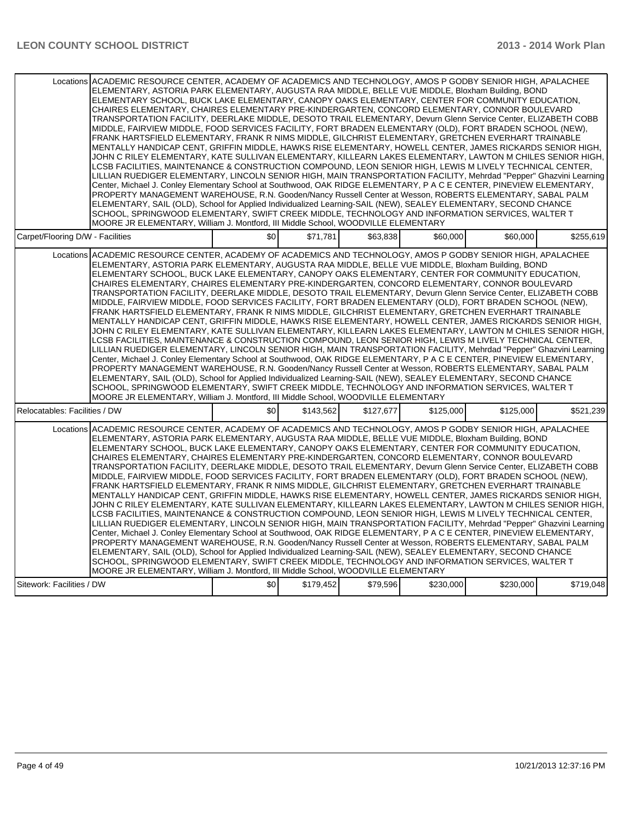| Locations ACADEMIC RESOURCE CENTER, ACADEMY OF ACADEMICS AND TECHNOLOGY, AMOS P GODBY SENIOR HIGH, APALACHEE<br>ELEMENTARY, ASTORIA PARK ELEMENTARY, AUGUSTA RAA MIDDLE, BELLE VUE MIDDLE, Bloxham Building, BOND<br>ELEMENTARY SCHOOL, BUCK LAKE ELEMENTARY, CANOPY OAKS ELEMENTARY, CENTER FOR COMMUNITY EDUCATION,<br>CHAIRES ELEMENTARY, CHAIRES ELEMENTARY PRE-KINDERGARTEN, CONCORD ELEMENTARY, CONNOR BOULEVARD<br>TRANSPORTATION FACILITY, DEERLAKE MIDDLE, DESOTO TRAIL ELEMENTARY, Devurn Glenn Service Center, ELIZABETH COBB<br>MIDDLE, FAIRVIEW MIDDLE, FOOD SERVICES FACILITY, FORT BRADEN ELEMENTARY (OLD), FORT BRADEN SCHOOL (NEW),<br>FRANK HARTSFIELD ELEMENTARY, FRANK R NIMS MIDDLE, GILCHRIST ELEMENTARY, GRETCHEN EVERHART TRAINABLE<br>MENTALLY HANDICAP CENT, GRIFFIN MIDDLE, HAWKS RISE ELEMENTARY, HOWELL CENTER, JAMES RICKARDS SENIOR HIGH,<br>JOHN C RILEY ELEMENTARY, KATE SULLIVAN ELEMENTARY, KILLEARN LAKES ELEMENTARY, LAWTON M CHILES SENIOR HIGH,<br>LCSB FACILITIES, MAINTENANCE & CONSTRUCTION COMPOUND, LEON SENIOR HIGH, LEWIS M LIVELY TECHNICAL CENTER,<br>LILLIAN RUEDIGER ELEMENTARY, LINCOLN SENIOR HIGH, MAIN TRANSPORTATION FACILITY, Mehrdad "Pepper" Ghazvini Learning<br>Center, Michael J. Conley Elementary School at Southwood, OAK RIDGE ELEMENTARY, P A C E CENTER, PINEVIEW ELEMENTARY,<br>PROPERTY MANAGEMENT WAREHOUSE, R.N. Gooden/Nancy Russell Center at Wesson, ROBERTS ELEMENTARY, SABAL PALM<br>ELEMENTARY, SAIL (OLD), School for Applied Individualized Learning-SAIL (NEW), SEALEY ELEMENTARY, SECOND CHANCE<br>SCHOOL, SPRINGWOOD ELEMENTARY, SWIFT CREEK MIDDLE, TECHNOLOGY AND INFORMATION SERVICES, WALTER T<br>MOORE JR ELEMENTARY, William J. Montford, III Middle School, WOODVILLE ELEMENTARY |     |           |           |           |           |           |
|---------------------------------------------------------------------------------------------------------------------------------------------------------------------------------------------------------------------------------------------------------------------------------------------------------------------------------------------------------------------------------------------------------------------------------------------------------------------------------------------------------------------------------------------------------------------------------------------------------------------------------------------------------------------------------------------------------------------------------------------------------------------------------------------------------------------------------------------------------------------------------------------------------------------------------------------------------------------------------------------------------------------------------------------------------------------------------------------------------------------------------------------------------------------------------------------------------------------------------------------------------------------------------------------------------------------------------------------------------------------------------------------------------------------------------------------------------------------------------------------------------------------------------------------------------------------------------------------------------------------------------------------------------------------------------------------------------------------------------------------------------------------------|-----|-----------|-----------|-----------|-----------|-----------|
| Carpet/Flooring D/W - Facilities                                                                                                                                                                                                                                                                                                                                                                                                                                                                                                                                                                                                                                                                                                                                                                                                                                                                                                                                                                                                                                                                                                                                                                                                                                                                                                                                                                                                                                                                                                                                                                                                                                                                                                                                          | \$0 | \$71.781  | \$63.838  | \$60,000  | \$60,000  | \$255.619 |
| Locations ACADEMIC RESOURCE CENTER. ACADEMY OF ACADEMICS AND TECHNOLOGY. AMOS P GODBY SENIOR HIGH. APALACHEE<br>ELEMENTARY, ASTORIA PARK ELEMENTARY, AUGUSTA RAA MIDDLE, BELLE VUE MIDDLE, Bloxham Building, BOND<br>ELEMENTARY SCHOOL, BUCK LAKE ELEMENTARY, CANOPY OAKS ELEMENTARY, CENTER FOR COMMUNITY EDUCATION,<br>CHAIRES ELEMENTARY. CHAIRES ELEMENTARY PRE-KINDERGARTEN. CONCORD ELEMENTARY. CONNOR BOULEVARD<br>TRANSPORTATION FACILITY, DEERLAKE MIDDLE, DESOTO TRAIL ELEMENTARY, Devurn Glenn Service Center, ELIZABETH COBB<br>MIDDLE, FAIRVIEW MIDDLE, FOOD SERVICES FACILITY, FORT BRADEN ELEMENTARY (OLD), FORT BRADEN SCHOOL (NEW).<br>FRANK HARTSFIELD ELEMENTARY, FRANK R NIMS MIDDLE, GILCHRIST ELEMENTARY, GRETCHEN EVERHART TRAINABLE<br>MENTALLY HANDICAP CENT. GRIFFIN MIDDLE. HAWKS RISE ELEMENTARY. HOWELL CENTER. JAMES RICKARDS SENIOR HIGH.<br>JOHN C RILEY ELEMENTARY, KATE SULLIVAN ELEMENTARY, KILLEARN LAKES ELEMENTARY, LAWTON M CHILES SENIOR HIGH,<br>LCSB FACILITIES, MAINTENANCE & CONSTRUCTION COMPOUND, LEON SENIOR HIGH, LEWIS M LIVELY TECHNICAL CENTER,<br>LILLIAN RUEDIGER ELEMENTARY, LINCOLN SENIOR HIGH, MAIN TRANSPORTATION FACILITY, Mehrdad "Pepper" Ghazvini Learning<br>Center, Michael J. Conley Elementary School at Southwood, OAK RIDGE ELEMENTARY, P A C E CENTER, PINEVIEW ELEMENTARY,<br>PROPERTY MANAGEMENT WAREHOUSE, R.N. Gooden/Nancy Russell Center at Wesson, ROBERTS ELEMENTARY, SABAL PALM<br>ELEMENTARY, SAIL (OLD), School for Applied Individualized Learning-SAIL (NEW), SEALEY ELEMENTARY, SECOND CHANCE<br>SCHOOL, SPRINGWOOD ELEMENTARY, SWIFT CREEK MIDDLE, TECHNOLOGY AND INFORMATION SERVICES, WALTER T<br>MOORE JR ELEMENTARY, William J. Montford, III Middle School, WOODVILLE ELEMENTARY |     |           |           |           |           |           |
| Relocatables: Facilities / DW                                                                                                                                                                                                                                                                                                                                                                                                                                                                                                                                                                                                                                                                                                                                                                                                                                                                                                                                                                                                                                                                                                                                                                                                                                                                                                                                                                                                                                                                                                                                                                                                                                                                                                                                             | \$0 | \$143,562 | \$127,677 | \$125,000 | \$125,000 | \$521,239 |
| Locations ACADEMIC RESOURCE CENTER, ACADEMY OF ACADEMICS AND TECHNOLOGY, AMOS P GODBY SENIOR HIGH, APALACHEE<br>ELEMENTARY, ASTORIA PARK ELEMENTARY, AUGUSTA RAA MIDDLE, BELLE VUE MIDDLE, Bloxham Building, BOND<br>ELEMENTARY SCHOOL, BUCK LAKE ELEMENTARY, CANOPY OAKS ELEMENTARY, CENTER FOR COMMUNITY EDUCATION,<br>CHAIRES ELEMENTARY, CHAIRES ELEMENTARY PRE-KINDERGARTEN, CONCORD ELEMENTARY, CONNOR BOULEVARD<br>TRANSPORTATION FACILITY, DEERLAKE MIDDLE, DESOTO TRAIL ELEMENTARY, Devurn Glenn Service Center, ELIZABETH COBB<br>MIDDLE, FAIRVIEW MIDDLE, FOOD SERVICES FACILITY, FORT BRADEN ELEMENTARY (OLD), FORT BRADEN SCHOOL (NEW),<br>FRANK HARTSFIELD ELEMENTARY, FRANK R NIMS MIDDLE, GILCHRIST ELEMENTARY, GRETCHEN EVERHART TRAINABLE<br>MENTALLY HANDICAP CENT, GRIFFIN MIDDLE, HAWKS RISE ELEMENTARY, HOWELL CENTER, JAMES RICKARDS SENIOR HIGH,<br>JOHN C RILEY ELEMENTARY, KATE SULLIVAN ELEMENTARY, KILLEARN LAKES ELEMENTARY, LAWTON M CHILES SENIOR HIGH,<br>LCSB FACILITIES, MAINTENANCE & CONSTRUCTION COMPOUND, LEON SENIOR HIGH, LEWIS M LIVELY TECHNICAL CENTER,<br>LILLIAN RUEDIGER ELEMENTARY, LINCOLN SENIOR HIGH, MAIN TRANSPORTATION FACILITY, Mehrdad "Pepper" Ghazvini Learning<br>Center, Michael J. Conley Elementary School at Southwood, OAK RIDGE ELEMENTARY, P A C E CENTER, PINEVIEW ELEMENTARY,<br>PROPERTY MANAGEMENT WAREHOUSE, R.N. Gooden/Nancy Russell Center at Wesson, ROBERTS ELEMENTARY, SABAL PALM<br>ELEMENTARY, SAIL (OLD), School for Applied Individualized Learning-SAIL (NEW), SEALEY ELEMENTARY, SECOND CHANCE<br>SCHOOL, SPRINGWOOD ELEMENTARY, SWIFT CREEK MIDDLE, TECHNOLOGY AND INFORMATION SERVICES, WALTER T<br>MOORE JR ELEMENTARY, William J. Montford, III Middle School, WOODVILLE ELEMENTARY |     |           |           |           |           |           |
| Sitework: Facilities / DW                                                                                                                                                                                                                                                                                                                                                                                                                                                                                                                                                                                                                                                                                                                                                                                                                                                                                                                                                                                                                                                                                                                                                                                                                                                                                                                                                                                                                                                                                                                                                                                                                                                                                                                                                 | \$0 | \$179,452 | \$79,596  | \$230,000 | \$230,000 | \$719,048 |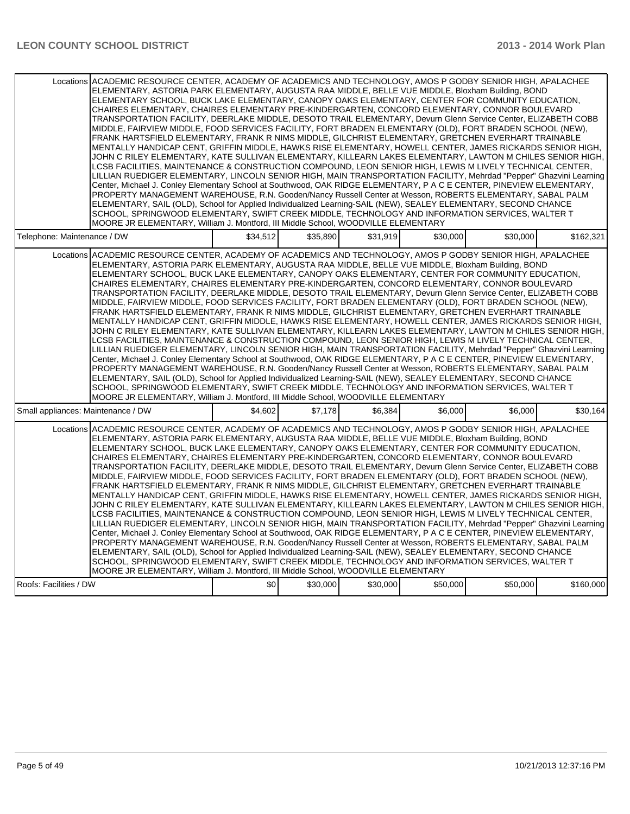| Locations ACADEMIC RESOURCE CENTER, ACADEMY OF ACADEMICS AND TECHNOLOGY, AMOS P GODBY SENIOR HIGH, APALACHEE<br>ELEMENTARY, ASTORIA PARK ELEMENTARY, AUGUSTA RAA MIDDLE, BELLE VUE MIDDLE, Bloxham Building, BOND<br>ELEMENTARY SCHOOL, BUCK LAKE ELEMENTARY, CANOPY OAKS ELEMENTARY, CENTER FOR COMMUNITY EDUCATION,<br>CHAIRES ELEMENTARY, CHAIRES ELEMENTARY PRE-KINDERGARTEN, CONCORD ELEMENTARY, CONNOR BOULEVARD<br>TRANSPORTATION FACILITY, DEERLAKE MIDDLE, DESOTO TRAIL ELEMENTARY, Devurn Glenn Service Center, ELIZABETH COBB<br>MIDDLE, FAIRVIEW MIDDLE, FOOD SERVICES FACILITY, FORT BRADEN ELEMENTARY (OLD), FORT BRADEN SCHOOL (NEW),<br>FRANK HARTSFIELD ELEMENTARY, FRANK R NIMS MIDDLE, GILCHRIST ELEMENTARY, GRETCHEN EVERHART TRAINABLE<br>MENTALLY HANDICAP CENT, GRIFFIN MIDDLE, HAWKS RISE ELEMENTARY, HOWELL CENTER, JAMES RICKARDS SENIOR HIGH,<br>JOHN C RILEY ELEMENTARY, KATE SULLIVAN ELEMENTARY, KILLEARN LAKES ELEMENTARY, LAWTON M CHILES SENIOR HIGH,<br>LCSB FACILITIES. MAINTENANCE & CONSTRUCTION COMPOUND. LEON SENIOR HIGH. LEWIS M LIVELY TECHNICAL CENTER.<br>LILLIAN RUEDIGER ELEMENTARY, LINCOLN SENIOR HIGH, MAIN TRANSPORTATION FACILITY, Mehrdad "Pepper" Ghazvini Learning<br>Center, Michael J. Conley Elementary School at Southwood, OAK RIDGE ELEMENTARY, P A C E CENTER, PINEVIEW ELEMENTARY,<br>PROPERTY MANAGEMENT WAREHOUSE, R.N. Gooden/Nancy Russell Center at Wesson, ROBERTS ELEMENTARY, SABAL PALM<br>ELEMENTARY, SAIL (OLD), School for Applied Individualized Learning-SAIL (NEW), SEALEY ELEMENTARY, SECOND CHANCE<br>SCHOOL, SPRINGWOOD ELEMENTARY, SWIFT CREEK MIDDLE, TECHNOLOGY AND INFORMATION SERVICES, WALTER T<br>MOORE JR ELEMENTARY, William J. Montford, III Middle School, WOODVILLE ELEMENTARY |          |          |          |          |          |           |
|---------------------------------------------------------------------------------------------------------------------------------------------------------------------------------------------------------------------------------------------------------------------------------------------------------------------------------------------------------------------------------------------------------------------------------------------------------------------------------------------------------------------------------------------------------------------------------------------------------------------------------------------------------------------------------------------------------------------------------------------------------------------------------------------------------------------------------------------------------------------------------------------------------------------------------------------------------------------------------------------------------------------------------------------------------------------------------------------------------------------------------------------------------------------------------------------------------------------------------------------------------------------------------------------------------------------------------------------------------------------------------------------------------------------------------------------------------------------------------------------------------------------------------------------------------------------------------------------------------------------------------------------------------------------------------------------------------------------------------------------------------------------------|----------|----------|----------|----------|----------|-----------|
| Telephone: Maintenance / DW                                                                                                                                                                                                                                                                                                                                                                                                                                                                                                                                                                                                                                                                                                                                                                                                                                                                                                                                                                                                                                                                                                                                                                                                                                                                                                                                                                                                                                                                                                                                                                                                                                                                                                                                               | \$34.512 | \$35.890 | \$31.919 | \$30.000 | \$30,000 | \$162,321 |
| Locations ACADEMIC RESOURCE CENTER, ACADEMY OF ACADEMICS AND TECHNOLOGY, AMOS P GODBY SENIOR HIGH, APALACHEE<br>ELEMENTARY, ASTORIA PARK ELEMENTARY, AUGUSTA RAA MIDDLE, BELLE VUE MIDDLE, Bloxham Building, BOND<br>ELEMENTARY SCHOOL, BUCK LAKE ELEMENTARY, CANOPY OAKS ELEMENTARY, CENTER FOR COMMUNITY EDUCATION,<br>CHAIRES ELEMENTARY, CHAIRES ELEMENTARY PRE-KINDERGARTEN, CONCORD ELEMENTARY, CONNOR BOULEVARD<br>TRANSPORTATION FACILITY, DEERLAKE MIDDLE, DESOTO TRAIL ELEMENTARY, Devurn Glenn Service Center, ELIZABETH COBB<br>MIDDLE, FAIRVIEW MIDDLE, FOOD SERVICES FACILITY, FORT BRADEN ELEMENTARY (OLD), FORT BRADEN SCHOOL (NEW),<br>FRANK HARTSFIELD ELEMENTARY, FRANK R NIMS MIDDLE, GILCHRIST ELEMENTARY, GRETCHEN EVERHART TRAINABLE<br>MENTALLY HANDICAP CENT, GRIFFIN MIDDLE, HAWKS RISE ELEMENTARY, HOWELL CENTER, JAMES RICKARDS SENIOR HIGH,<br>JOHN C RILEY ELEMENTARY, KATE SULLIVAN ELEMENTARY, KILLEARN LAKES ELEMENTARY, LAWTON M CHILES SENIOR HIGH,<br>LCSB FACILITIES, MAINTENANCE & CONSTRUCTION COMPOUND, LEON SENIOR HIGH, LEWIS M LIVELY TECHNICAL CENTER,<br>LILLIAN RUEDIGER ELEMENTARY, LINCOLN SENIOR HIGH, MAIN TRANSPORTATION FACILITY, Mehrdad "Pepper" Ghazvini Learning<br>Center, Michael J. Conley Elementary School at Southwood, OAK RIDGE ELEMENTARY, P A C E CENTER, PINEVIEW ELEMENTARY,<br>PROPERTY MANAGEMENT WAREHOUSE, R.N. Gooden/Nancy Russell Center at Wesson, ROBERTS ELEMENTARY, SABAL PALM<br>ELEMENTARY, SAIL (OLD), School for Applied Individualized Learning-SAIL (NEW), SEALEY ELEMENTARY, SECOND CHANCE<br>SCHOOL, SPRINGWOOD ELEMENTARY, SWIFT CREEK MIDDLE. TECHNOLOGY AND INFORMATION SERVICES, WALTER T<br>MOORE JR ELEMENTARY, William J. Montford, III Middle School, WOODVILLE ELEMENTARY |          |          |          |          |          |           |
| Small appliances: Maintenance / DW                                                                                                                                                                                                                                                                                                                                                                                                                                                                                                                                                                                                                                                                                                                                                                                                                                                                                                                                                                                                                                                                                                                                                                                                                                                                                                                                                                                                                                                                                                                                                                                                                                                                                                                                        | \$4,602  | \$7,178  | \$6,384  | \$6,000  | \$6,000  | \$30,164  |
| Locations ACADEMIC RESOURCE CENTER. ACADEMY OF ACADEMICS AND TECHNOLOGY. AMOS P GODBY SENIOR HIGH. APALACHEE<br>ELEMENTARY, ASTORIA PARK ELEMENTARY, AUGUSTA RAA MIDDLE, BELLE VUE MIDDLE, Bloxham Building, BOND<br>ELEMENTARY SCHOOL, BUCK LAKE ELEMENTARY, CANOPY OAKS ELEMENTARY, CENTER FOR COMMUNITY EDUCATION,<br>CHAIRES ELEMENTARY, CHAIRES ELEMENTARY PRE-KINDERGARTEN, CONCORD ELEMENTARY, CONNOR BOULEVARD<br>TRANSPORTATION FACILITY, DEERLAKE MIDDLE, DESOTO TRAIL ELEMENTARY, Devurn Glenn Service Center, ELIZABETH COBB<br>MIDDLE, FAIRVIEW MIDDLE, FOOD SERVICES FACILITY, FORT BRADEN ELEMENTARY (OLD), FORT BRADEN SCHOOL (NEW),<br>FRANK HARTSFIELD ELEMENTARY, FRANK R NIMS MIDDLE, GILCHRIST ELEMENTARY, GRETCHEN EVERHART TRAINABLE<br>MENTALLY HANDICAP CENT, GRIFFIN MIDDLE, HAWKS RISE ELEMENTARY, HOWELL CENTER, JAMES RICKARDS SENIOR HIGH,<br>JOHN C RILEY ELEMENTARY, KATE SULLIVAN ELEMENTARY, KILLEARN LAKES ELEMENTARY, LAWTON M CHILES SENIOR HIGH,<br>LCSB FACILITIES, MAINTENANCE & CONSTRUCTION COMPOUND, LEON SENIOR HIGH, LEWIS M LIVELY TECHNICAL CENTER,<br>LILLIAN RUEDIGER ELEMENTARY, LINCOLN SENIOR HIGH, MAIN TRANSPORTATION FACILITY, Mehrdad "Pepper" Ghazvini Learning<br>Center, Michael J. Conley Elementary School at Southwood, OAK RIDGE ELEMENTARY, P A C E CENTER, PINEVIEW ELEMENTARY,<br>PROPERTY MANAGEMENT WAREHOUSE, R.N. Gooden/Nancy Russell Center at Wesson, ROBERTS ELEMENTARY, SABAL PALM<br>ELEMENTARY, SAIL (OLD), School for Applied Individualized Learning-SAIL (NEW), SEALEY ELEMENTARY, SECOND CHANCE<br>SCHOOL, SPRINGWOOD ELEMENTARY, SWIFT CREEK MIDDLE, TECHNOLOGY AND INFORMATION SERVICES, WALTER T<br>MOORE JR ELEMENTARY, William J. Montford, III Middle School, WOODVILLE ELEMENTARY |          |          |          |          |          |           |
| Roofs: Facilities / DW                                                                                                                                                                                                                                                                                                                                                                                                                                                                                                                                                                                                                                                                                                                                                                                                                                                                                                                                                                                                                                                                                                                                                                                                                                                                                                                                                                                                                                                                                                                                                                                                                                                                                                                                                    | \$0      | \$30,000 | \$30,000 | \$50,000 | \$50,000 | \$160,000 |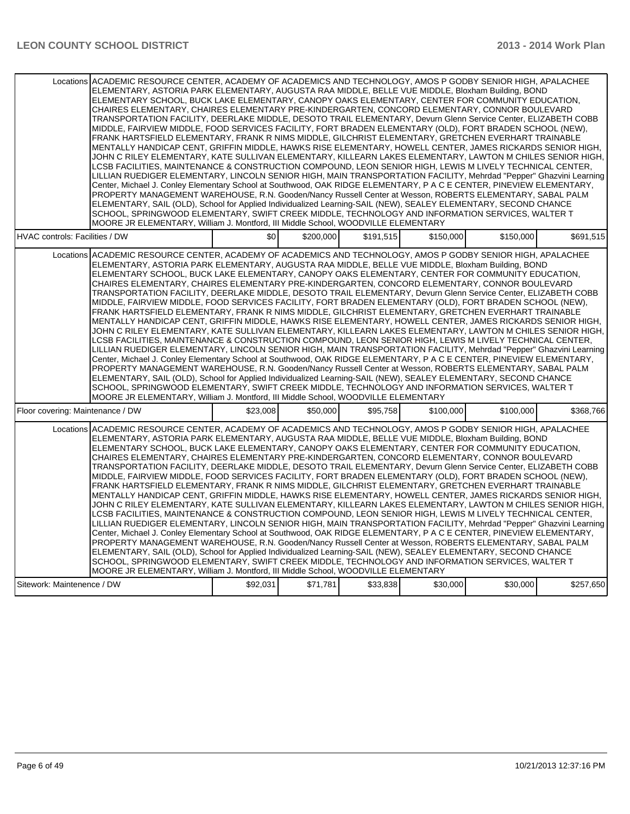| Locations ACADEMIC RESOURCE CENTER, ACADEMY OF ACADEMICS AND TECHNOLOGY, AMOS P GODBY SENIOR HIGH, APALACHEE<br>ELEMENTARY, ASTORIA PARK ELEMENTARY, AUGUSTA RAA MIDDLE, BELLE VUE MIDDLE, Bloxham Building, BOND<br>ELEMENTARY SCHOOL, BUCK LAKE ELEMENTARY, CANOPY OAKS ELEMENTARY, CENTER FOR COMMUNITY EDUCATION,<br>CHAIRES ELEMENTARY, CHAIRES ELEMENTARY PRE-KINDERGARTEN, CONCORD ELEMENTARY, CONNOR BOULEVARD<br>TRANSPORTATION FACILITY, DEERLAKE MIDDLE, DESOTO TRAIL ELEMENTARY, Devurn Glenn Service Center, ELIZABETH COBB<br>MIDDLE, FAIRVIEW MIDDLE, FOOD SERVICES FACILITY, FORT BRADEN ELEMENTARY (OLD), FORT BRADEN SCHOOL (NEW),<br>FRANK HARTSFIELD ELEMENTARY, FRANK R NIMS MIDDLE, GILCHRIST ELEMENTARY, GRETCHEN EVERHART TRAINABLE<br>MENTALLY HANDICAP CENT, GRIFFIN MIDDLE, HAWKS RISE ELEMENTARY, HOWELL CENTER, JAMES RICKARDS SENIOR HIGH,<br>JOHN C RILEY ELEMENTARY, KATE SULLIVAN ELEMENTARY, KILLEARN LAKES ELEMENTARY, LAWTON M CHILES SENIOR HIGH,<br>LCSB FACILITIES. MAINTENANCE & CONSTRUCTION COMPOUND. LEON SENIOR HIGH. LEWIS M LIVELY TECHNICAL CENTER.<br>LILLIAN RUEDIGER ELEMENTARY, LINCOLN SENIOR HIGH, MAIN TRANSPORTATION FACILITY, Mehrdad "Pepper" Ghazvini Learning<br>Center, Michael J. Conley Elementary School at Southwood, OAK RIDGE ELEMENTARY, P A C E CENTER, PINEVIEW ELEMENTARY,<br>PROPERTY MANAGEMENT WAREHOUSE, R.N. Gooden/Nancy Russell Center at Wesson, ROBERTS ELEMENTARY, SABAL PALM<br>ELEMENTARY, SAIL (OLD), School for Applied Individualized Learning-SAIL (NEW), SEALEY ELEMENTARY, SECOND CHANCE<br>SCHOOL, SPRINGWOOD ELEMENTARY, SWIFT CREEK MIDDLE, TECHNOLOGY AND INFORMATION SERVICES, WALTER T<br>MOORE JR ELEMENTARY, William J. Montford, III Middle School, WOODVILLE ELEMENTARY |          |           |           |           |           |           |
|---------------------------------------------------------------------------------------------------------------------------------------------------------------------------------------------------------------------------------------------------------------------------------------------------------------------------------------------------------------------------------------------------------------------------------------------------------------------------------------------------------------------------------------------------------------------------------------------------------------------------------------------------------------------------------------------------------------------------------------------------------------------------------------------------------------------------------------------------------------------------------------------------------------------------------------------------------------------------------------------------------------------------------------------------------------------------------------------------------------------------------------------------------------------------------------------------------------------------------------------------------------------------------------------------------------------------------------------------------------------------------------------------------------------------------------------------------------------------------------------------------------------------------------------------------------------------------------------------------------------------------------------------------------------------------------------------------------------------------------------------------------------------|----------|-----------|-----------|-----------|-----------|-----------|
| <b>HVAC controls: Facilities / DW</b>                                                                                                                                                                                                                                                                                                                                                                                                                                                                                                                                                                                                                                                                                                                                                                                                                                                                                                                                                                                                                                                                                                                                                                                                                                                                                                                                                                                                                                                                                                                                                                                                                                                                                                                                     | \$0      | \$200,000 | \$191.515 | \$150,000 | \$150.000 | \$691,515 |
| Locations ACADEMIC RESOURCE CENTER, ACADEMY OF ACADEMICS AND TECHNOLOGY, AMOS P GODBY SENIOR HIGH, APALACHEE<br>ELEMENTARY, ASTORIA PARK ELEMENTARY, AUGUSTA RAA MIDDLE, BELLE VUE MIDDLE, Bloxham Building, BOND<br>ELEMENTARY SCHOOL, BUCK LAKE ELEMENTARY, CANOPY OAKS ELEMENTARY, CENTER FOR COMMUNITY EDUCATION,<br>CHAIRES ELEMENTARY, CHAIRES ELEMENTARY PRE-KINDERGARTEN, CONCORD ELEMENTARY, CONNOR BOULEVARD<br>TRANSPORTATION FACILITY, DEERLAKE MIDDLE, DESOTO TRAIL ELEMENTARY, Devurn Glenn Service Center, ELIZABETH COBB<br>MIDDLE, FAIRVIEW MIDDLE, FOOD SERVICES FACILITY, FORT BRADEN ELEMENTARY (OLD), FORT BRADEN SCHOOL (NEW),<br>FRANK HARTSFIELD ELEMENTARY, FRANK R NIMS MIDDLE, GILCHRIST ELEMENTARY, GRETCHEN EVERHART TRAINABLE<br>MENTALLY HANDICAP CENT, GRIFFIN MIDDLE, HAWKS RISE ELEMENTARY, HOWELL CENTER, JAMES RICKARDS SENIOR HIGH,<br>JOHN C RILEY ELEMENTARY, KATE SULLIVAN ELEMENTARY, KILLEARN LAKES ELEMENTARY, LAWTON M CHILES SENIOR HIGH,<br>LCSB FACILITIES, MAINTENANCE & CONSTRUCTION COMPOUND, LEON SENIOR HIGH, LEWIS M LIVELY TECHNICAL CENTER,<br>LILLIAN RUEDIGER ELEMENTARY, LINCOLN SENIOR HIGH, MAIN TRANSPORTATION FACILITY, Mehrdad "Pepper" Ghazvini Learning<br>Center, Michael J. Conley Elementary School at Southwood, OAK RIDGE ELEMENTARY, P A C E CENTER, PINEVIEW ELEMENTARY,<br>PROPERTY MANAGEMENT WAREHOUSE, R.N. Gooden/Nancy Russell Center at Wesson, ROBERTS ELEMENTARY, SABAL PALM<br>ELEMENTARY, SAIL (OLD), School for Applied Individualized Learning-SAIL (NEW), SEALEY ELEMENTARY, SECOND CHANCE<br>SCHOOL, SPRINGWOOD ELEMENTARY, SWIFT CREEK MIDDLE. TECHNOLOGY AND INFORMATION SERVICES, WALTER T<br>MOORE JR ELEMENTARY, William J. Montford, III Middle School, WOODVILLE ELEMENTARY |          |           |           |           |           |           |
| Floor covering: Maintenance / DW                                                                                                                                                                                                                                                                                                                                                                                                                                                                                                                                                                                                                                                                                                                                                                                                                                                                                                                                                                                                                                                                                                                                                                                                                                                                                                                                                                                                                                                                                                                                                                                                                                                                                                                                          | \$23,008 | \$50,000  | \$95,758  | \$100,000 | \$100,000 | \$368,766 |
| Locations ACADEMIC RESOURCE CENTER. ACADEMY OF ACADEMICS AND TECHNOLOGY. AMOS P GODBY SENIOR HIGH. APALACHEE<br>ELEMENTARY, ASTORIA PARK ELEMENTARY, AUGUSTA RAA MIDDLE, BELLE VUE MIDDLE, Bloxham Building, BOND<br>ELEMENTARY SCHOOL, BUCK LAKE ELEMENTARY, CANOPY OAKS ELEMENTARY, CENTER FOR COMMUNITY EDUCATION,<br>CHAIRES ELEMENTARY, CHAIRES ELEMENTARY PRE-KINDERGARTEN, CONCORD ELEMENTARY, CONNOR BOULEVARD<br>TRANSPORTATION FACILITY, DEERLAKE MIDDLE, DESOTO TRAIL ELEMENTARY, Devurn Glenn Service Center, ELIZABETH COBB<br>MIDDLE, FAIRVIEW MIDDLE, FOOD SERVICES FACILITY, FORT BRADEN ELEMENTARY (OLD), FORT BRADEN SCHOOL (NEW),<br>FRANK HARTSFIELD ELEMENTARY, FRANK R NIMS MIDDLE, GILCHRIST ELEMENTARY, GRETCHEN EVERHART TRAINABLE<br>MENTALLY HANDICAP CENT, GRIFFIN MIDDLE, HAWKS RISE ELEMENTARY, HOWELL CENTER, JAMES RICKARDS SENIOR HIGH,<br>JOHN C RILEY ELEMENTARY, KATE SULLIVAN ELEMENTARY, KILLEARN LAKES ELEMENTARY, LAWTON M CHILES SENIOR HIGH,<br>LCSB FACILITIES, MAINTENANCE & CONSTRUCTION COMPOUND, LEON SENIOR HIGH, LEWIS M LIVELY TECHNICAL CENTER,<br>LILLIAN RUEDIGER ELEMENTARY, LINCOLN SENIOR HIGH, MAIN TRANSPORTATION FACILITY, Mehrdad "Pepper" Ghazvini Learning<br>Center, Michael J. Conley Elementary School at Southwood, OAK RIDGE ELEMENTARY, P A C E CENTER, PINEVIEW ELEMENTARY,<br>PROPERTY MANAGEMENT WAREHOUSE, R.N. Gooden/Nancy Russell Center at Wesson, ROBERTS ELEMENTARY, SABAL PALM<br>ELEMENTARY, SAIL (OLD), School for Applied Individualized Learning-SAIL (NEW), SEALEY ELEMENTARY, SECOND CHANCE<br>SCHOOL, SPRINGWOOD ELEMENTARY, SWIFT CREEK MIDDLE, TECHNOLOGY AND INFORMATION SERVICES, WALTER T<br>MOORE JR ELEMENTARY, William J. Montford, III Middle School, WOODVILLE ELEMENTARY |          |           |           |           |           |           |
| Sitework: Maintenence / DW                                                                                                                                                                                                                                                                                                                                                                                                                                                                                                                                                                                                                                                                                                                                                                                                                                                                                                                                                                                                                                                                                                                                                                                                                                                                                                                                                                                                                                                                                                                                                                                                                                                                                                                                                | \$92,031 | \$71,781  | \$33,838  | \$30,000  | \$30,000  | \$257,650 |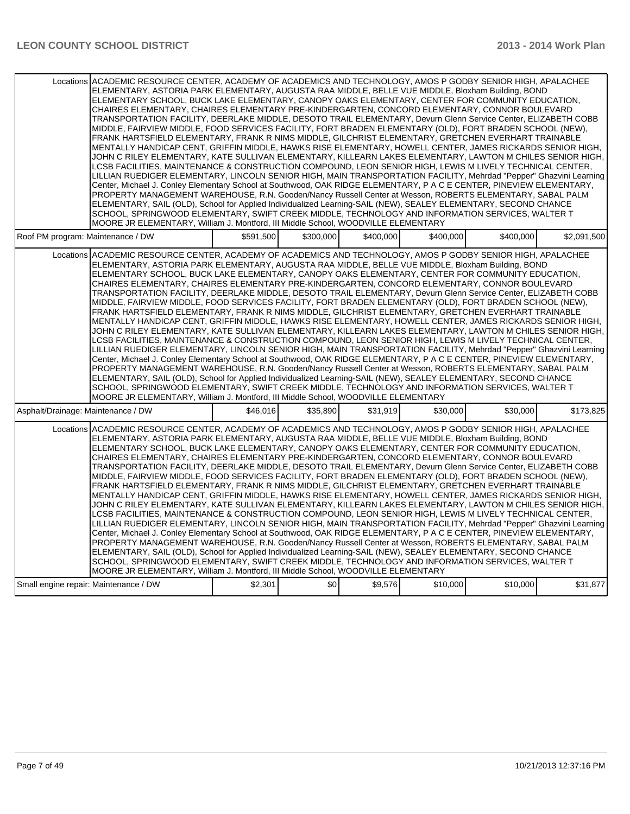|                                       | Locations ACADEMIC RESOURCE CENTER, ACADEMY OF ACADEMICS AND TECHNOLOGY, AMOS P GODBY SENIOR HIGH, APALACHEE<br>ELEMENTARY, ASTORIA PARK ELEMENTARY, AUGUSTA RAA MIDDLE, BELLE VUE MIDDLE, Bloxham Building, BOND<br>ELEMENTARY SCHOOL, BUCK LAKE ELEMENTARY, CANOPY OAKS ELEMENTARY, CENTER FOR COMMUNITY EDUCATION.<br>CHAIRES ELEMENTARY, CHAIRES ELEMENTARY PRE-KINDERGARTEN, CONCORD ELEMENTARY, CONNOR BOULEVARD<br>TRANSPORTATION FACILITY, DEERLAKE MIDDLE, DESOTO TRAIL ELEMENTARY, Devurn Glenn Service Center, ELIZABETH COBB<br>MIDDLE, FAIRVIEW MIDDLE, FOOD SERVICES FACILITY, FORT BRADEN ELEMENTARY (OLD), FORT BRADEN SCHOOL (NEW),<br>FRANK HARTSFIELD ELEMENTARY, FRANK R NIMS MIDDLE, GILCHRIST ELEMENTARY, GRETCHEN EVERHART TRAINABLE<br>MENTALLY HANDICAP CENT, GRIFFIN MIDDLE, HAWKS RISE ELEMENTARY, HOWELL CENTER, JAMES RICKARDS SENIOR HIGH,<br>JOHN C RILEY ELEMENTARY, KATE SULLIVAN ELEMENTARY, KILLEARN LAKES ELEMENTARY, LAWTON M CHILES SENIOR HIGH,<br>LCSB FACILITIES, MAINTENANCE & CONSTRUCTION COMPOUND, LEON SENIOR HIGH, LEWIS M LIVELY TECHNICAL CENTER,<br>LILLIAN RUEDIGER ELEMENTARY, LINCOLN SENIOR HIGH, MAIN TRANSPORTATION FACILITY, Mehrdad "Pepper" Ghazvini Learning<br>Center, Michael J. Conley Elementary School at Southwood, OAK RIDGE ELEMENTARY, P A C E CENTER, PINEVIEW ELEMENTARY,<br>PROPERTY MANAGEMENT WAREHOUSE, R.N. Gooden/Nancy Russell Center at Wesson, ROBERTS ELEMENTARY, SABAL PALM<br>ELEMENTARY, SAIL (OLD), School for Applied Individualized Learning-SAIL (NEW), SEALEY ELEMENTARY, SECOND CHANCE<br>SCHOOL, SPRINGWOOD ELEMENTARY, SWIFT CREEK MIDDLE, TECHNOLOGY AND INFORMATION SERVICES, WALTER T                                                                                      |           |           |           |           |           |             |
|---------------------------------------|---------------------------------------------------------------------------------------------------------------------------------------------------------------------------------------------------------------------------------------------------------------------------------------------------------------------------------------------------------------------------------------------------------------------------------------------------------------------------------------------------------------------------------------------------------------------------------------------------------------------------------------------------------------------------------------------------------------------------------------------------------------------------------------------------------------------------------------------------------------------------------------------------------------------------------------------------------------------------------------------------------------------------------------------------------------------------------------------------------------------------------------------------------------------------------------------------------------------------------------------------------------------------------------------------------------------------------------------------------------------------------------------------------------------------------------------------------------------------------------------------------------------------------------------------------------------------------------------------------------------------------------------------------------------------------------------------------------------------------------------------------------------------|-----------|-----------|-----------|-----------|-----------|-------------|
|                                       | MOORE JR ELEMENTARY, William J. Montford, III Middle School, WOODVILLE ELEMENTARY                                                                                                                                                                                                                                                                                                                                                                                                                                                                                                                                                                                                                                                                                                                                                                                                                                                                                                                                                                                                                                                                                                                                                                                                                                                                                                                                                                                                                                                                                                                                                                                                                                                                                         |           |           |           |           |           |             |
| Roof PM program: Maintenance / DW     |                                                                                                                                                                                                                                                                                                                                                                                                                                                                                                                                                                                                                                                                                                                                                                                                                                                                                                                                                                                                                                                                                                                                                                                                                                                                                                                                                                                                                                                                                                                                                                                                                                                                                                                                                                           | \$591.500 | \$300,000 | \$400.000 | \$400.000 | \$400.000 | \$2,091,500 |
|                                       | Locations ACADEMIC RESOURCE CENTER, ACADEMY OF ACADEMICS AND TECHNOLOGY, AMOS P GODBY SENIOR HIGH, APALACHEE<br>ELEMENTARY, ASTORIA PARK ELEMENTARY, AUGUSTA RAA MIDDLE, BELLE VUE MIDDLE, Bloxham Building, BOND<br>ELEMENTARY SCHOOL, BUCK LAKE ELEMENTARY, CANOPY OAKS ELEMENTARY, CENTER FOR COMMUNITY EDUCATION,<br>CHAIRES ELEMENTARY, CHAIRES ELEMENTARY PRE-KINDERGARTEN, CONCORD ELEMENTARY, CONNOR BOULEVARD<br>TRANSPORTATION FACILITY, DEERLAKE MIDDLE, DESOTO TRAIL ELEMENTARY, Devurn Glenn Service Center, ELIZABETH COBB<br>MIDDLE, FAIRVIEW MIDDLE, FOOD SERVICES FACILITY, FORT BRADEN ELEMENTARY (OLD), FORT BRADEN SCHOOL (NEW),<br>FRANK HARTSFIELD ELEMENTARY, FRANK R NIMS MIDDLE, GILCHRIST ELEMENTARY, GRETCHEN EVERHART TRAINABLE<br>MENTALLY HANDICAP CENT, GRIFFIN MIDDLE, HAWKS RISE ELEMENTARY, HOWELL CENTER, JAMES RICKARDS SENIOR HIGH,<br>JOHN C RILEY ELEMENTARY, KATE SULLIVAN ELEMENTARY, KILLEARN LAKES ELEMENTARY, LAWTON M CHILES SENIOR HIGH,<br>LCSB FACILITIES, MAINTENANCE & CONSTRUCTION COMPOUND, LEON SENIOR HIGH, LEWIS M LIVELY TECHNICAL CENTER,<br>LILLIAN RUEDIGER ELEMENTARY, LINCOLN SENIOR HIGH, MAIN TRANSPORTATION FACILITY, Mehrdad "Pepper" Ghazvini Learning<br>Center, Michael J. Conley Elementary School at Southwood, OAK RIDGE ELEMENTARY, P A C E CENTER, PINEVIEW ELEMENTARY,<br>PROPERTY MANAGEMENT WAREHOUSE, R.N. Gooden/Nancy Russell Center at Wesson, ROBERTS ELEMENTARY, SABAL PALM<br>ELEMENTARY, SAIL (OLD), School for Applied Individualized Learning-SAIL (NEW), SEALEY ELEMENTARY, SECOND CHANCE<br>SCHOOL, SPRINGWOOD ELEMENTARY, SWIFT CREEK MIDDLE, TECHNOLOGY AND INFORMATION SERVICES, WALTER T<br>MOORE JR ELEMENTARY, William J. Montford, III Middle School, WOODVILLE ELEMENTARY |           |           |           |           |           |             |
| Asphalt/Drainage: Maintenance / DW    |                                                                                                                                                                                                                                                                                                                                                                                                                                                                                                                                                                                                                                                                                                                                                                                                                                                                                                                                                                                                                                                                                                                                                                                                                                                                                                                                                                                                                                                                                                                                                                                                                                                                                                                                                                           | \$46,016  | \$35,890  | \$31,919  | \$30,000  | \$30,000  | \$173,825   |
|                                       | Locations ACADEMIC RESOURCE CENTER. ACADEMY OF ACADEMICS AND TECHNOLOGY. AMOS P GODBY SENIOR HIGH. APALACHEE<br>ELEMENTARY, ASTORIA PARK ELEMENTARY, AUGUSTA RAA MIDDLE, BELLE VUE MIDDLE, Bloxham Building, BOND<br>ELEMENTARY SCHOOL. BUCK LAKE ELEMENTARY. CANOPY OAKS ELEMENTARY. CENTER FOR COMMUNITY EDUCATION.<br>CHAIRES ELEMENTARY, CHAIRES ELEMENTARY PRE-KINDERGARTEN, CONCORD ELEMENTARY, CONNOR BOULEVARD<br>TRANSPORTATION FACILITY, DEERLAKE MIDDLE, DESOTO TRAIL ELEMENTARY, Devurn Glenn Service Center, ELIZABETH COBB<br>MIDDLE, FAIRVIEW MIDDLE, FOOD SERVICES FACILITY, FORT BRADEN ELEMENTARY (OLD), FORT BRADEN SCHOOL (NEW),<br>FRANK HARTSFIELD ELEMENTARY, FRANK R NIMS MIDDLE, GILCHRIST ELEMENTARY, GRETCHEN EVERHART TRAINABLE<br>MENTALLY HANDICAP CENT, GRIFFIN MIDDLE, HAWKS RISE ELEMENTARY, HOWELL CENTER, JAMES RICKARDS SENIOR HIGH,<br>JOHN C RILEY ELEMENTARY, KATE SULLIVAN ELEMENTARY, KILLEARN LAKES ELEMENTARY, LAWTON M CHILES SENIOR HIGH,<br>LCSB FACILITIES, MAINTENANCE & CONSTRUCTION COMPOUND, LEON SENIOR HIGH, LEWIS M LIVELY TECHNICAL CENTER,<br>LILLIAN RUEDIGER ELEMENTARY, LINCOLN SENIOR HIGH, MAIN TRANSPORTATION FACILITY, Mehrdad "Pepper" Ghazvini Learning<br>Center, Michael J. Conley Elementary School at Southwood, OAK RIDGE ELEMENTARY, P A C E CENTER, PINEVIEW ELEMENTARY,<br>PROPERTY MANAGEMENT WAREHOUSE, R.N. Gooden/Nancy Russell Center at Wesson, ROBERTS ELEMENTARY, SABAL PALM<br>ELEMENTARY, SAIL (OLD), School for Applied Individualized Learning-SAIL (NEW), SEALEY ELEMENTARY, SECOND CHANCE<br>SCHOOL, SPRINGWOOD ELEMENTARY, SWIFT CREEK MIDDLE, TECHNOLOGY AND INFORMATION SERVICES, WALTER T<br>MOORE JR ELEMENTARY, William J. Montford, III Middle School, WOODVILLE ELEMENTARY |           |           |           |           |           |             |
| Small engine repair: Maintenance / DW |                                                                                                                                                                                                                                                                                                                                                                                                                                                                                                                                                                                                                                                                                                                                                                                                                                                                                                                                                                                                                                                                                                                                                                                                                                                                                                                                                                                                                                                                                                                                                                                                                                                                                                                                                                           | \$2,301   | \$0       | \$9,576   | \$10,000  | \$10,000  | \$31,877    |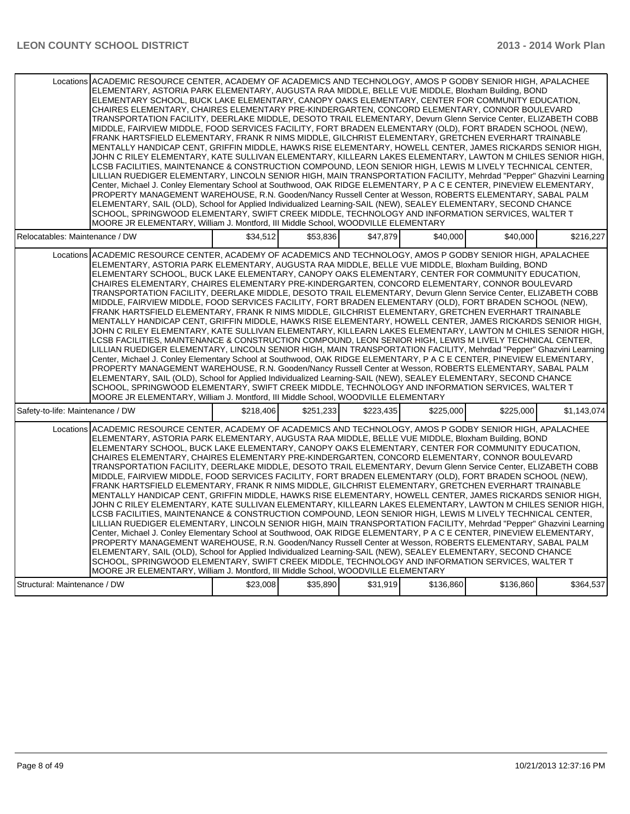| Locations ACADEMIC RESOURCE CENTER, ACADEMY OF ACADEMICS AND TECHNOLOGY, AMOS P GODBY SENIOR HIGH, APALACHEE<br>ELEMENTARY, ASTORIA PARK ELEMENTARY, AUGUSTA RAA MIDDLE, BELLE VUE MIDDLE, Bloxham Building, BOND<br>ELEMENTARY SCHOOL, BUCK LAKE ELEMENTARY, CANOPY OAKS ELEMENTARY, CENTER FOR COMMUNITY EDUCATION,<br>CHAIRES ELEMENTARY, CHAIRES ELEMENTARY PRE-KINDERGARTEN, CONCORD ELEMENTARY, CONNOR BOULEVARD<br>TRANSPORTATION FACILITY, DEERLAKE MIDDLE, DESOTO TRAIL ELEMENTARY, Devurn Glenn Service Center, ELIZABETH COBB<br>MIDDLE, FAIRVIEW MIDDLE, FOOD SERVICES FACILITY, FORT BRADEN ELEMENTARY (OLD), FORT BRADEN SCHOOL (NEW),<br>FRANK HARTSFIELD ELEMENTARY, FRANK R NIMS MIDDLE, GILCHRIST ELEMENTARY, GRETCHEN EVERHART TRAINABLE<br>MENTALLY HANDICAP CENT, GRIFFIN MIDDLE, HAWKS RISE ELEMENTARY, HOWELL CENTER, JAMES RICKARDS SENIOR HIGH,<br>JOHN C RILEY ELEMENTARY, KATE SULLIVAN ELEMENTARY, KILLEARN LAKES ELEMENTARY, LAWTON M CHILES SENIOR HIGH,<br>LCSB FACILITIES. MAINTENANCE & CONSTRUCTION COMPOUND. LEON SENIOR HIGH. LEWIS M LIVELY TECHNICAL CENTER.<br>LILLIAN RUEDIGER ELEMENTARY, LINCOLN SENIOR HIGH, MAIN TRANSPORTATION FACILITY, Mehrdad "Pepper" Ghazvini Learning<br>Center, Michael J. Conley Elementary School at Southwood, OAK RIDGE ELEMENTARY, P A C E CENTER, PINEVIEW ELEMENTARY,<br>PROPERTY MANAGEMENT WAREHOUSE, R.N. Gooden/Nancy Russell Center at Wesson, ROBERTS ELEMENTARY, SABAL PALM<br>ELEMENTARY, SAIL (OLD), School for Applied Individualized Learning-SAIL (NEW), SEALEY ELEMENTARY, SECOND CHANCE<br>SCHOOL, SPRINGWOOD ELEMENTARY, SWIFT CREEK MIDDLE, TECHNOLOGY AND INFORMATION SERVICES, WALTER T<br>MOORE JR ELEMENTARY, William J. Montford, III Middle School, WOODVILLE ELEMENTARY |           |           |           |           |           |             |
|---------------------------------------------------------------------------------------------------------------------------------------------------------------------------------------------------------------------------------------------------------------------------------------------------------------------------------------------------------------------------------------------------------------------------------------------------------------------------------------------------------------------------------------------------------------------------------------------------------------------------------------------------------------------------------------------------------------------------------------------------------------------------------------------------------------------------------------------------------------------------------------------------------------------------------------------------------------------------------------------------------------------------------------------------------------------------------------------------------------------------------------------------------------------------------------------------------------------------------------------------------------------------------------------------------------------------------------------------------------------------------------------------------------------------------------------------------------------------------------------------------------------------------------------------------------------------------------------------------------------------------------------------------------------------------------------------------------------------------------------------------------------------|-----------|-----------|-----------|-----------|-----------|-------------|
| Relocatables: Maintenance / DW                                                                                                                                                                                                                                                                                                                                                                                                                                                                                                                                                                                                                                                                                                                                                                                                                                                                                                                                                                                                                                                                                                                                                                                                                                                                                                                                                                                                                                                                                                                                                                                                                                                                                                                                            | \$34.512  | \$53.836  | \$47.879  | \$40,000  | \$40,000  | \$216,227   |
| Locations ACADEMIC RESOURCE CENTER, ACADEMY OF ACADEMICS AND TECHNOLOGY, AMOS P GODBY SENIOR HIGH, APALACHEE<br>ELEMENTARY, ASTORIA PARK ELEMENTARY, AUGUSTA RAA MIDDLE, BELLE VUE MIDDLE, Bloxham Building, BOND<br>ELEMENTARY SCHOOL, BUCK LAKE ELEMENTARY, CANOPY OAKS ELEMENTARY, CENTER FOR COMMUNITY EDUCATION,<br>CHAIRES ELEMENTARY, CHAIRES ELEMENTARY PRE-KINDERGARTEN, CONCORD ELEMENTARY, CONNOR BOULEVARD<br>TRANSPORTATION FACILITY, DEERLAKE MIDDLE, DESOTO TRAIL ELEMENTARY, Devurn Glenn Service Center, ELIZABETH COBB<br>MIDDLE, FAIRVIEW MIDDLE, FOOD SERVICES FACILITY, FORT BRADEN ELEMENTARY (OLD), FORT BRADEN SCHOOL (NEW),<br>FRANK HARTSFIELD ELEMENTARY, FRANK R NIMS MIDDLE, GILCHRIST ELEMENTARY, GRETCHEN EVERHART TRAINABLE<br>MENTALLY HANDICAP CENT, GRIFFIN MIDDLE, HAWKS RISE ELEMENTARY, HOWELL CENTER, JAMES RICKARDS SENIOR HIGH,<br>JOHN C RILEY ELEMENTARY, KATE SULLIVAN ELEMENTARY, KILLEARN LAKES ELEMENTARY, LAWTON M CHILES SENIOR HIGH,<br>LCSB FACILITIES, MAINTENANCE & CONSTRUCTION COMPOUND, LEON SENIOR HIGH, LEWIS M LIVELY TECHNICAL CENTER,<br>LILLIAN RUEDIGER ELEMENTARY, LINCOLN SENIOR HIGH, MAIN TRANSPORTATION FACILITY, Mehrdad "Pepper" Ghazvini Learning<br>Center, Michael J. Conley Elementary School at Southwood, OAK RIDGE ELEMENTARY, P A C E CENTER, PINEVIEW ELEMENTARY,<br>PROPERTY MANAGEMENT WAREHOUSE, R.N. Gooden/Nancy Russell Center at Wesson, ROBERTS ELEMENTARY, SABAL PALM<br>ELEMENTARY, SAIL (OLD), School for Applied Individualized Learning-SAIL (NEW), SEALEY ELEMENTARY, SECOND CHANCE<br>SCHOOL, SPRINGWOOD ELEMENTARY, SWIFT CREEK MIDDLE. TECHNOLOGY AND INFORMATION SERVICES, WALTER T<br>MOORE JR ELEMENTARY, William J. Montford, III Middle School, WOODVILLE ELEMENTARY |           |           |           |           |           |             |
| Safety-to-life: Maintenance / DW                                                                                                                                                                                                                                                                                                                                                                                                                                                                                                                                                                                                                                                                                                                                                                                                                                                                                                                                                                                                                                                                                                                                                                                                                                                                                                                                                                                                                                                                                                                                                                                                                                                                                                                                          | \$218,406 | \$251,233 | \$223,435 | \$225,000 | \$225,000 | \$1,143,074 |
| Locations ACADEMIC RESOURCE CENTER. ACADEMY OF ACADEMICS AND TECHNOLOGY. AMOS P GODBY SENIOR HIGH. APALACHEE<br>ELEMENTARY, ASTORIA PARK ELEMENTARY, AUGUSTA RAA MIDDLE, BELLE VUE MIDDLE, Bloxham Building, BOND<br>ELEMENTARY SCHOOL, BUCK LAKE ELEMENTARY, CANOPY OAKS ELEMENTARY, CENTER FOR COMMUNITY EDUCATION,<br>CHAIRES ELEMENTARY, CHAIRES ELEMENTARY PRE-KINDERGARTEN, CONCORD ELEMENTARY, CONNOR BOULEVARD<br>TRANSPORTATION FACILITY, DEERLAKE MIDDLE, DESOTO TRAIL ELEMENTARY, Devurn Glenn Service Center, ELIZABETH COBB<br>MIDDLE, FAIRVIEW MIDDLE, FOOD SERVICES FACILITY, FORT BRADEN ELEMENTARY (OLD), FORT BRADEN SCHOOL (NEW),<br>FRANK HARTSFIELD ELEMENTARY, FRANK R NIMS MIDDLE, GILCHRIST ELEMENTARY, GRETCHEN EVERHART TRAINABLE<br>MENTALLY HANDICAP CENT, GRIFFIN MIDDLE, HAWKS RISE ELEMENTARY, HOWELL CENTER, JAMES RICKARDS SENIOR HIGH,<br>JOHN C RILEY ELEMENTARY, KATE SULLIVAN ELEMENTARY, KILLEARN LAKES ELEMENTARY, LAWTON M CHILES SENIOR HIGH,<br>LCSB FACILITIES, MAINTENANCE & CONSTRUCTION COMPOUND, LEON SENIOR HIGH, LEWIS M LIVELY TECHNICAL CENTER,<br>LILLIAN RUEDIGER ELEMENTARY, LINCOLN SENIOR HIGH, MAIN TRANSPORTATION FACILITY, Mehrdad "Pepper" Ghazvini Learning<br>Center, Michael J. Conley Elementary School at Southwood, OAK RIDGE ELEMENTARY, P A C E CENTER, PINEVIEW ELEMENTARY,<br>PROPERTY MANAGEMENT WAREHOUSE, R.N. Gooden/Nancy Russell Center at Wesson, ROBERTS ELEMENTARY, SABAL PALM<br>ELEMENTARY, SAIL (OLD), School for Applied Individualized Learning-SAIL (NEW), SEALEY ELEMENTARY, SECOND CHANCE<br>SCHOOL, SPRINGWOOD ELEMENTARY, SWIFT CREEK MIDDLE, TECHNOLOGY AND INFORMATION SERVICES, WALTER T<br>MOORE JR ELEMENTARY, William J. Montford, III Middle School, WOODVILLE ELEMENTARY |           |           |           |           |           |             |
| Structural: Maintenance / DW                                                                                                                                                                                                                                                                                                                                                                                                                                                                                                                                                                                                                                                                                                                                                                                                                                                                                                                                                                                                                                                                                                                                                                                                                                                                                                                                                                                                                                                                                                                                                                                                                                                                                                                                              | \$23,008  | \$35,890  | \$31,919  | \$136,860 | \$136,860 | \$364,537   |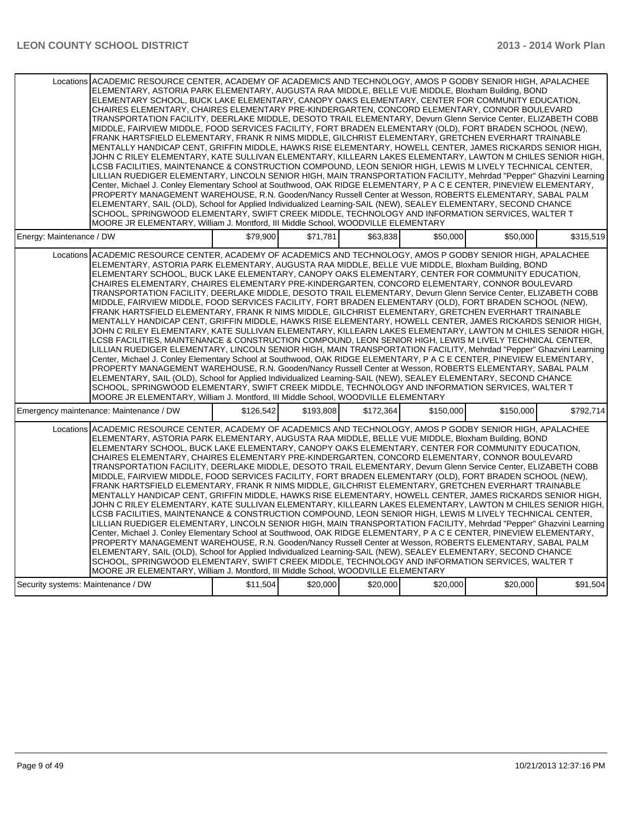| Locations ACADEMIC RESOURCE CENTER, ACADEMY OF ACADEMICS AND TECHNOLOGY, AMOS P GODBY SENIOR HIGH, APALACHEE<br>ELEMENTARY, ASTORIA PARK ELEMENTARY, AUGUSTA RAA MIDDLE, BELLE VUE MIDDLE, Bloxham Building, BOND<br>ELEMENTARY SCHOOL, BUCK LAKE ELEMENTARY, CANOPY OAKS ELEMENTARY, CENTER FOR COMMUNITY EDUCATION.<br>CHAIRES ELEMENTARY, CHAIRES ELEMENTARY PRE-KINDERGARTEN, CONCORD ELEMENTARY, CONNOR BOULEVARD<br>TRANSPORTATION FACILITY, DEERLAKE MIDDLE, DESOTO TRAIL ELEMENTARY, Devurn Glenn Service Center, ELIZABETH COBB<br>MIDDLE, FAIRVIEW MIDDLE, FOOD SERVICES FACILITY, FORT BRADEN ELEMENTARY (OLD), FORT BRADEN SCHOOL (NEW),<br>FRANK HARTSFIELD ELEMENTARY, FRANK R NIMS MIDDLE, GILCHRIST ELEMENTARY, GRETCHEN EVERHART TRAINABLE<br>MENTALLY HANDICAP CENT, GRIFFIN MIDDLE, HAWKS RISE ELEMENTARY, HOWELL CENTER, JAMES RICKARDS SENIOR HIGH,<br>JOHN C RILEY ELEMENTARY, KATE SULLIVAN ELEMENTARY, KILLEARN LAKES ELEMENTARY, LAWTON M CHILES SENIOR HIGH,<br>LCSB FACILITIES, MAINTENANCE & CONSTRUCTION COMPOUND, LEON SENIOR HIGH, LEWIS M LIVELY TECHNICAL CENTER,<br>LILLIAN RUEDIGER ELEMENTARY, LINCOLN SENIOR HIGH, MAIN TRANSPORTATION FACILITY, Mehrdad "Pepper" Ghazvini Learning<br>Center, Michael J. Conley Elementary School at Southwood, OAK RIDGE ELEMENTARY, P A C E CENTER, PINEVIEW ELEMENTARY,<br>PROPERTY MANAGEMENT WAREHOUSE, R.N. Gooden/Nancy Russell Center at Wesson, ROBERTS ELEMENTARY, SABAL PALM<br>ELEMENTARY, SAIL (OLD), School for Applied Individualized Learning-SAIL (NEW), SEALEY ELEMENTARY, SECOND CHANCE<br>SCHOOL, SPRINGWOOD ELEMENTARY, SWIFT CREEK MIDDLE, TECHNOLOGY AND INFORMATION SERVICES, WALTER T<br>MOORE JR ELEMENTARY, William J. Montford, III Middle School, WOODVILLE ELEMENTARY |           |           |           |           |           |           |
|---------------------------------------------------------------------------------------------------------------------------------------------------------------------------------------------------------------------------------------------------------------------------------------------------------------------------------------------------------------------------------------------------------------------------------------------------------------------------------------------------------------------------------------------------------------------------------------------------------------------------------------------------------------------------------------------------------------------------------------------------------------------------------------------------------------------------------------------------------------------------------------------------------------------------------------------------------------------------------------------------------------------------------------------------------------------------------------------------------------------------------------------------------------------------------------------------------------------------------------------------------------------------------------------------------------------------------------------------------------------------------------------------------------------------------------------------------------------------------------------------------------------------------------------------------------------------------------------------------------------------------------------------------------------------------------------------------------------------------------------------------------------------|-----------|-----------|-----------|-----------|-----------|-----------|
| Energy: Maintenance / DW                                                                                                                                                                                                                                                                                                                                                                                                                                                                                                                                                                                                                                                                                                                                                                                                                                                                                                                                                                                                                                                                                                                                                                                                                                                                                                                                                                                                                                                                                                                                                                                                                                                                                                                                                  | \$79.900  | \$71.781  | \$63.838  | \$50,000  | \$50,000  | \$315.519 |
| Locations ACADEMIC RESOURCE CENTER, ACADEMY OF ACADEMICS AND TECHNOLOGY, AMOS P GODBY SENIOR HIGH, APALACHEE<br>ELEMENTARY, ASTORIA PARK ELEMENTARY, AUGUSTA RAA MIDDLE, BELLE VUE MIDDLE, Bloxham Building, BOND<br>ELEMENTARY SCHOOL, BUCK LAKE ELEMENTARY, CANOPY OAKS ELEMENTARY, CENTER FOR COMMUNITY EDUCATION,<br>CHAIRES ELEMENTARY, CHAIRES ELEMENTARY PRE-KINDERGARTEN, CONCORD ELEMENTARY, CONNOR BOULEVARD<br>TRANSPORTATION FACILITY, DEERLAKE MIDDLE, DESOTO TRAIL ELEMENTARY, Devurn Glenn Service Center, ELIZABETH COBB<br>MIDDLE, FAIRVIEW MIDDLE, FOOD SERVICES FACILITY, FORT BRADEN ELEMENTARY (OLD), FORT BRADEN SCHOOL (NEW),<br>FRANK HARTSFIELD ELEMENTARY, FRANK R NIMS MIDDLE, GILCHRIST ELEMENTARY, GRETCHEN EVERHART TRAINABLE<br>MENTALLY HANDICAP CENT, GRIFFIN MIDDLE, HAWKS RISE ELEMENTARY, HOWELL CENTER, JAMES RICKARDS SENIOR HIGH,<br>JOHN C RILEY ELEMENTARY, KATE SULLIVAN ELEMENTARY, KILLEARN LAKES ELEMENTARY, LAWTON M CHILES SENIOR HIGH,<br>LCSB FACILITIES, MAINTENANCE & CONSTRUCTION COMPOUND, LEON SENIOR HIGH, LEWIS M LIVELY TECHNICAL CENTER,<br>LILLIAN RUEDIGER ELEMENTARY, LINCOLN SENIOR HIGH, MAIN TRANSPORTATION FACILITY, Mehrdad "Pepper" Ghazvini Learning<br>Center, Michael J. Conley Elementary School at Southwood, OAK RIDGE ELEMENTARY, P A C E CENTER, PINEVIEW ELEMENTARY,<br>PROPERTY MANAGEMENT WAREHOUSE, R.N. Gooden/Nancy Russell Center at Wesson, ROBERTS ELEMENTARY, SABAL PALM<br>ELEMENTARY, SAIL (OLD), School for Applied Individualized Learning-SAIL (NEW), SEALEY ELEMENTARY, SECOND CHANCE<br>SCHOOL, SPRINGWOOD ELEMENTARY, SWIFT CREEK MIDDLE, TECHNOLOGY AND INFORMATION SERVICES, WALTER T<br>MOORE JR ELEMENTARY, William J. Montford, III Middle School, WOODVILLE ELEMENTARY |           |           |           |           |           |           |
| Emergency maintenance: Maintenance / DW                                                                                                                                                                                                                                                                                                                                                                                                                                                                                                                                                                                                                                                                                                                                                                                                                                                                                                                                                                                                                                                                                                                                                                                                                                                                                                                                                                                                                                                                                                                                                                                                                                                                                                                                   | \$126,542 | \$193,808 | \$172,364 | \$150,000 | \$150,000 | \$792,714 |
| Locations ACADEMIC RESOURCE CENTER. ACADEMY OF ACADEMICS AND TECHNOLOGY. AMOS P GODBY SENIOR HIGH. APALACHEE<br>ELEMENTARY, ASTORIA PARK ELEMENTARY, AUGUSTA RAA MIDDLE, BELLE VUE MIDDLE, Bloxham Building, BOND<br>ELEMENTARY SCHOOL. BUCK LAKE ELEMENTARY. CANOPY OAKS ELEMENTARY. CENTER FOR COMMUNITY EDUCATION.<br>CHAIRES ELEMENTARY, CHAIRES ELEMENTARY PRE-KINDERGARTEN, CONCORD ELEMENTARY, CONNOR BOULEVARD<br>TRANSPORTATION FACILITY, DEERLAKE MIDDLE, DESOTO TRAIL ELEMENTARY, Devurn Glenn Service Center, ELIZABETH COBB<br>MIDDLE, FAIRVIEW MIDDLE, FOOD SERVICES FACILITY, FORT BRADEN ELEMENTARY (OLD), FORT BRADEN SCHOOL (NEW),<br>FRANK HARTSFIELD ELEMENTARY, FRANK R NIMS MIDDLE, GILCHRIST ELEMENTARY, GRETCHEN EVERHART TRAINABLE<br>MENTALLY HANDICAP CENT, GRIFFIN MIDDLE, HAWKS RISE ELEMENTARY, HOWELL CENTER, JAMES RICKARDS SENIOR HIGH,<br>JOHN C RILEY ELEMENTARY, KATE SULLIVAN ELEMENTARY, KILLEARN LAKES ELEMENTARY, LAWTON M CHILES SENIOR HIGH,<br>LCSB FACILITIES, MAINTENANCE & CONSTRUCTION COMPOUND, LEON SENIOR HIGH, LEWIS M LIVELY TECHNICAL CENTER,<br>LILLIAN RUEDIGER ELEMENTARY, LINCOLN SENIOR HIGH, MAIN TRANSPORTATION FACILITY, Mehrdad "Pepper" Ghazvini Learning<br>Center, Michael J. Conley Elementary School at Southwood, OAK RIDGE ELEMENTARY, P A C E CENTER, PINEVIEW ELEMENTARY,<br>PROPERTY MANAGEMENT WAREHOUSE, R.N. Gooden/Nancy Russell Center at Wesson, ROBERTS ELEMENTARY, SABAL PALM<br>ELEMENTARY, SAIL (OLD), School for Applied Individualized Learning-SAIL (NEW), SEALEY ELEMENTARY, SECOND CHANCE<br>SCHOOL, SPRINGWOOD ELEMENTARY, SWIFT CREEK MIDDLE, TECHNOLOGY AND INFORMATION SERVICES, WALTER T<br>MOORE JR ELEMENTARY, William J. Montford, III Middle School, WOODVILLE ELEMENTARY |           |           |           |           |           |           |
| Security systems: Maintenance / DW                                                                                                                                                                                                                                                                                                                                                                                                                                                                                                                                                                                                                                                                                                                                                                                                                                                                                                                                                                                                                                                                                                                                                                                                                                                                                                                                                                                                                                                                                                                                                                                                                                                                                                                                        | \$11,504  | \$20,000  | \$20,000  | \$20,000  | \$20,000  | \$91,504  |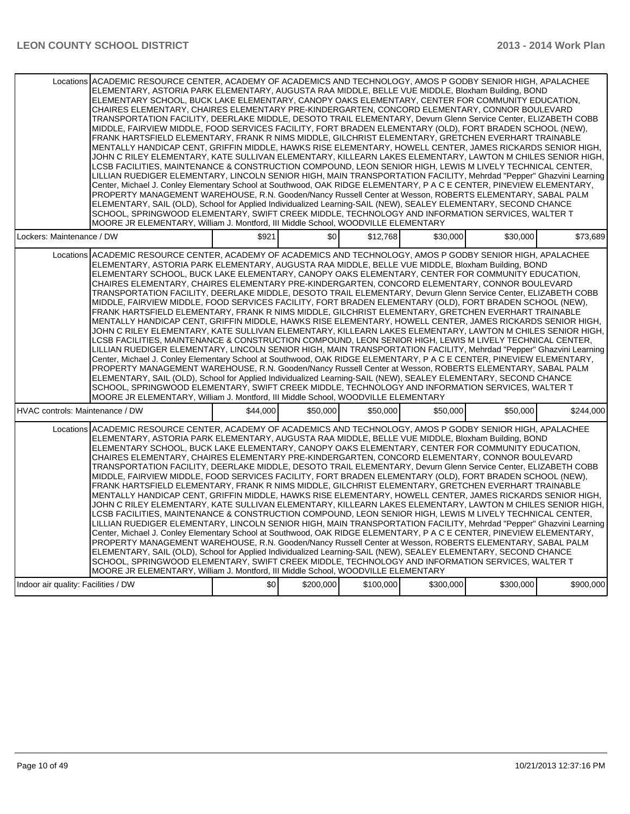| Locations ACADEMIC RESOURCE CENTER, ACADEMY OF ACADEMICS AND TECHNOLOGY, AMOS P GODBY SENIOR HIGH, APALACHEE<br>ELEMENTARY, ASTORIA PARK ELEMENTARY, AUGUSTA RAA MIDDLE, BELLE VUE MIDDLE, Bloxham Building, BOND<br>ELEMENTARY SCHOOL, BUCK LAKE ELEMENTARY, CANOPY OAKS ELEMENTARY, CENTER FOR COMMUNITY EDUCATION,<br>CHAIRES ELEMENTARY, CHAIRES ELEMENTARY PRE-KINDERGARTEN, CONCORD ELEMENTARY, CONNOR BOULEVARD<br>TRANSPORTATION FACILITY, DEERLAKE MIDDLE, DESOTO TRAIL ELEMENTARY, Devurn Glenn Service Center, ELIZABETH COBB<br>MIDDLE, FAIRVIEW MIDDLE, FOOD SERVICES FACILITY, FORT BRADEN ELEMENTARY (OLD), FORT BRADEN SCHOOL (NEW),<br>FRANK HARTSFIELD ELEMENTARY, FRANK R NIMS MIDDLE, GILCHRIST ELEMENTARY, GRETCHEN EVERHART TRAINABLE<br>MENTALLY HANDICAP CENT, GRIFFIN MIDDLE, HAWKS RISE ELEMENTARY, HOWELL CENTER, JAMES RICKARDS SENIOR HIGH,<br>JOHN C RILEY ELEMENTARY, KATE SULLIVAN ELEMENTARY, KILLEARN LAKES ELEMENTARY, LAWTON M CHILES SENIOR HIGH,<br>LCSB FACILITIES, MAINTENANCE & CONSTRUCTION COMPOUND, LEON SENIOR HIGH, LEWIS M LIVELY TECHNICAL CENTER,<br>LILLIAN RUEDIGER ELEMENTARY, LINCOLN SENIOR HIGH, MAIN TRANSPORTATION FACILITY, Mehrdad "Pepper" Ghazvini Learning<br>Center, Michael J. Conley Elementary School at Southwood, OAK RIDGE ELEMENTARY, P A C E CENTER, PINEVIEW ELEMENTARY,<br>PROPERTY MANAGEMENT WAREHOUSE, R.N. Gooden/Nancy Russell Center at Wesson, ROBERTS ELEMENTARY, SABAL PALM<br>ELEMENTARY, SAIL (OLD), School for Applied Individualized Learning-SAIL (NEW), SEALEY ELEMENTARY, SECOND CHANCE<br>SCHOOL, SPRINGWOOD ELEMENTARY, SWIFT CREEK MIDDLE, TECHNOLOGY AND INFORMATION SERVICES, WALTER T<br>MOORE JR ELEMENTARY, William J. Montford, III Middle School, WOODVILLE ELEMENTARY |          |           |           |           |           |           |
|---------------------------------------------------------------------------------------------------------------------------------------------------------------------------------------------------------------------------------------------------------------------------------------------------------------------------------------------------------------------------------------------------------------------------------------------------------------------------------------------------------------------------------------------------------------------------------------------------------------------------------------------------------------------------------------------------------------------------------------------------------------------------------------------------------------------------------------------------------------------------------------------------------------------------------------------------------------------------------------------------------------------------------------------------------------------------------------------------------------------------------------------------------------------------------------------------------------------------------------------------------------------------------------------------------------------------------------------------------------------------------------------------------------------------------------------------------------------------------------------------------------------------------------------------------------------------------------------------------------------------------------------------------------------------------------------------------------------------------------------------------------------------|----------|-----------|-----------|-----------|-----------|-----------|
| Lockers: Maintenance / DW                                                                                                                                                                                                                                                                                                                                                                                                                                                                                                                                                                                                                                                                                                                                                                                                                                                                                                                                                                                                                                                                                                                                                                                                                                                                                                                                                                                                                                                                                                                                                                                                                                                                                                                                                 | \$921    | \$0       | \$12,768  | \$30,000  | \$30,000  | \$73,689  |
| Locations ACADEMIC RESOURCE CENTER. ACADEMY OF ACADEMICS AND TECHNOLOGY. AMOS P GODBY SENIOR HIGH. APALACHEE<br>ELEMENTARY, ASTORIA PARK ELEMENTARY, AUGUSTA RAA MIDDLE, BELLE VUE MIDDLE, Bloxham Building, BOND<br>ELEMENTARY SCHOOL, BUCK LAKE ELEMENTARY, CANOPY OAKS ELEMENTARY, CENTER FOR COMMUNITY EDUCATION,<br>CHAIRES ELEMENTARY. CHAIRES ELEMENTARY PRE-KINDERGARTEN. CONCORD ELEMENTARY. CONNOR BOULEVARD<br>TRANSPORTATION FACILITY, DEERLAKE MIDDLE, DESOTO TRAIL ELEMENTARY, Devurn Glenn Service Center, ELIZABETH COBB<br>MIDDLE, FAIRVIEW MIDDLE, FOOD SERVICES FACILITY, FORT BRADEN ELEMENTARY (OLD), FORT BRADEN SCHOOL (NEW),<br>FRANK HARTSFIELD ELEMENTARY, FRANK R NIMS MIDDLE, GILCHRIST ELEMENTARY, GRETCHEN EVERHART TRAINABLE<br>MENTALLY HANDICAP CENT, GRIFFIN MIDDLE, HAWKS RISE ELEMENTARY, HOWELL CENTER, JAMES RICKARDS SENIOR HIGH,<br>JOHN C RILEY ELEMENTARY, KATE SULLIVAN ELEMENTARY, KILLEARN LAKES ELEMENTARY, LAWTON M CHILES SENIOR HIGH,<br>LCSB FACILITIES, MAINTENANCE & CONSTRUCTION COMPOUND, LEON SENIOR HIGH, LEWIS M LIVELY TECHNICAL CENTER,<br>LILLIAN RUEDIGER ELEMENTARY, LINCOLN SENIOR HIGH, MAIN TRANSPORTATION FACILITY, Mehrdad "Pepper" Ghazvini Learning<br>Center, Michael J. Conley Elementary School at Southwood, OAK RIDGE ELEMENTARY, P A C E CENTER, PINEVIEW ELEMENTARY,<br>PROPERTY MANAGEMENT WAREHOUSE, R.N. Gooden/Nancy Russell Center at Wesson, ROBERTS ELEMENTARY, SABAL PALM<br>ELEMENTARY, SAIL (OLD), School for Applied Individualized Learning-SAIL (NEW), SEALEY ELEMENTARY, SECOND CHANCE<br>SCHOOL, SPRINGWOOD ELEMENTARY, SWIFT CREEK MIDDLE, TECHNOLOGY AND INFORMATION SERVICES, WALTER T<br>MOORE JR ELEMENTARY, William J. Montford, III Middle School, WOODVILLE ELEMENTARY |          |           |           |           |           |           |
| HVAC controls: Maintenance / DW                                                                                                                                                                                                                                                                                                                                                                                                                                                                                                                                                                                                                                                                                                                                                                                                                                                                                                                                                                                                                                                                                                                                                                                                                                                                                                                                                                                                                                                                                                                                                                                                                                                                                                                                           | \$44,000 | \$50,000  | \$50,000  | \$50,000  | \$50,000  | \$244.000 |
| Locations ACADEMIC RESOURCE CENTER. ACADEMY OF ACADEMICS AND TECHNOLOGY. AMOS P GODBY SENIOR HIGH. APALACHEE<br>ELEMENTARY, ASTORIA PARK ELEMENTARY, AUGUSTA RAA MIDDLE, BELLE VUE MIDDLE, Bloxham Building, BOND<br>ELEMENTARY SCHOOL, BUCK LAKE ELEMENTARY, CANOPY OAKS ELEMENTARY, CENTER FOR COMMUNITY EDUCATION,<br>CHAIRES ELEMENTARY, CHAIRES ELEMENTARY PRE-KINDERGARTEN, CONCORD ELEMENTARY, CONNOR BOULEVARD<br>TRANSPORTATION FACILITY, DEERLAKE MIDDLE, DESOTO TRAIL ELEMENTARY, Devurn Glenn Service Center, ELIZABETH COBB<br>MIDDLE, FAIRVIEW MIDDLE, FOOD SERVICES FACILITY, FORT BRADEN ELEMENTARY (OLD), FORT BRADEN SCHOOL (NEW),<br>FRANK HARTSFIELD ELEMENTARY, FRANK R NIMS MIDDLE, GILCHRIST ELEMENTARY, GRETCHEN EVERHART TRAINABLE<br>MENTALLY HANDICAP CENT, GRIFFIN MIDDLE, HAWKS RISE ELEMENTARY, HOWELL CENTER, JAMES RICKARDS SENIOR HIGH,<br>JOHN C RILEY ELEMENTARY, KATE SULLIVAN ELEMENTARY, KILLEARN LAKES ELEMENTARY, LAWTON M CHILES SENIOR HIGH,<br>LCSB FACILITIES, MAINTENANCE & CONSTRUCTION COMPOUND, LEON SENIOR HIGH, LEWIS M LIVELY TECHNICAL CENTER,<br>LILLIAN RUEDIGER ELEMENTARY, LINCOLN SENIOR HIGH, MAIN TRANSPORTATION FACILITY, Mehrdad "Pepper" Ghazvini Learning<br>Center, Michael J. Conley Elementary School at Southwood, OAK RIDGE ELEMENTARY, P A C E CENTER, PINEVIEW ELEMENTARY,<br>PROPERTY MANAGEMENT WAREHOUSE, R.N. Gooden/Nancy Russell Center at Wesson, ROBERTS ELEMENTARY, SABAL PALM<br>ELEMENTARY, SAIL (OLD), School for Applied Individualized Learning-SAIL (NEW), SEALEY ELEMENTARY, SECOND CHANCE<br>SCHOOL, SPRINGWOOD ELEMENTARY, SWIFT CREEK MIDDLE, TECHNOLOGY AND INFORMATION SERVICES, WALTER T<br>MOORE JR ELEMENTARY, William J. Montford, III Middle School, WOODVILLE ELEMENTARY |          |           |           |           |           |           |
| Indoor air quality: Facilities / DW                                                                                                                                                                                                                                                                                                                                                                                                                                                                                                                                                                                                                                                                                                                                                                                                                                                                                                                                                                                                                                                                                                                                                                                                                                                                                                                                                                                                                                                                                                                                                                                                                                                                                                                                       | \$0      | \$200,000 | \$100,000 | \$300,000 | \$300,000 | \$900,000 |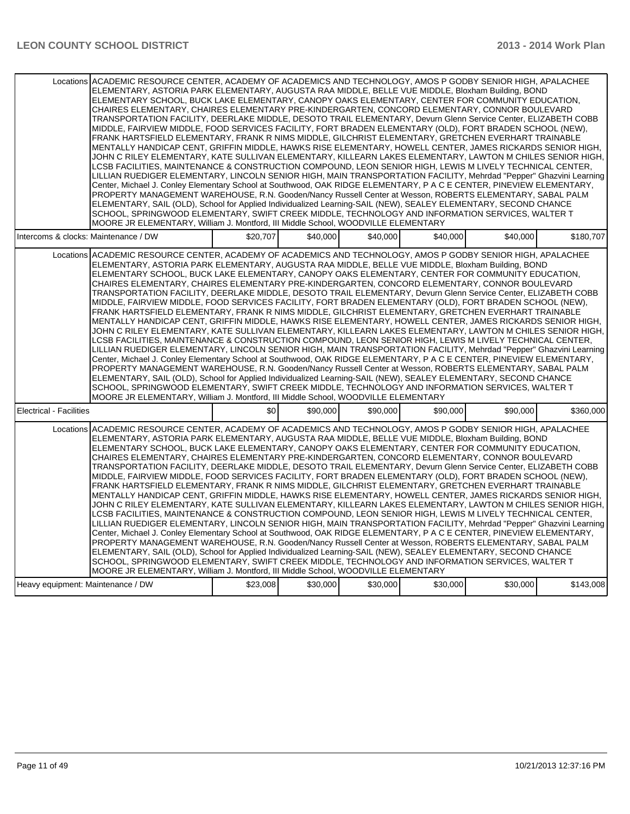| Locations ACADEMIC RESOURCE CENTER, ACADEMY OF ACADEMICS AND TECHNOLOGY, AMOS P GODBY SENIOR HIGH, APALACHEE<br>ELEMENTARY, ASTORIA PARK ELEMENTARY, AUGUSTA RAA MIDDLE, BELLE VUE MIDDLE, Bloxham Building, BOND<br>ELEMENTARY SCHOOL, BUCK LAKE ELEMENTARY, CANOPY OAKS ELEMENTARY, CENTER FOR COMMUNITY EDUCATION,<br>CHAIRES ELEMENTARY, CHAIRES ELEMENTARY PRE-KINDERGARTEN, CONCORD ELEMENTARY, CONNOR BOULEVARD<br>TRANSPORTATION FACILITY, DEERLAKE MIDDLE, DESOTO TRAIL ELEMENTARY, Devurn Glenn Service Center, ELIZABETH COBB<br>MIDDLE, FAIRVIEW MIDDLE, FOOD SERVICES FACILITY, FORT BRADEN ELEMENTARY (OLD), FORT BRADEN SCHOOL (NEW),<br>FRANK HARTSFIELD ELEMENTARY, FRANK R NIMS MIDDLE, GILCHRIST ELEMENTARY, GRETCHEN EVERHART TRAINABLE<br>MENTALLY HANDICAP CENT, GRIFFIN MIDDLE, HAWKS RISE ELEMENTARY, HOWELL CENTER, JAMES RICKARDS SENIOR HIGH,<br>JOHN C RILEY ELEMENTARY, KATE SULLIVAN ELEMENTARY, KILLEARN LAKES ELEMENTARY, LAWTON M CHILES SENIOR HIGH,<br>LCSB FACILITIES, MAINTENANCE & CONSTRUCTION COMPOUND, LEON SENIOR HIGH, LEWIS M LIVELY TECHNICAL CENTER,<br>LILLIAN RUEDIGER ELEMENTARY, LINCOLN SENIOR HIGH, MAIN TRANSPORTATION FACILITY, Mehrdad "Pepper" Ghazvini Learning<br>Center, Michael J. Conley Elementary School at Southwood, OAK RIDGE ELEMENTARY, P A C E CENTER, PINEVIEW ELEMENTARY,<br>PROPERTY MANAGEMENT WAREHOUSE, R.N. Gooden/Nancy Russell Center at Wesson, ROBERTS ELEMENTARY, SABAL PALM<br>ELEMENTARY, SAIL (OLD), School for Applied Individualized Learning-SAIL (NEW), SEALEY ELEMENTARY, SECOND CHANCE<br>SCHOOL, SPRINGWOOD ELEMENTARY, SWIFT CREEK MIDDLE, TECHNOLOGY AND INFORMATION SERVICES, WALTER T<br>MOORE JR ELEMENTARY, William J. Montford, III Middle School, WOODVILLE ELEMENTARY |          |          |          |          |          |           |
|---------------------------------------------------------------------------------------------------------------------------------------------------------------------------------------------------------------------------------------------------------------------------------------------------------------------------------------------------------------------------------------------------------------------------------------------------------------------------------------------------------------------------------------------------------------------------------------------------------------------------------------------------------------------------------------------------------------------------------------------------------------------------------------------------------------------------------------------------------------------------------------------------------------------------------------------------------------------------------------------------------------------------------------------------------------------------------------------------------------------------------------------------------------------------------------------------------------------------------------------------------------------------------------------------------------------------------------------------------------------------------------------------------------------------------------------------------------------------------------------------------------------------------------------------------------------------------------------------------------------------------------------------------------------------------------------------------------------------------------------------------------------------|----------|----------|----------|----------|----------|-----------|
| Intercoms & clocks: Maintenance / DW                                                                                                                                                                                                                                                                                                                                                                                                                                                                                                                                                                                                                                                                                                                                                                                                                                                                                                                                                                                                                                                                                                                                                                                                                                                                                                                                                                                                                                                                                                                                                                                                                                                                                                                                      | \$20,707 | \$40,000 | \$40,000 | \$40,000 | \$40,000 | \$180,707 |
| Locations ACADEMIC RESOURCE CENTER, ACADEMY OF ACADEMICS AND TECHNOLOGY, AMOS P GODBY SENIOR HIGH, APALACHEE<br>ELEMENTARY, ASTORIA PARK ELEMENTARY, AUGUSTA RAA MIDDLE, BELLE VUE MIDDLE, Bloxham Building, BOND<br>ELEMENTARY SCHOOL, BUCK LAKE ELEMENTARY, CANOPY OAKS ELEMENTARY, CENTER FOR COMMUNITY EDUCATION,<br>CHAIRES ELEMENTARY, CHAIRES ELEMENTARY PRE-KINDERGARTEN, CONCORD ELEMENTARY, CONNOR BOULEVARD<br>TRANSPORTATION FACILITY, DEERLAKE MIDDLE, DESOTO TRAIL ELEMENTARY, Devurn Glenn Service Center, ELIZABETH COBB<br>MIDDLE, FAIRVIEW MIDDLE, FOOD SERVICES FACILITY, FORT BRADEN ELEMENTARY (OLD), FORT BRADEN SCHOOL (NEW),<br>FRANK HARTSFIELD ELEMENTARY, FRANK R NIMS MIDDLE, GILCHRIST ELEMENTARY, GRETCHEN EVERHART TRAINABLE<br>MENTALLY HANDICAP CENT, GRIFFIN MIDDLE, HAWKS RISE ELEMENTARY, HOWELL CENTER, JAMES RICKARDS SENIOR HIGH,<br>JOHN C RILEY ELEMENTARY, KATE SULLIVAN ELEMENTARY, KILLEARN LAKES ELEMENTARY, LAWTON M CHILES SENIOR HIGH,<br>LCSB FACILITIES, MAINTENANCE & CONSTRUCTION COMPOUND, LEON SENIOR HIGH, LEWIS M LIVELY TECHNICAL CENTER,<br>LILLIAN RUEDIGER ELEMENTARY, LINCOLN SENIOR HIGH, MAIN TRANSPORTATION FACILITY, Mehrdad "Pepper" Ghazvini Learning<br>Center, Michael J. Conley Elementary School at Southwood, OAK RIDGE ELEMENTARY, P A C E CENTER, PINEVIEW ELEMENTARY,<br>PROPERTY MANAGEMENT WAREHOUSE, R.N. Gooden/Nancy Russell Center at Wesson, ROBERTS ELEMENTARY, SABAL PALM<br>ELEMENTARY, SAIL (OLD), School for Applied Individualized Learning-SAIL (NEW), SEALEY ELEMENTARY, SECOND CHANCE<br>SCHOOL, SPRINGWOOD ELEMENTARY, SWIFT CREEK MIDDLE. TECHNOLOGY AND INFORMATION SERVICES, WALTER T<br>MOORE JR ELEMENTARY, William J. Montford, III Middle School, WOODVILLE ELEMENTARY |          |          |          |          |          |           |
| <b>Electrical - Facilities</b>                                                                                                                                                                                                                                                                                                                                                                                                                                                                                                                                                                                                                                                                                                                                                                                                                                                                                                                                                                                                                                                                                                                                                                                                                                                                                                                                                                                                                                                                                                                                                                                                                                                                                                                                            | \$0      | \$90,000 | \$90,000 | \$90,000 | \$90,000 | \$360,000 |
| Locations ACADEMIC RESOURCE CENTER, ACADEMY OF ACADEMICS AND TECHNOLOGY, AMOS P GODBY SENIOR HIGH, APALACHEE<br>ELEMENTARY, ASTORIA PARK ELEMENTARY, AUGUSTA RAA MIDDLE, BELLE VUE MIDDLE, Bloxham Building, BOND<br>ELEMENTARY SCHOOL, BUCK LAKE ELEMENTARY, CANOPY OAKS ELEMENTARY, CENTER FOR COMMUNITY EDUCATION,<br>CHAIRES ELEMENTARY, CHAIRES ELEMENTARY PRE-KINDERGARTEN, CONCORD ELEMENTARY, CONNOR BOULEVARD<br>TRANSPORTATION FACILITY, DEERLAKE MIDDLE, DESOTO TRAIL ELEMENTARY, Devurn Glenn Service Center, ELIZABETH COBB<br>MIDDLE, FAIRVIEW MIDDLE, FOOD SERVICES FACILITY, FORT BRADEN ELEMENTARY (OLD), FORT BRADEN SCHOOL (NEW),<br>FRANK HARTSFIELD ELEMENTARY. FRANK R NIMS MIDDLE, GILCHRIST ELEMENTARY, GRETCHEN EVERHART TRAINABLE<br>MENTALLY HANDICAP CENT, GRIFFIN MIDDLE, HAWKS RISE ELEMENTARY, HOWELL CENTER, JAMES RICKARDS SENIOR HIGH,<br>JOHN C RILEY ELEMENTARY. KATE SULLIVAN ELEMENTARY. KILLEARN LAKES ELEMENTARY. LAWTON M CHILES SENIOR HIGH.<br>LCSB FACILITIES, MAINTENANCE & CONSTRUCTION COMPOUND, LEON SENIOR HIGH, LEWIS M LIVELY TECHNICAL CENTER,<br>LILLIAN RUEDIGER ELEMENTARY, LINCOLN SENIOR HIGH, MAIN TRANSPORTATION FACILITY, Mehrdad "Pepper" Ghazvini Learning<br>Center, Michael J. Conley Elementary School at Southwood, OAK RIDGE ELEMENTARY, P A C E CENTER, PINEVIEW ELEMENTARY,<br>PROPERTY MANAGEMENT WAREHOUSE, R.N. Gooden/Nancy Russell Center at Wesson, ROBERTS ELEMENTARY, SABAL PALM<br>ELEMENTARY, SAIL (OLD), School for Applied Individualized Learning-SAIL (NEW), SEALEY ELEMENTARY, SECOND CHANCE<br>SCHOOL, SPRINGWOOD ELEMENTARY, SWIFT CREEK MIDDLE, TECHNOLOGY AND INFORMATION SERVICES, WALTER T<br>MOORE JR ELEMENTARY, William J. Montford, III Middle School, WOODVILLE ELEMENTARY |          |          |          |          |          |           |
| Heavy equipment: Maintenance / DW                                                                                                                                                                                                                                                                                                                                                                                                                                                                                                                                                                                                                                                                                                                                                                                                                                                                                                                                                                                                                                                                                                                                                                                                                                                                                                                                                                                                                                                                                                                                                                                                                                                                                                                                         | \$23,008 | \$30,000 | \$30,000 | \$30,000 | \$30,000 | \$143,008 |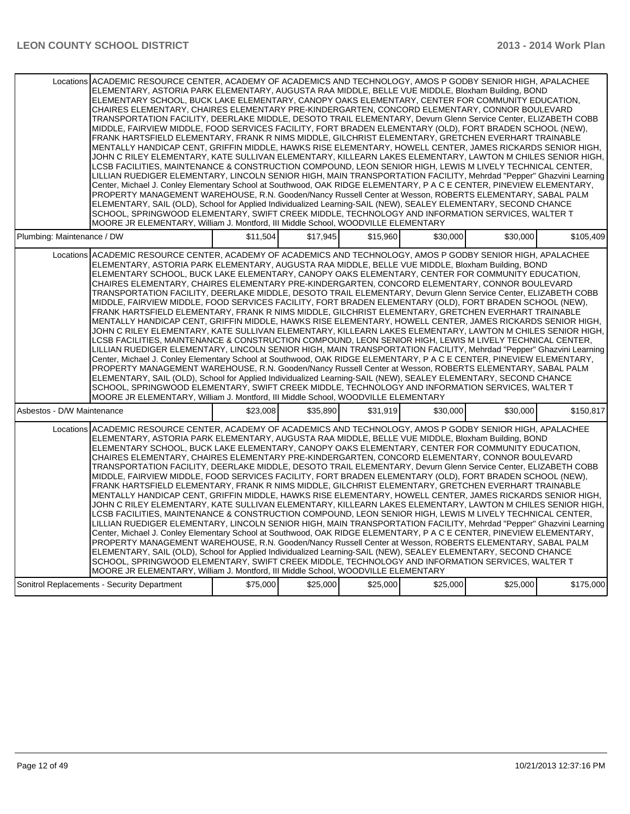| Locations ACADEMIC RESOURCE CENTER, ACADEMY OF ACADEMICS AND TECHNOLOGY, AMOS P GODBY SENIOR HIGH, APALACHEE<br>ELEMENTARY, ASTORIA PARK ELEMENTARY, AUGUSTA RAA MIDDLE, BELLE VUE MIDDLE, Bloxham Building, BOND<br>ELEMENTARY SCHOOL, BUCK LAKE ELEMENTARY, CANOPY OAKS ELEMENTARY, CENTER FOR COMMUNITY EDUCATION,<br>CHAIRES ELEMENTARY, CHAIRES ELEMENTARY PRE-KINDERGARTEN, CONCORD ELEMENTARY, CONNOR BOULEVARD<br>TRANSPORTATION FACILITY, DEERLAKE MIDDLE, DESOTO TRAIL ELEMENTARY, Devurn Glenn Service Center, ELIZABETH COBB<br>MIDDLE, FAIRVIEW MIDDLE, FOOD SERVICES FACILITY, FORT BRADEN ELEMENTARY (OLD), FORT BRADEN SCHOOL (NEW),<br>FRANK HARTSFIELD ELEMENTARY, FRANK R NIMS MIDDLE, GILCHRIST ELEMENTARY, GRETCHEN EVERHART TRAINABLE<br>MENTALLY HANDICAP CENT, GRIFFIN MIDDLE, HAWKS RISE ELEMENTARY, HOWELL CENTER, JAMES RICKARDS SENIOR HIGH,<br>JOHN C RILEY ELEMENTARY, KATE SULLIVAN ELEMENTARY, KILLEARN LAKES ELEMENTARY, LAWTON M CHILES SENIOR HIGH,<br>LCSB FACILITIES. MAINTENANCE & CONSTRUCTION COMPOUND. LEON SENIOR HIGH. LEWIS M LIVELY TECHNICAL CENTER.<br>LILLIAN RUEDIGER ELEMENTARY, LINCOLN SENIOR HIGH, MAIN TRANSPORTATION FACILITY, Mehrdad "Pepper" Ghazvini Learning<br>Center, Michael J. Conley Elementary School at Southwood, OAK RIDGE ELEMENTARY, P A C E CENTER, PINEVIEW ELEMENTARY,<br>PROPERTY MANAGEMENT WAREHOUSE, R.N. Gooden/Nancy Russell Center at Wesson, ROBERTS ELEMENTARY, SABAL PALM<br>ELEMENTARY, SAIL (OLD), School for Applied Individualized Learning-SAIL (NEW), SEALEY ELEMENTARY, SECOND CHANCE<br>SCHOOL, SPRINGWOOD ELEMENTARY, SWIFT CREEK MIDDLE, TECHNOLOGY AND INFORMATION SERVICES, WALTER T<br>MOORE JR ELEMENTARY, William J. Montford, III Middle School, WOODVILLE ELEMENTARY |          |          |          |          |          |           |
|---------------------------------------------------------------------------------------------------------------------------------------------------------------------------------------------------------------------------------------------------------------------------------------------------------------------------------------------------------------------------------------------------------------------------------------------------------------------------------------------------------------------------------------------------------------------------------------------------------------------------------------------------------------------------------------------------------------------------------------------------------------------------------------------------------------------------------------------------------------------------------------------------------------------------------------------------------------------------------------------------------------------------------------------------------------------------------------------------------------------------------------------------------------------------------------------------------------------------------------------------------------------------------------------------------------------------------------------------------------------------------------------------------------------------------------------------------------------------------------------------------------------------------------------------------------------------------------------------------------------------------------------------------------------------------------------------------------------------------------------------------------------------|----------|----------|----------|----------|----------|-----------|
| Plumbing: Maintenance / DW                                                                                                                                                                                                                                                                                                                                                                                                                                                                                                                                                                                                                                                                                                                                                                                                                                                                                                                                                                                                                                                                                                                                                                                                                                                                                                                                                                                                                                                                                                                                                                                                                                                                                                                                                | \$11.504 | \$17.945 | \$15.960 | \$30,000 | \$30.000 | \$105.409 |
| Locations ACADEMIC RESOURCE CENTER, ACADEMY OF ACADEMICS AND TECHNOLOGY, AMOS P GODBY SENIOR HIGH, APALACHEE<br>ELEMENTARY, ASTORIA PARK ELEMENTARY, AUGUSTA RAA MIDDLE, BELLE VUE MIDDLE, Bloxham Building, BOND<br>ELEMENTARY SCHOOL, BUCK LAKE ELEMENTARY, CANOPY OAKS ELEMENTARY, CENTER FOR COMMUNITY EDUCATION,<br>CHAIRES ELEMENTARY, CHAIRES ELEMENTARY PRE-KINDERGARTEN, CONCORD ELEMENTARY, CONNOR BOULEVARD<br>TRANSPORTATION FACILITY, DEERLAKE MIDDLE, DESOTO TRAIL ELEMENTARY, Devurn Glenn Service Center, ELIZABETH COBB<br>MIDDLE, FAIRVIEW MIDDLE, FOOD SERVICES FACILITY, FORT BRADEN ELEMENTARY (OLD), FORT BRADEN SCHOOL (NEW),<br>FRANK HARTSFIELD ELEMENTARY, FRANK R NIMS MIDDLE, GILCHRIST ELEMENTARY, GRETCHEN EVERHART TRAINABLE<br>MENTALLY HANDICAP CENT, GRIFFIN MIDDLE, HAWKS RISE ELEMENTARY, HOWELL CENTER, JAMES RICKARDS SENIOR HIGH,<br>JOHN C RILEY ELEMENTARY, KATE SULLIVAN ELEMENTARY, KILLEARN LAKES ELEMENTARY, LAWTON M CHILES SENIOR HIGH,<br>LCSB FACILITIES, MAINTENANCE & CONSTRUCTION COMPOUND, LEON SENIOR HIGH, LEWIS M LIVELY TECHNICAL CENTER,<br>LILLIAN RUEDIGER ELEMENTARY, LINCOLN SENIOR HIGH, MAIN TRANSPORTATION FACILITY, Mehrdad "Pepper" Ghazvini Learning<br>Center, Michael J. Conley Elementary School at Southwood, OAK RIDGE ELEMENTARY, P A C E CENTER, PINEVIEW ELEMENTARY,<br>PROPERTY MANAGEMENT WAREHOUSE, R.N. Gooden/Nancy Russell Center at Wesson, ROBERTS ELEMENTARY, SABAL PALM<br>ELEMENTARY, SAIL (OLD), School for Applied Individualized Learning-SAIL (NEW), SEALEY ELEMENTARY, SECOND CHANCE<br>SCHOOL, SPRINGWOOD ELEMENTARY, SWIFT CREEK MIDDLE, TECHNOLOGY AND INFORMATION SERVICES, WALTER T<br>MOORE JR ELEMENTARY, William J. Montford, III Middle School, WOODVILLE ELEMENTARY |          |          |          |          |          |           |
| Asbestos - D/W Maintenance                                                                                                                                                                                                                                                                                                                                                                                                                                                                                                                                                                                                                                                                                                                                                                                                                                                                                                                                                                                                                                                                                                                                                                                                                                                                                                                                                                                                                                                                                                                                                                                                                                                                                                                                                | \$23,008 | \$35,890 | \$31,919 | \$30,000 | \$30,000 | \$150,817 |
| Locations ACADEMIC RESOURCE CENTER. ACADEMY OF ACADEMICS AND TECHNOLOGY. AMOS P GODBY SENIOR HIGH. APALACHEE<br>ELEMENTARY, ASTORIA PARK ELEMENTARY, AUGUSTA RAA MIDDLE, BELLE VUE MIDDLE, Bloxham Building, BOND<br>ELEMENTARY SCHOOL, BUCK LAKE ELEMENTARY, CANOPY OAKS ELEMENTARY, CENTER FOR COMMUNITY EDUCATION,<br>CHAIRES ELEMENTARY, CHAIRES ELEMENTARY PRE-KINDERGARTEN, CONCORD ELEMENTARY, CONNOR BOULEVARD<br>TRANSPORTATION FACILITY, DEERLAKE MIDDLE, DESOTO TRAIL ELEMENTARY, Devurn Glenn Service Center, ELIZABETH COBB<br>MIDDLE, FAIRVIEW MIDDLE, FOOD SERVICES FACILITY, FORT BRADEN ELEMENTARY (OLD), FORT BRADEN SCHOOL (NEW),<br>FRANK HARTSFIELD ELEMENTARY, FRANK R NIMS MIDDLE, GILCHRIST ELEMENTARY, GRETCHEN EVERHART TRAINABLE<br>MENTALLY HANDICAP CENT, GRIFFIN MIDDLE, HAWKS RISE ELEMENTARY, HOWELL CENTER, JAMES RICKARDS SENIOR HIGH,<br>JOHN C RILEY ELEMENTARY, KATE SULLIVAN ELEMENTARY, KILLEARN LAKES ELEMENTARY, LAWTON M CHILES SENIOR HIGH,<br>LCSB FACILITIES, MAINTENANCE & CONSTRUCTION COMPOUND, LEON SENIOR HIGH, LEWIS M LIVELY TECHNICAL CENTER,<br>LILLIAN RUEDIGER ELEMENTARY, LINCOLN SENIOR HIGH, MAIN TRANSPORTATION FACILITY, Mehrdad "Pepper" Ghazvini Learning<br>Center, Michael J. Conley Elementary School at Southwood, OAK RIDGE ELEMENTARY, P A C E CENTER, PINEVIEW ELEMENTARY,<br>PROPERTY MANAGEMENT WAREHOUSE, R.N. Gooden/Nancy Russell Center at Wesson, ROBERTS ELEMENTARY, SABAL PALM<br>ELEMENTARY, SAIL (OLD), School for Applied Individualized Learning-SAIL (NEW), SEALEY ELEMENTARY, SECOND CHANCE<br>SCHOOL, SPRINGWOOD ELEMENTARY, SWIFT CREEK MIDDLE, TECHNOLOGY AND INFORMATION SERVICES, WALTER T<br>MOORE JR ELEMENTARY, William J. Montford, III Middle School, WOODVILLE ELEMENTARY |          |          |          |          |          |           |
| Sonitrol Replacements - Security Department                                                                                                                                                                                                                                                                                                                                                                                                                                                                                                                                                                                                                                                                                                                                                                                                                                                                                                                                                                                                                                                                                                                                                                                                                                                                                                                                                                                                                                                                                                                                                                                                                                                                                                                               | \$75,000 | \$25,000 | \$25,000 | \$25,000 | \$25,000 | \$175,000 |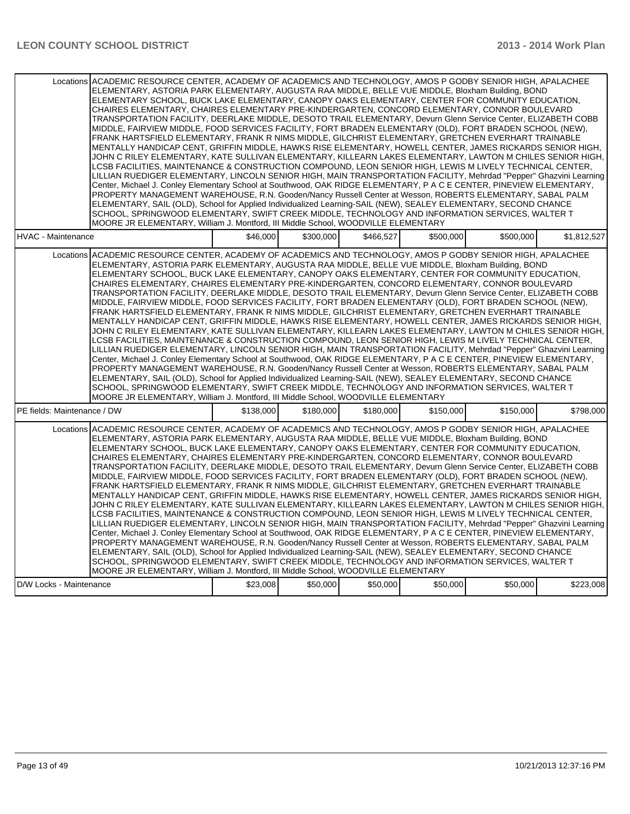| Locations ACADEMIC RESOURCE CENTER, ACADEMY OF ACADEMICS AND TECHNOLOGY, AMOS P GODBY SENIOR HIGH, APALACHEE<br>ELEMENTARY, ASTORIA PARK ELEMENTARY, AUGUSTA RAA MIDDLE, BELLE VUE MIDDLE, Bloxham Building, BOND<br>ELEMENTARY SCHOOL, BUCK LAKE ELEMENTARY, CANOPY OAKS ELEMENTARY, CENTER FOR COMMUNITY EDUCATION,<br>CHAIRES ELEMENTARY, CHAIRES ELEMENTARY PRE-KINDERGARTEN, CONCORD ELEMENTARY, CONNOR BOULEVARD<br>TRANSPORTATION FACILITY, DEERLAKE MIDDLE, DESOTO TRAIL ELEMENTARY, Devurn Glenn Service Center, ELIZABETH COBB<br>MIDDLE, FAIRVIEW MIDDLE, FOOD SERVICES FACILITY, FORT BRADEN ELEMENTARY (OLD), FORT BRADEN SCHOOL (NEW),<br>FRANK HARTSFIELD ELEMENTARY, FRANK R NIMS MIDDLE, GILCHRIST ELEMENTARY, GRETCHEN EVERHART TRAINABLE<br>MENTALLY HANDICAP CENT. GRIFFIN MIDDLE. HAWKS RISE ELEMENTARY. HOWELL CENTER. JAMES RICKARDS SENIOR HIGH.<br>JOHN C RILEY ELEMENTARY, KATE SULLIVAN ELEMENTARY, KILLEARN LAKES ELEMENTARY, LAWTON M CHILES SENIOR HIGH,<br>LCSB FACILITIES, MAINTENANCE & CONSTRUCTION COMPOUND, LEON SENIOR HIGH, LEWIS M LIVELY TECHNICAL CENTER,<br>LILLIAN RUEDIGER ELEMENTARY, LINCOLN SENIOR HIGH, MAIN TRANSPORTATION FACILITY, Mehrdad "Pepper" Ghazvini Learning<br>Center, Michael J. Conley Elementary School at Southwood, OAK RIDGE ELEMENTARY, P A C E CENTER, PINEVIEW ELEMENTARY,<br>PROPERTY MANAGEMENT WAREHOUSE, R.N. Gooden/Nancy Russell Center at Wesson, ROBERTS ELEMENTARY, SABAL PALM<br>ELEMENTARY, SAIL (OLD), School for Applied Individualized Learning-SAIL (NEW), SEALEY ELEMENTARY, SECOND CHANCE<br>SCHOOL, SPRINGWOOD ELEMENTARY, SWIFT CREEK MIDDLE, TECHNOLOGY AND INFORMATION SERVICES, WALTER T<br>MOORE JR ELEMENTARY, William J. Montford, III Middle School, WOODVILLE ELEMENTARY |           |           |           |           |           |             |
|---------------------------------------------------------------------------------------------------------------------------------------------------------------------------------------------------------------------------------------------------------------------------------------------------------------------------------------------------------------------------------------------------------------------------------------------------------------------------------------------------------------------------------------------------------------------------------------------------------------------------------------------------------------------------------------------------------------------------------------------------------------------------------------------------------------------------------------------------------------------------------------------------------------------------------------------------------------------------------------------------------------------------------------------------------------------------------------------------------------------------------------------------------------------------------------------------------------------------------------------------------------------------------------------------------------------------------------------------------------------------------------------------------------------------------------------------------------------------------------------------------------------------------------------------------------------------------------------------------------------------------------------------------------------------------------------------------------------------------------------------------------------------|-----------|-----------|-----------|-----------|-----------|-------------|
| <b>HVAC - Maintenance</b>                                                                                                                                                                                                                                                                                                                                                                                                                                                                                                                                                                                                                                                                                                                                                                                                                                                                                                                                                                                                                                                                                                                                                                                                                                                                                                                                                                                                                                                                                                                                                                                                                                                                                                                                                 | \$46,000  | \$300,000 | \$466,527 | \$500,000 | \$500,000 | \$1,812,527 |
| Locations ACADEMIC RESOURCE CENTER, ACADEMY OF ACADEMICS AND TECHNOLOGY, AMOS P GODBY SENIOR HIGH, APALACHEE<br>ELEMENTARY, ASTORIA PARK ELEMENTARY, AUGUSTA RAA MIDDLE, BELLE VUE MIDDLE, Bloxham Building, BOND<br>ELEMENTARY SCHOOL, BUCK LAKE ELEMENTARY, CANOPY OAKS ELEMENTARY, CENTER FOR COMMUNITY EDUCATION,<br>CHAIRES ELEMENTARY, CHAIRES ELEMENTARY PRE-KINDERGARTEN, CONCORD ELEMENTARY, CONNOR BOULEVARD<br>TRANSPORTATION FACILITY, DEERLAKE MIDDLE, DESOTO TRAIL ELEMENTARY, Devurn Glenn Service Center, ELIZABETH COBB<br>MIDDLE, FAIRVIEW MIDDLE, FOOD SERVICES FACILITY, FORT BRADEN ELEMENTARY (OLD), FORT BRADEN SCHOOL (NEW),<br>FRANK HARTSFIELD ELEMENTARY, FRANK R NIMS MIDDLE, GILCHRIST ELEMENTARY, GRETCHEN EVERHART TRAINABLE<br>MENTALLY HANDICAP CENT, GRIFFIN MIDDLE, HAWKS RISE ELEMENTARY, HOWELL CENTER, JAMES RICKARDS SENIOR HIGH,<br>JOHN C RILEY ELEMENTARY, KATE SULLIVAN ELEMENTARY, KILLEARN LAKES ELEMENTARY, LAWTON M CHILES SENIOR HIGH,<br>LCSB FACILITIES, MAINTENANCE & CONSTRUCTION COMPOUND, LEON SENIOR HIGH, LEWIS M LIVELY TECHNICAL CENTER,<br>LILLIAN RUEDIGER ELEMENTARY, LINCOLN SENIOR HIGH, MAIN TRANSPORTATION FACILITY, Mehrdad "Pepper" Ghazvini Learning<br>Center, Michael J. Conley Elementary School at Southwood, OAK RIDGE ELEMENTARY, P A C E CENTER, PINEVIEW ELEMENTARY,<br>PROPERTY MANAGEMENT WAREHOUSE, R.N. Gooden/Nancy Russell Center at Wesson, ROBERTS ELEMENTARY, SABAL PALM<br>ELEMENTARY, SAIL (OLD), School for Applied Individualized Learning-SAIL (NEW), SEALEY ELEMENTARY, SECOND CHANCE<br>SCHOOL, SPRINGWOOD ELEMENTARY, SWIFT CREEK MIDDLE, TECHNOLOGY AND INFORMATION SERVICES, WALTER T<br>MOORE JR ELEMENTARY, William J. Montford, III Middle School, WOODVILLE ELEMENTARY |           |           |           |           |           |             |
| PE fields: Maintenance / DW                                                                                                                                                                                                                                                                                                                                                                                                                                                                                                                                                                                                                                                                                                                                                                                                                                                                                                                                                                                                                                                                                                                                                                                                                                                                                                                                                                                                                                                                                                                                                                                                                                                                                                                                               | \$138,000 | \$180,000 | \$180,000 | \$150,000 | \$150,000 | \$798,000   |
| Locations ACADEMIC RESOURCE CENTER, ACADEMY OF ACADEMICS AND TECHNOLOGY, AMOS P GODBY SENIOR HIGH, APALACHEE<br>ELEMENTARY, ASTORIA PARK ELEMENTARY, AUGUSTA RAA MIDDLE, BELLE VUE MIDDLE, Bloxham Building, BOND<br>ELEMENTARY SCHOOL, BUCK LAKE ELEMENTARY, CANOPY OAKS ELEMENTARY, CENTER FOR COMMUNITY EDUCATION,<br>CHAIRES ELEMENTARY, CHAIRES ELEMENTARY PRE-KINDERGARTEN, CONCORD ELEMENTARY, CONNOR BOULEVARD<br>TRANSPORTATION FACILITY, DEERLAKE MIDDLE, DESOTO TRAIL ELEMENTARY, Devurn Glenn Service Center, ELIZABETH COBB<br>MIDDLE, FAIRVIEW MIDDLE, FOOD SERVICES FACILITY, FORT BRADEN ELEMENTARY (OLD), FORT BRADEN SCHOOL (NEW),<br>FRANK HARTSFIELD ELEMENTARY, FRANK R NIMS MIDDLE, GILCHRIST ELEMENTARY, GRETCHEN EVERHART TRAINABLE<br>MENTALLY HANDICAP CENT, GRIFFIN MIDDLE, HAWKS RISE ELEMENTARY, HOWELL CENTER, JAMES RICKARDS SENIOR HIGH,<br>JOHN C RILEY ELEMENTARY, KATE SULLIVAN ELEMENTARY, KILLEARN LAKES ELEMENTARY, LAWTON M CHILES SENIOR HIGH,<br>LCSB FACILITIES, MAINTENANCE & CONSTRUCTION COMPOUND, LEON SENIOR HIGH, LEWIS M LIVELY TECHNICAL CENTER,<br>LILLIAN RUEDIGER ELEMENTARY, LINCOLN SENIOR HIGH, MAIN TRANSPORTATION FACILITY, Mehrdad "Pepper" Ghazvini Learning<br>Center, Michael J. Conley Elementary School at Southwood, OAK RIDGE ELEMENTARY, P A C E CENTER, PINEVIEW ELEMENTARY,<br>PROPERTY MANAGEMENT WAREHOUSE, R.N. Gooden/Nancy Russell Center at Wesson, ROBERTS ELEMENTARY, SABAL PALM<br>ELEMENTARY, SAIL (OLD), School for Applied Individualized Learning-SAIL (NEW), SEALEY ELEMENTARY, SECOND CHANCE<br>SCHOOL, SPRINGWOOD ELEMENTARY, SWIFT CREEK MIDDLE, TECHNOLOGY AND INFORMATION SERVICES, WALTER T<br>MOORE JR ELEMENTARY, William J. Montford, III Middle School, WOODVILLE ELEMENTARY |           |           |           |           |           |             |
| D/W Locks - Maintenance                                                                                                                                                                                                                                                                                                                                                                                                                                                                                                                                                                                                                                                                                                                                                                                                                                                                                                                                                                                                                                                                                                                                                                                                                                                                                                                                                                                                                                                                                                                                                                                                                                                                                                                                                   | \$23,008  | \$50,000  | \$50,000  | \$50,000  | \$50,000  | \$223,008   |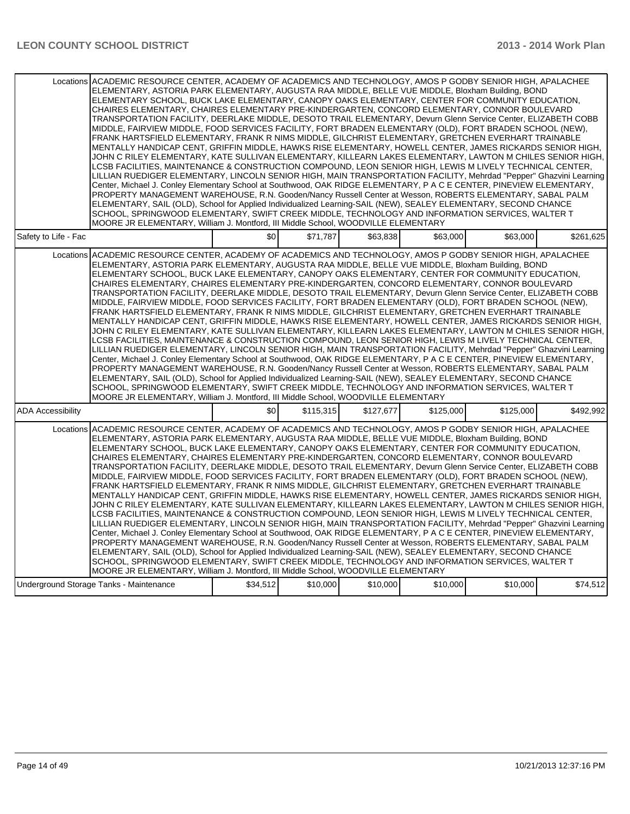| Locations ACADEMIC RESOURCE CENTER, ACADEMY OF ACADEMICS AND TECHNOLOGY, AMOS P GODBY SENIOR HIGH, APALACHEE |                                                                                          |           |           |           | ELEMENTARY, ASTORIA PARK ELEMENTARY, AUGUSTA RAA MIDDLE, BELLE VUE MIDDLE, Bloxham Building, BOND<br>ELEMENTARY SCHOOL, BUCK LAKE ELEMENTARY, CANOPY OAKS ELEMENTARY, CENTER FOR COMMUNITY EDUCATION,<br>CHAIRES ELEMENTARY, CHAIRES ELEMENTARY PRE-KINDERGARTEN, CONCORD ELEMENTARY, CONNOR BOULEVARD<br>TRANSPORTATION FACILITY, DEERLAKE MIDDLE, DESOTO TRAIL ELEMENTARY, Devurn Glenn Service Center, ELIZABETH COBB<br>MIDDLE, FAIRVIEW MIDDLE, FOOD SERVICES FACILITY, FORT BRADEN ELEMENTARY (OLD), FORT BRADEN SCHOOL (NEW),<br>FRANK HARTSFIELD ELEMENTARY, FRANK R NIMS MIDDLE, GILCHRIST ELEMENTARY, GRETCHEN EVERHART TRAINABLE<br>MENTALLY HANDICAP CENT, GRIFFIN MIDDLE, HAWKS RISE ELEMENTARY, HOWELL CENTER, JAMES RICKARDS SENIOR HIGH,<br>JOHN C RILEY ELEMENTARY, KATE SULLIVAN ELEMENTARY, KILLEARN LAKES ELEMENTARY, LAWTON M CHILES SENIOR HIGH, I<br>LCSB FACILITIES, MAINTENANCE & CONSTRUCTION COMPOUND, LEON SENIOR HIGH, LEWIS M LIVELY TECHNICAL CENTER,<br>LILLIAN RUEDIGER ELEMENTARY, LINCOLN SENIOR HIGH, MAIN TRANSPORTATION FACILITY, Mehrdad "Pepper" Ghazvini Learning<br>Center, Michael J. Conley Elementary School at Southwood, OAK RIDGE ELEMENTARY, P A C E CENTER, PINEVIEW ELEMENTARY,<br>PROPERTY MANAGEMENT WAREHOUSE, R.N. Gooden/Nancy Russell Center at Wesson, ROBERTS ELEMENTARY, SABAL PALM<br>ELEMENTARY, SAIL (OLD), School for Applied Individualized Learning-SAIL (NEW), SEALEY ELEMENTARY, SECOND CHANCE<br>SCHOOL, SPRINGWOOD ELEMENTARY, SWIFT CREEK MIDDLE, TECHNOLOGY AND INFORMATION SERVICES, WALTER T                                                                                                     |           |
|--------------------------------------------------------------------------------------------------------------|------------------------------------------------------------------------------------------|-----------|-----------|-----------|----------------------------------------------------------------------------------------------------------------------------------------------------------------------------------------------------------------------------------------------------------------------------------------------------------------------------------------------------------------------------------------------------------------------------------------------------------------------------------------------------------------------------------------------------------------------------------------------------------------------------------------------------------------------------------------------------------------------------------------------------------------------------------------------------------------------------------------------------------------------------------------------------------------------------------------------------------------------------------------------------------------------------------------------------------------------------------------------------------------------------------------------------------------------------------------------------------------------------------------------------------------------------------------------------------------------------------------------------------------------------------------------------------------------------------------------------------------------------------------------------------------------------------------------------------------------------------------------------------------------------------------------------------------------------|-----------|
| Safety to Life - Fac                                                                                         | MOORE JR ELEMENTARY, William J. Montford, III Middle School, WOODVILLE ELEMENTARY<br>\$0 | \$71,787  | \$63,838  | \$63,000  | \$63,000                                                                                                                                                                                                                                                                                                                                                                                                                                                                                                                                                                                                                                                                                                                                                                                                                                                                                                                                                                                                                                                                                                                                                                                                                                                                                                                                                                                                                                                                                                                                                                                                                                                                   | \$261,625 |
| Locations ACADEMIC RESOURCE CENTER, ACADEMY OF ACADEMICS AND TECHNOLOGY, AMOS P GODBY SENIOR HIGH, APALACHEE | MOORE JR ELEMENTARY, William J. Montford, III Middle School, WOODVILLE ELEMENTARY        |           |           |           | ELEMENTARY, ASTORIA PARK ELEMENTARY, AUGUSTA RAA MIDDLE, BELLE VUE MIDDLE, Bloxham Building, BOND<br>ELEMENTARY SCHOOL, BUCK LAKE ELEMENTARY, CANOPY OAKS ELEMENTARY, CENTER FOR COMMUNITY EDUCATION,<br>CHAIRES ELEMENTARY, CHAIRES ELEMENTARY PRE-KINDERGARTEN, CONCORD ELEMENTARY, CONNOR BOULEVARD<br>TRANSPORTATION FACILITY, DEERLAKE MIDDLE, DESOTO TRAIL ELEMENTARY, Devurn Glenn Service Center, ELIZABETH COBB<br>MIDDLE, FAIRVIEW MIDDLE, FOOD SERVICES FACILITY, FORT BRADEN ELEMENTARY (OLD), FORT BRADEN SCHOOL (NEW),<br>FRANK HARTSFIELD ELEMENTARY, FRANK R NIMS MIDDLE, GILCHRIST ELEMENTARY, GRETCHEN EVERHART TRAINABLE<br>MENTALLY HANDICAP CENT, GRIFFIN MIDDLE, HAWKS RISE ELEMENTARY, HOWELL CENTER, JAMES RICKARDS SENIOR HIGH,<br>JOHN C RILEY ELEMENTARY, KATE SULLIVAN ELEMENTARY, KILLEARN LAKES ELEMENTARY, LAWTON M CHILES SENIOR HIGH,<br>LCSB FACILITIES, MAINTENANCE & CONSTRUCTION COMPOUND, LEON SENIOR HIGH, LEWIS M LIVELY TECHNICAL CENTER,<br>LILLIAN RUEDIGER ELEMENTARY, LINCOLN SENIOR HIGH, MAIN TRANSPORTATION FACILITY, Mehrdad "Pepper" Ghazvini Learning<br>Center, Michael J. Conley Elementary School at Southwood, OAK RIDGE ELEMENTARY, P A C E CENTER, PINEVIEW ELEMENTARY,<br>PROPERTY MANAGEMENT WAREHOUSE, R.N. Gooden/Nancy Russell Center at Wesson, ROBERTS ELEMENTARY, SABAL PALM<br>ELEMENTARY, SAIL (OLD), School for Applied Individualized Learning-SAIL (NEW), SEALEY ELEMENTARY, SECOND CHANCE<br>SCHOOL, SPRINGWOOD ELEMENTARY, SWIFT CREEK MIDDLE. TECHNOLOGY AND INFORMATION SERVICES, WALTER T                                                                                                       |           |
| <b>ADA Accessibility</b>                                                                                     | \$0                                                                                      | \$115,315 | \$127,677 | \$125,000 | \$125,000                                                                                                                                                                                                                                                                                                                                                                                                                                                                                                                                                                                                                                                                                                                                                                                                                                                                                                                                                                                                                                                                                                                                                                                                                                                                                                                                                                                                                                                                                                                                                                                                                                                                  | \$492,992 |
| Locations                                                                                                    | MOORE JR ELEMENTARY, William J. Montford, III Middle School, WOODVILLE ELEMENTARY        |           |           |           | ACADEMIC RESOURCE CENTER, ACADEMY OF ACADEMICS AND TECHNOLOGY, AMOS P GODBY SENIOR HIGH, APALACHEE<br>ELEMENTARY, ASTORIA PARK ELEMENTARY, AUGUSTA RAA MIDDLE, BELLE VUE MIDDLE, Bloxham Building, BOND<br>ELEMENTARY SCHOOL, BUCK LAKE ELEMENTARY, CANOPY OAKS ELEMENTARY, CENTER FOR COMMUNITY EDUCATION,<br>CHAIRES ELEMENTARY, CHAIRES ELEMENTARY PRE-KINDERGARTEN, CONCORD ELEMENTARY, CONNOR BOULEVARD<br>TRANSPORTATION FACILITY, DEERLAKE MIDDLE, DESOTO TRAIL ELEMENTARY, Devurn Glenn Service Center, ELIZABETH COBB<br>MIDDLE, FAIRVIEW MIDDLE, FOOD SERVICES FACILITY, FORT BRADEN ELEMENTARY (OLD), FORT BRADEN SCHOOL (NEW),<br>FRANK HARTSFIELD ELEMENTARY. FRANK R NIMS MIDDLE, GILCHRIST ELEMENTARY. GRETCHEN EVERHART TRAINABLE<br>MENTALLY HANDICAP CENT, GRIFFIN MIDDLE, HAWKS RISE ELEMENTARY, HOWELL CENTER, JAMES RICKARDS SENIOR HIGH,<br>JOHN C RILEY ELEMENTARY. KATE SULLIVAN ELEMENTARY. KILLEARN LAKES ELEMENTARY. LAWTON M CHILES SENIOR HIGH.<br>LCSB FACILITIES, MAINTENANCE & CONSTRUCTION COMPOUND, LEON SENIOR HIGH, LEWIS M LIVELY TECHNICAL CENTER,<br>LILLIAN RUEDIGER ELEMENTARY, LINCOLN SENIOR HIGH, MAIN TRANSPORTATION FACILITY, Mehrdad "Pepper" Ghazvini Learning<br>Center, Michael J. Conley Elementary School at Southwood, OAK RIDGE ELEMENTARY, P A C E CENTER, PINEVIEW ELEMENTARY,<br>PROPERTY MANAGEMENT WAREHOUSE, R.N. Gooden/Nancy Russell Center at Wesson, ROBERTS ELEMENTARY, SABAL PALM<br>ELEMENTARY, SAIL (OLD), School for Applied Individualized Learning-SAIL (NEW), SEALEY ELEMENTARY, SECOND CHANCE<br>SCHOOL, SPRINGWOOD ELEMENTARY, SWIFT CREEK MIDDLE, TECHNOLOGY AND INFORMATION SERVICES, WALTER T |           |
| Underground Storage Tanks - Maintenance                                                                      | \$34,512                                                                                 | \$10,000  | \$10,000  | \$10,000  | \$10,000                                                                                                                                                                                                                                                                                                                                                                                                                                                                                                                                                                                                                                                                                                                                                                                                                                                                                                                                                                                                                                                                                                                                                                                                                                                                                                                                                                                                                                                                                                                                                                                                                                                                   | \$74,512  |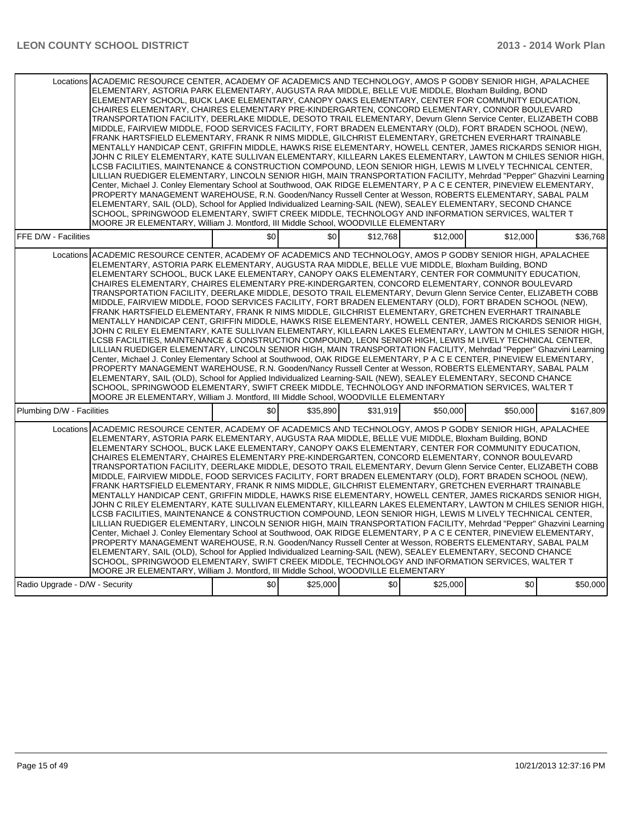| Locations ACADEMIC RESOURCE CENTER, ACADEMY OF ACADEMICS AND TECHNOLOGY, AMOS P GODBY SENIOR HIGH, APALACHEE<br>ELEMENTARY, ASTORIA PARK ELEMENTARY, AUGUSTA RAA MIDDLE, BELLE VUE MIDDLE, Bloxham Building, BOND<br>ELEMENTARY SCHOOL, BUCK LAKE ELEMENTARY, CANOPY OAKS ELEMENTARY, CENTER FOR COMMUNITY EDUCATION,<br>CHAIRES ELEMENTARY, CHAIRES ELEMENTARY PRE-KINDERGARTEN, CONCORD ELEMENTARY, CONNOR BOULEVARD<br>TRANSPORTATION FACILITY, DEERLAKE MIDDLE, DESOTO TRAIL ELEMENTARY, Devurn Glenn Service Center, ELIZABETH COBB<br>MIDDLE, FAIRVIEW MIDDLE, FOOD SERVICES FACILITY, FORT BRADEN ELEMENTARY (OLD), FORT BRADEN SCHOOL (NEW),<br>FRANK HARTSFIELD ELEMENTARY, FRANK R NIMS MIDDLE, GILCHRIST ELEMENTARY, GRETCHEN EVERHART TRAINABLE<br>MENTALLY HANDICAP CENT, GRIFFIN MIDDLE, HAWKS RISE ELEMENTARY, HOWELL CENTER, JAMES RICKARDS SENIOR HIGH,<br>JOHN C RILEY ELEMENTARY, KATE SULLIVAN ELEMENTARY, KILLEARN LAKES ELEMENTARY, LAWTON M CHILES SENIOR HIGH,<br>LCSB FACILITIES. MAINTENANCE & CONSTRUCTION COMPOUND. LEON SENIOR HIGH. LEWIS M LIVELY TECHNICAL CENTER.<br>LILLIAN RUEDIGER ELEMENTARY, LINCOLN SENIOR HIGH, MAIN TRANSPORTATION FACILITY, Mehrdad "Pepper" Ghazvini Learning<br>Center, Michael J. Conley Elementary School at Southwood, OAK RIDGE ELEMENTARY, P A C E CENTER, PINEVIEW ELEMENTARY,<br>PROPERTY MANAGEMENT WAREHOUSE, R.N. Gooden/Nancy Russell Center at Wesson, ROBERTS ELEMENTARY, SABAL PALM<br>ELEMENTARY, SAIL (OLD), School for Applied Individualized Learning-SAIL (NEW), SEALEY ELEMENTARY, SECOND CHANCE<br>SCHOOL, SPRINGWOOD ELEMENTARY, SWIFT CREEK MIDDLE, TECHNOLOGY AND INFORMATION SERVICES, WALTER T<br>MOORE JR ELEMENTARY, William J. Montford, III Middle School, WOODVILLE ELEMENTARY |     |          |          |          |          |           |
|---------------------------------------------------------------------------------------------------------------------------------------------------------------------------------------------------------------------------------------------------------------------------------------------------------------------------------------------------------------------------------------------------------------------------------------------------------------------------------------------------------------------------------------------------------------------------------------------------------------------------------------------------------------------------------------------------------------------------------------------------------------------------------------------------------------------------------------------------------------------------------------------------------------------------------------------------------------------------------------------------------------------------------------------------------------------------------------------------------------------------------------------------------------------------------------------------------------------------------------------------------------------------------------------------------------------------------------------------------------------------------------------------------------------------------------------------------------------------------------------------------------------------------------------------------------------------------------------------------------------------------------------------------------------------------------------------------------------------------------------------------------------------|-----|----------|----------|----------|----------|-----------|
| FFE D/W - Facilities                                                                                                                                                                                                                                                                                                                                                                                                                                                                                                                                                                                                                                                                                                                                                                                                                                                                                                                                                                                                                                                                                                                                                                                                                                                                                                                                                                                                                                                                                                                                                                                                                                                                                                                                                      | \$0 | \$0      | \$12,768 | \$12,000 | \$12,000 | \$36,768  |
| Locations ACADEMIC RESOURCE CENTER, ACADEMY OF ACADEMICS AND TECHNOLOGY, AMOS P GODBY SENIOR HIGH, APALACHEE<br>ELEMENTARY, ASTORIA PARK ELEMENTARY, AUGUSTA RAA MIDDLE, BELLE VUE MIDDLE, Bloxham Building, BOND<br>ELEMENTARY SCHOOL, BUCK LAKE ELEMENTARY, CANOPY OAKS ELEMENTARY, CENTER FOR COMMUNITY EDUCATION,<br>CHAIRES ELEMENTARY, CHAIRES ELEMENTARY PRE-KINDERGARTEN, CONCORD ELEMENTARY, CONNOR BOULEVARD<br>TRANSPORTATION FACILITY, DEERLAKE MIDDLE, DESOTO TRAIL ELEMENTARY, Devurn Glenn Service Center, ELIZABETH COBB<br>MIDDLE, FAIRVIEW MIDDLE, FOOD SERVICES FACILITY, FORT BRADEN ELEMENTARY (OLD), FORT BRADEN SCHOOL (NEW),<br>FRANK HARTSFIELD ELEMENTARY, FRANK R NIMS MIDDLE, GILCHRIST ELEMENTARY, GRETCHEN EVERHART TRAINABLE<br>MENTALLY HANDICAP CENT, GRIFFIN MIDDLE, HAWKS RISE ELEMENTARY, HOWELL CENTER, JAMES RICKARDS SENIOR HIGH,<br>JOHN C RILEY ELEMENTARY, KATE SULLIVAN ELEMENTARY, KILLEARN LAKES ELEMENTARY, LAWTON M CHILES SENIOR HIGH,<br>LCSB FACILITIES, MAINTENANCE & CONSTRUCTION COMPOUND, LEON SENIOR HIGH, LEWIS M LIVELY TECHNICAL CENTER,<br>LILLIAN RUEDIGER ELEMENTARY, LINCOLN SENIOR HIGH, MAIN TRANSPORTATION FACILITY, Mehrdad "Pepper" Ghazvini Learning<br>Center, Michael J. Conley Elementary School at Southwood, OAK RIDGE ELEMENTARY, P A C E CENTER, PINEVIEW ELEMENTARY,<br>PROPERTY MANAGEMENT WAREHOUSE, R.N. Gooden/Nancy Russell Center at Wesson, ROBERTS ELEMENTARY, SABAL PALM<br>ELEMENTARY, SAIL (OLD), School for Applied Individualized Learning-SAIL (NEW), SEALEY ELEMENTARY, SECOND CHANCE<br>SCHOOL, SPRINGWOOD ELEMENTARY, SWIFT CREEK MIDDLE, TECHNOLOGY AND INFORMATION SERVICES, WALTER T<br>MOORE JR ELEMENTARY, William J. Montford, III Middle School, WOODVILLE ELEMENTARY |     |          |          |          |          |           |
| Plumbing D/W - Facilities                                                                                                                                                                                                                                                                                                                                                                                                                                                                                                                                                                                                                                                                                                                                                                                                                                                                                                                                                                                                                                                                                                                                                                                                                                                                                                                                                                                                                                                                                                                                                                                                                                                                                                                                                 | \$0 | \$35,890 | \$31,919 | \$50,000 | \$50,000 | \$167,809 |
| Locations ACADEMIC RESOURCE CENTER, ACADEMY OF ACADEMICS AND TECHNOLOGY, AMOS P GODBY SENIOR HIGH, APALACHEE<br>ELEMENTARY, ASTORIA PARK ELEMENTARY, AUGUSTA RAA MIDDLE, BELLE VUE MIDDLE, Bloxham Building, BOND<br>ELEMENTARY SCHOOL, BUCK LAKE ELEMENTARY, CANOPY OAKS ELEMENTARY, CENTER FOR COMMUNITY EDUCATION,<br>CHAIRES ELEMENTARY, CHAIRES ELEMENTARY PRE-KINDERGARTEN, CONCORD ELEMENTARY, CONNOR BOULEVARD<br>TRANSPORTATION FACILITY, DEERLAKE MIDDLE, DESOTO TRAIL ELEMENTARY, Devurn Glenn Service Center, ELIZABETH COBB<br>MIDDLE, FAIRVIEW MIDDLE, FOOD SERVICES FACILITY, FORT BRADEN ELEMENTARY (OLD), FORT BRADEN SCHOOL (NEW),<br>FRANK HARTSFIELD ELEMENTARY, FRANK R NIMS MIDDLE, GILCHRIST ELEMENTARY, GRETCHEN EVERHART TRAINABLE<br>MENTALLY HANDICAP CENT, GRIFFIN MIDDLE, HAWKS RISE ELEMENTARY, HOWELL CENTER, JAMES RICKARDS SENIOR HIGH,<br>JOHN C RILEY ELEMENTARY, KATE SULLIVAN ELEMENTARY, KILLEARN LAKES ELEMENTARY, LAWTON M CHILES SENIOR HIGH,<br>LCSB FACILITIES, MAINTENANCE & CONSTRUCTION COMPOUND, LEON SENIOR HIGH, LEWIS M LIVELY TECHNICAL CENTER,<br>LILLIAN RUEDIGER ELEMENTARY, LINCOLN SENIOR HIGH, MAIN TRANSPORTATION FACILITY, Mehrdad "Pepper" Ghazvini Learning<br>Center, Michael J. Conley Elementary School at Southwood, OAK RIDGE ELEMENTARY, P A C E CENTER, PINEVIEW ELEMENTARY,<br>PROPERTY MANAGEMENT WAREHOUSE, R.N. Gooden/Nancy Russell Center at Wesson, ROBERTS ELEMENTARY, SABAL PALM<br>ELEMENTARY, SAIL (OLD), School for Applied Individualized Learning-SAIL (NEW), SEALEY ELEMENTARY, SECOND CHANCE<br>SCHOOL, SPRINGWOOD ELEMENTARY, SWIFT CREEK MIDDLE, TECHNOLOGY AND INFORMATION SERVICES, WALTER T                                                                                      |     |          |          |          |          |           |
| MOORE JR ELEMENTARY, William J. Montford, III Middle School, WOODVILLE ELEMENTARY                                                                                                                                                                                                                                                                                                                                                                                                                                                                                                                                                                                                                                                                                                                                                                                                                                                                                                                                                                                                                                                                                                                                                                                                                                                                                                                                                                                                                                                                                                                                                                                                                                                                                         |     |          |          |          |          |           |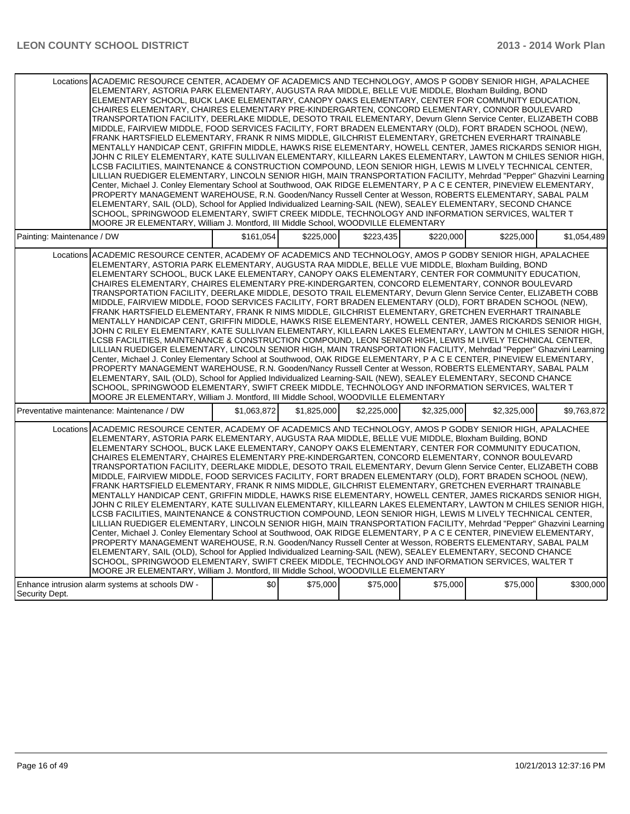|                            | Locations ACADEMIC RESOURCE CENTER, ACADEMY OF ACADEMICS AND TECHNOLOGY, AMOS P GODBY SENIOR HIGH, APALACHEE<br>ELEMENTARY, ASTORIA PARK ELEMENTARY, AUGUSTA RAA MIDDLE, BELLE VUE MIDDLE, Bloxham Building, BOND<br>ELEMENTARY SCHOOL. BUCK LAKE ELEMENTARY. CANOPY OAKS ELEMENTARY. CENTER FOR COMMUNITY EDUCATION.<br>CHAIRES ELEMENTARY, CHAIRES ELEMENTARY PRE-KINDERGARTEN, CONCORD ELEMENTARY, CONNOR BOULEVARD<br>TRANSPORTATION FACILITY, DEERLAKE MIDDLE, DESOTO TRAIL ELEMENTARY, Devurn Glenn Service Center, ELIZABETH COBB<br>MIDDLE, FAIRVIEW MIDDLE, FOOD SERVICES FACILITY, FORT BRADEN ELEMENTARY (OLD), FORT BRADEN SCHOOL (NEW),<br>FRANK HARTSFIELD ELEMENTARY, FRANK R NIMS MIDDLE, GILCHRIST ELEMENTARY, GRETCHEN EVERHART TRAINABLE<br>MENTALLY HANDICAP CENT, GRIFFIN MIDDLE, HAWKS RISE ELEMENTARY, HOWELL CENTER, JAMES RICKARDS SENIOR HIGH,<br>JOHN C RILEY ELEMENTARY, KATE SULLIVAN ELEMENTARY, KILLEARN LAKES ELEMENTARY, LAWTON M CHILES SENIOR HIGH,<br>LCSB FACILITIES, MAINTENANCE & CONSTRUCTION COMPOUND, LEON SENIOR HIGH, LEWIS M LIVELY TECHNICAL CENTER,<br>LILLIAN RUEDIGER ELEMENTARY, LINCOLN SENIOR HIGH, MAIN TRANSPORTATION FACILITY, Mehrdad "Pepper" Ghazvini Learning<br>Center, Michael J. Conley Elementary School at Southwood, OAK RIDGE ELEMENTARY, P A C E CENTER, PINEVIEW ELEMENTARY,<br>PROPERTY MANAGEMENT WAREHOUSE, R.N. Gooden/Nancy Russell Center at Wesson, ROBERTS ELEMENTARY, SABAL PALM<br>ELEMENTARY, SAIL (OLD), School for Applied Individualized Learning-SAIL (NEW), SEALEY ELEMENTARY, SECOND CHANCE<br>SCHOOL, SPRINGWOOD ELEMENTARY, SWIFT CREEK MIDDLE, TECHNOLOGY AND INFORMATION SERVICES, WALTER T<br>MOORE JR ELEMENTARY, William J. Montford, III Middle School, WOODVILLE ELEMENTARY |             |             |             |             |             |             |  |
|----------------------------|---------------------------------------------------------------------------------------------------------------------------------------------------------------------------------------------------------------------------------------------------------------------------------------------------------------------------------------------------------------------------------------------------------------------------------------------------------------------------------------------------------------------------------------------------------------------------------------------------------------------------------------------------------------------------------------------------------------------------------------------------------------------------------------------------------------------------------------------------------------------------------------------------------------------------------------------------------------------------------------------------------------------------------------------------------------------------------------------------------------------------------------------------------------------------------------------------------------------------------------------------------------------------------------------------------------------------------------------------------------------------------------------------------------------------------------------------------------------------------------------------------------------------------------------------------------------------------------------------------------------------------------------------------------------------------------------------------------------------------------------------------------------------|-------------|-------------|-------------|-------------|-------------|-------------|--|
| Painting: Maintenance / DW |                                                                                                                                                                                                                                                                                                                                                                                                                                                                                                                                                                                                                                                                                                                                                                                                                                                                                                                                                                                                                                                                                                                                                                                                                                                                                                                                                                                                                                                                                                                                                                                                                                                                                                                                                                           | \$161,054   | \$225,000   | \$223,435   | \$220,000   | \$225,000   | \$1,054,489 |  |
|                            | Locations ACADEMIC RESOURCE CENTER, ACADEMY OF ACADEMICS AND TECHNOLOGY, AMOS P GODBY SENIOR HIGH, APALACHEE<br>ELEMENTARY, ASTORIA PARK ELEMENTARY, AUGUSTA RAA MIDDLE, BELLE VUE MIDDLE, Bloxham Building, BOND<br>ELEMENTARY SCHOOL, BUCK LAKE ELEMENTARY, CANOPY OAKS ELEMENTARY, CENTER FOR COMMUNITY EDUCATION,<br>CHAIRES ELEMENTARY, CHAIRES ELEMENTARY PRE-KINDERGARTEN, CONCORD ELEMENTARY, CONNOR BOULEVARD<br>TRANSPORTATION FACILITY, DEERLAKE MIDDLE, DESOTO TRAIL ELEMENTARY, Devurn Glenn Service Center, ELIZABETH COBB<br>MIDDLE, FAIRVIEW MIDDLE, FOOD SERVICES FACILITY, FORT BRADEN ELEMENTARY (OLD), FORT BRADEN SCHOOL (NEW),<br>FRANK HARTSFIELD ELEMENTARY, FRANK R NIMS MIDDLE, GILCHRIST ELEMENTARY, GRETCHEN EVERHART TRAINABLE<br>MENTALLY HANDICAP CENT, GRIFFIN MIDDLE, HAWKS RISE ELEMENTARY, HOWELL CENTER, JAMES RICKARDS SENIOR HIGH,<br>JOHN C RILEY ELEMENTARY, KATE SULLIVAN ELEMENTARY, KILLEARN LAKES ELEMENTARY, LAWTON M CHILES SENIOR HIGH,<br>LCSB FACILITIES, MAINTENANCE & CONSTRUCTION COMPOUND, LEON SENIOR HIGH, LEWIS M LIVELY TECHNICAL CENTER,<br>LILLIAN RUEDIGER ELEMENTARY, LINCOLN SENIOR HIGH, MAIN TRANSPORTATION FACILITY, Mehrdad "Pepper" Ghazvini Learning<br>Center, Michael J. Conley Elementary School at Southwood, OAK RIDGE ELEMENTARY, P A C E CENTER, PINEVIEW ELEMENTARY,<br>PROPERTY MANAGEMENT WAREHOUSE, R.N. Gooden/Nancy Russell Center at Wesson, ROBERTS ELEMENTARY, SABAL PALM<br>ELEMENTARY, SAIL (OLD), School for Applied Individualized Learning-SAIL (NEW), SEALEY ELEMENTARY, SECOND CHANCE<br>SCHOOL, SPRINGWOOD ELEMENTARY, SWIFT CREEK MIDDLE, TECHNOLOGY AND INFORMATION SERVICES, WALTER T<br>MOORE JR ELEMENTARY, William J. Montford, III Middle School, WOODVILLE ELEMENTARY |             |             |             |             |             |             |  |
|                            | Preventative maintenance: Maintenance / DW                                                                                                                                                                                                                                                                                                                                                                                                                                                                                                                                                                                                                                                                                                                                                                                                                                                                                                                                                                                                                                                                                                                                                                                                                                                                                                                                                                                                                                                                                                                                                                                                                                                                                                                                | \$1.063.872 | \$1,825,000 | \$2,225,000 | \$2,325,000 | \$2,325,000 | \$9,763,872 |  |
| Locations                  | ACADEMIC RESOURCE CENTER, ACADEMY OF ACADEMICS AND TECHNOLOGY, AMOS P GODBY SENIOR HIGH, APALACHEE<br>ELEMENTARY, ASTORIA PARK ELEMENTARY, AUGUSTA RAA MIDDLE, BELLE VUE MIDDLE, Bloxham Building, BOND<br>ELEMENTARY SCHOOL, BUCK LAKE ELEMENTARY, CANOPY OAKS ELEMENTARY, CENTER FOR COMMUNITY EDUCATION,<br>CHAIRES ELEMENTARY, CHAIRES ELEMENTARY PRE-KINDERGARTEN, CONCORD ELEMENTARY, CONNOR BOULEVARD<br>TRANSPORTATION FACILITY, DEERLAKE MIDDLE, DESOTO TRAIL ELEMENTARY, Devurn Glenn Service Center, ELIZABETH COBB<br>MIDDLE, FAIRVIEW MIDDLE, FOOD SERVICES FACILITY, FORT BRADEN ELEMENTARY (OLD), FORT BRADEN SCHOOL (NEW),<br>FRANK HARTSFIELD ELEMENTARY, FRANK R NIMS MIDDLE, GILCHRIST ELEMENTARY, GRETCHEN EVERHART TRAINABLE<br>MENTALLY HANDICAP CENT, GRIFFIN MIDDLE, HAWKS RISE ELEMENTARY, HOWELL CENTER, JAMES RICKARDS SENIOR HIGH,<br>JOHN C RILEY ELEMENTARY, KATE SULLIVAN ELEMENTARY, KILLEARN LAKES ELEMENTARY, LAWTON M CHILES SENIOR HIGH,<br>LCSB FACILITIES, MAINTENANCE & CONSTRUCTION COMPOUND, LEON SENIOR HIGH, LEWIS M LIVELY TECHNICAL CENTER,<br>LILLIAN RUEDIGER ELEMENTARY, LINCOLN SENIOR HIGH, MAIN TRANSPORTATION FACILITY, Mehrdad "Pepper" Ghazvini Learning<br>Center, Michael J. Conley Elementary School at Southwood, OAK RIDGE ELEMENTARY, P A C E CENTER, PINEVIEW ELEMENTARY,<br>PROPERTY MANAGEMENT WAREHOUSE, R.N. Gooden/Nancy Russell Center at Wesson, ROBERTS ELEMENTARY, SABAL PALM<br>ELEMENTARY, SAIL (OLD), School for Applied Individualized Learning-SAIL (NEW), SEALEY ELEMENTARY, SECOND CHANCE<br>SCHOOL, SPRINGWOOD ELEMENTARY, SWIFT CREEK MIDDLE, TECHNOLOGY AND INFORMATION SERVICES, WALTER T<br>MOORE JR ELEMENTARY, William J. Montford, III Middle School, WOODVILLE ELEMENTARY           |             |             |             |             |             |             |  |
| Security Dept.             | Enhance intrusion alarm systems at schools DW -                                                                                                                                                                                                                                                                                                                                                                                                                                                                                                                                                                                                                                                                                                                                                                                                                                                                                                                                                                                                                                                                                                                                                                                                                                                                                                                                                                                                                                                                                                                                                                                                                                                                                                                           | \$0         | \$75,000    | \$75,000    | \$75,000    | \$75,000    | \$300,000   |  |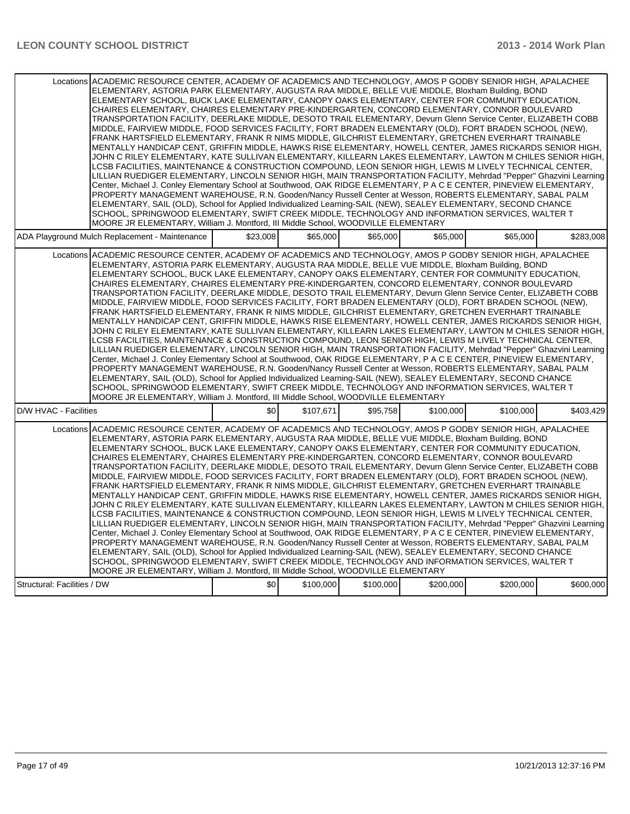| Locations ACADEMIC RESOURCE CENTER, ACADEMY OF ACADEMICS AND TECHNOLOGY, AMOS P GODBY SENIOR HIGH, APALACHEE<br>ELEMENTARY, ASTORIA PARK ELEMENTARY, AUGUSTA RAA MIDDLE, BELLE VUE MIDDLE, Bloxham Building, BOND<br>ELEMENTARY SCHOOL, BUCK LAKE ELEMENTARY, CANOPY OAKS ELEMENTARY, CENTER FOR COMMUNITY EDUCATION,<br>CHAIRES ELEMENTARY, CHAIRES ELEMENTARY PRE-KINDERGARTEN, CONCORD ELEMENTARY, CONNOR BOULEVARD<br>TRANSPORTATION FACILITY, DEERLAKE MIDDLE, DESOTO TRAIL ELEMENTARY, Devurn Glenn Service Center, ELIZABETH COBB<br>MIDDLE, FAIRVIEW MIDDLE, FOOD SERVICES FACILITY, FORT BRADEN ELEMENTARY (OLD), FORT BRADEN SCHOOL (NEW),<br>FRANK HARTSFIELD ELEMENTARY, FRANK R NIMS MIDDLE, GILCHRIST ELEMENTARY, GRETCHEN EVERHART TRAINABLE<br>MENTALLY HANDICAP CENT, GRIFFIN MIDDLE, HAWKS RISE ELEMENTARY, HOWELL CENTER, JAMES RICKARDS SENIOR HIGH,<br>JOHN C RILEY ELEMENTARY, KATE SULLIVAN ELEMENTARY, KILLEARN LAKES ELEMENTARY, LAWTON M CHILES SENIOR HIGH,<br>LCSB FACILITIES, MAINTENANCE & CONSTRUCTION COMPOUND, LEON SENIOR HIGH, LEWIS M LIVELY TECHNICAL CENTER,<br>LILLIAN RUEDIGER ELEMENTARY, LINCOLN SENIOR HIGH, MAIN TRANSPORTATION FACILITY, Mehrdad "Pepper" Ghazvini Learning<br>Center, Michael J. Conley Elementary School at Southwood, OAK RIDGE ELEMENTARY, P A C E CENTER, PINEVIEW ELEMENTARY,<br>PROPERTY MANAGEMENT WAREHOUSE, R.N. Gooden/Nancy Russell Center at Wesson, ROBERTS ELEMENTARY, SABAL PALM<br>ELEMENTARY, SAIL (OLD), School for Applied Individualized Learning-SAIL (NEW), SEALEY ELEMENTARY, SECOND CHANCE<br>SCHOOL, SPRINGWOOD ELEMENTARY, SWIFT CREEK MIDDLE, TECHNOLOGY AND INFORMATION SERVICES, WALTER T<br>MOORE JR ELEMENTARY, William J. Montford, III Middle School, WOODVILLE ELEMENTARY |          |           |           |           |           |           |
|---------------------------------------------------------------------------------------------------------------------------------------------------------------------------------------------------------------------------------------------------------------------------------------------------------------------------------------------------------------------------------------------------------------------------------------------------------------------------------------------------------------------------------------------------------------------------------------------------------------------------------------------------------------------------------------------------------------------------------------------------------------------------------------------------------------------------------------------------------------------------------------------------------------------------------------------------------------------------------------------------------------------------------------------------------------------------------------------------------------------------------------------------------------------------------------------------------------------------------------------------------------------------------------------------------------------------------------------------------------------------------------------------------------------------------------------------------------------------------------------------------------------------------------------------------------------------------------------------------------------------------------------------------------------------------------------------------------------------------------------------------------------------|----------|-----------|-----------|-----------|-----------|-----------|
| ADA Playground Mulch Replacement - Maintenance                                                                                                                                                                                                                                                                                                                                                                                                                                                                                                                                                                                                                                                                                                                                                                                                                                                                                                                                                                                                                                                                                                                                                                                                                                                                                                                                                                                                                                                                                                                                                                                                                                                                                                                            | \$23,008 | \$65,000  | \$65,000  | \$65,000  | \$65,000  | \$283,008 |
| Locations ACADEMIC RESOURCE CENTER, ACADEMY OF ACADEMICS AND TECHNOLOGY, AMOS P GODBY SENIOR HIGH, APALACHEE<br>ELEMENTARY, ASTORIA PARK ELEMENTARY, AUGUSTA RAA MIDDLE, BELLE VUE MIDDLE, Bloxham Building, BOND<br>ELEMENTARY SCHOOL, BUCK LAKE ELEMENTARY, CANOPY OAKS ELEMENTARY, CENTER FOR COMMUNITY EDUCATION,<br>CHAIRES ELEMENTARY, CHAIRES ELEMENTARY PRE-KINDERGARTEN, CONCORD ELEMENTARY, CONNOR BOULEVARD<br>TRANSPORTATION FACILITY, DEERLAKE MIDDLE, DESOTO TRAIL ELEMENTARY, Devurn Glenn Service Center, ELIZABETH COBB<br>MIDDLE, FAIRVIEW MIDDLE, FOOD SERVICES FACILITY, FORT BRADEN ELEMENTARY (OLD), FORT BRADEN SCHOOL (NEW),<br>FRANK HARTSFIELD ELEMENTARY, FRANK R NIMS MIDDLE, GILCHRIST ELEMENTARY, GRETCHEN EVERHART TRAINABLE<br>MENTALLY HANDICAP CENT. GRIFFIN MIDDLE. HAWKS RISE ELEMENTARY. HOWELL CENTER. JAMES RICKARDS SENIOR HIGH.<br>JOHN C RILEY ELEMENTARY, KATE SULLIVAN ELEMENTARY, KILLEARN LAKES ELEMENTARY, LAWTON M CHILES SENIOR HIGH,<br>LCSB FACILITIES, MAINTENANCE & CONSTRUCTION COMPOUND, LEON SENIOR HIGH, LEWIS M LIVELY TECHNICAL CENTER,<br>LILLIAN RUEDIGER ELEMENTARY, LINCOLN SENIOR HIGH, MAIN TRANSPORTATION FACILITY, Mehrdad "Pepper" Ghazvini Learning<br>Center, Michael J. Conley Elementary School at Southwood, OAK RIDGE ELEMENTARY, P A C E CENTER, PINEVIEW ELEMENTARY,<br>PROPERTY MANAGEMENT WAREHOUSE, R.N. Gooden/Nancy Russell Center at Wesson, ROBERTS ELEMENTARY, SABAL PALM<br>ELEMENTARY, SAIL (OLD), School for Applied Individualized Learning-SAIL (NEW), SEALEY ELEMENTARY, SECOND CHANCE<br>SCHOOL, SPRINGWOOD ELEMENTARY, SWIFT CREEK MIDDLE, TECHNOLOGY AND INFORMATION SERVICES, WALTER T<br>MOORE JR ELEMENTARY, William J. Montford, III Middle School, WOODVILLE ELEMENTARY |          |           |           |           |           |           |
| D/W HVAC - Facilities                                                                                                                                                                                                                                                                                                                                                                                                                                                                                                                                                                                                                                                                                                                                                                                                                                                                                                                                                                                                                                                                                                                                                                                                                                                                                                                                                                                                                                                                                                                                                                                                                                                                                                                                                     | \$0      | \$107,671 | \$95,758  | \$100,000 | \$100,000 | \$403,429 |
| Locations ACADEMIC RESOURCE CENTER, ACADEMY OF ACADEMICS AND TECHNOLOGY, AMOS P GODBY SENIOR HIGH, APALACHEE<br>ELEMENTARY, ASTORIA PARK ELEMENTARY, AUGUSTA RAA MIDDLE, BELLE VUE MIDDLE, Bloxham Building, BOND<br>ELEMENTARY SCHOOL. BUCK LAKE ELEMENTARY. CANOPY OAKS ELEMENTARY. CENTER FOR COMMUNITY EDUCATION.<br>CHAIRES ELEMENTARY, CHAIRES ELEMENTARY PRE-KINDERGARTEN, CONCORD ELEMENTARY, CONNOR BOULEVARD<br>TRANSPORTATION FACILITY. DEERLAKE MIDDLE. DESOTO TRAIL ELEMENTARY. Devurn Glenn Service Center. ELIZABETH COBB<br>MIDDLE, FAIRVIEW MIDDLE, FOOD SERVICES FACILITY, FORT BRADEN ELEMENTARY (OLD), FORT BRADEN SCHOOL (NEW),<br>FRANK HARTSFIELD ELEMENTARY, FRANK R NIMS MIDDLE, GILCHRIST ELEMENTARY, GRETCHEN EVERHART TRAINABLE<br>MENTALLY HANDICAP CENT, GRIFFIN MIDDLE, HAWKS RISE ELEMENTARY, HOWELL CENTER, JAMES RICKARDS SENIOR HIGH,<br>JOHN C RILEY ELEMENTARY, KATE SULLIVAN ELEMENTARY, KILLEARN LAKES ELEMENTARY, LAWTON M CHILES SENIOR HIGH,<br>LCSB FACILITIES, MAINTENANCE & CONSTRUCTION COMPOUND, LEON SENIOR HIGH, LEWIS M LIVELY TECHNICAL CENTER,<br>LILLIAN RUEDIGER ELEMENTARY, LINCOLN SENIOR HIGH, MAIN TRANSPORTATION FACILITY, Mehrdad "Pepper" Ghazvini Learning<br>Center, Michael J. Conley Elementary School at Southwood, OAK RIDGE ELEMENTARY, P A C E CENTER, PINEVIEW ELEMENTARY,<br>PROPERTY MANAGEMENT WAREHOUSE, R.N. Gooden/Nancy Russell Center at Wesson, ROBERTS ELEMENTARY, SABAL PALM<br>ELEMENTARY, SAIL (OLD), School for Applied Individualized Learning-SAIL (NEW), SEALEY ELEMENTARY, SECOND CHANCE<br>SCHOOL, SPRINGWOOD ELEMENTARY, SWIFT CREEK MIDDLE, TECHNOLOGY AND INFORMATION SERVICES, WALTER T<br>MOORE JR ELEMENTARY, William J. Montford, III Middle School, WOODVILLE ELEMENTARY |          |           |           |           |           |           |
| Structural: Facilities / DW                                                                                                                                                                                                                                                                                                                                                                                                                                                                                                                                                                                                                                                                                                                                                                                                                                                                                                                                                                                                                                                                                                                                                                                                                                                                                                                                                                                                                                                                                                                                                                                                                                                                                                                                               | \$0      | \$100,000 | \$100,000 | \$200,000 | \$200.000 | \$600,000 |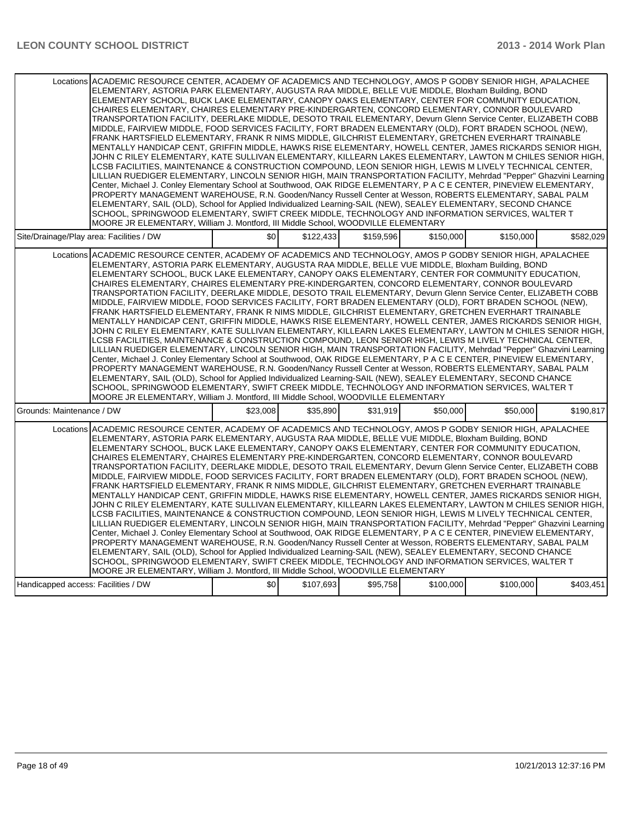|                                     | Locations ACADEMIC RESOURCE CENTER, ACADEMY OF ACADEMICS AND TECHNOLOGY, AMOS P GODBY SENIOR HIGH, APALACHEE<br>ELEMENTARY, ASTORIA PARK ELEMENTARY, AUGUSTA RAA MIDDLE, BELLE VUE MIDDLE, Bloxham Building, BOND<br>ELEMENTARY SCHOOL, BUCK LAKE ELEMENTARY, CANOPY OAKS ELEMENTARY, CENTER FOR COMMUNITY EDUCATION,<br>CHAIRES ELEMENTARY, CHAIRES ELEMENTARY PRE-KINDERGARTEN, CONCORD ELEMENTARY, CONNOR BOULEVARD<br>TRANSPORTATION FACILITY, DEERLAKE MIDDLE, DESOTO TRAIL ELEMENTARY, Devurn Glenn Service Center, ELIZABETH COBB<br>MIDDLE, FAIRVIEW MIDDLE, FOOD SERVICES FACILITY, FORT BRADEN ELEMENTARY (OLD), FORT BRADEN SCHOOL (NEW),<br>FRANK HARTSFIELD ELEMENTARY, FRANK R NIMS MIDDLE, GILCHRIST ELEMENTARY, GRETCHEN EVERHART TRAINABLE<br>MENTALLY HANDICAP CENT, GRIFFIN MIDDLE, HAWKS RISE ELEMENTARY, HOWELL CENTER, JAMES RICKARDS SENIOR HIGH,<br>JOHN C RILEY ELEMENTARY, KATE SULLIVAN ELEMENTARY, KILLEARN LAKES ELEMENTARY, LAWTON M CHILES SENIOR HIGH,<br>LCSB FACILITIES, MAINTENANCE & CONSTRUCTION COMPOUND, LEON SENIOR HIGH, LEWIS M LIVELY TECHNICAL CENTER,<br>LILLIAN RUEDIGER ELEMENTARY, LINCOLN SENIOR HIGH, MAIN TRANSPORTATION FACILITY, Mehrdad "Pepper" Ghazvini Learning<br>Center, Michael J. Conley Elementary School at Southwood, OAK RIDGE ELEMENTARY, P A C E CENTER, PINEVIEW ELEMENTARY,<br>PROPERTY MANAGEMENT WAREHOUSE, R.N. Gooden/Nancy Russell Center at Wesson, ROBERTS ELEMENTARY, SABAL PALM<br>ELEMENTARY, SAIL (OLD), School for Applied Individualized Learning-SAIL (NEW), SEALEY ELEMENTARY, SECOND CHANCE<br>SCHOOL, SPRINGWOOD ELEMENTARY, SWIFT CREEK MIDDLE, TECHNOLOGY AND INFORMATION SERVICES, WALTER T<br>MOORE JR ELEMENTARY, William J. Montford, III Middle School, WOODVILLE ELEMENTARY |          |           |           |           |           |           |
|-------------------------------------|---------------------------------------------------------------------------------------------------------------------------------------------------------------------------------------------------------------------------------------------------------------------------------------------------------------------------------------------------------------------------------------------------------------------------------------------------------------------------------------------------------------------------------------------------------------------------------------------------------------------------------------------------------------------------------------------------------------------------------------------------------------------------------------------------------------------------------------------------------------------------------------------------------------------------------------------------------------------------------------------------------------------------------------------------------------------------------------------------------------------------------------------------------------------------------------------------------------------------------------------------------------------------------------------------------------------------------------------------------------------------------------------------------------------------------------------------------------------------------------------------------------------------------------------------------------------------------------------------------------------------------------------------------------------------------------------------------------------------------------------------------------------------|----------|-----------|-----------|-----------|-----------|-----------|
|                                     | Site/Drainage/Play area: Facilities / DW                                                                                                                                                                                                                                                                                                                                                                                                                                                                                                                                                                                                                                                                                                                                                                                                                                                                                                                                                                                                                                                                                                                                                                                                                                                                                                                                                                                                                                                                                                                                                                                                                                                                                                                                  | \$0      | \$122,433 | \$159,596 | \$150,000 | \$150,000 | \$582,029 |
|                                     | Locations ACADEMIC RESOURCE CENTER, ACADEMY OF ACADEMICS AND TECHNOLOGY, AMOS P GODBY SENIOR HIGH, APALACHEE<br>ELEMENTARY, ASTORIA PARK ELEMENTARY, AUGUSTA RAA MIDDLE, BELLE VUE MIDDLE, Bloxham Building, BOND<br>ELEMENTARY SCHOOL, BUCK LAKE ELEMENTARY, CANOPY OAKS ELEMENTARY, CENTER FOR COMMUNITY EDUCATION,<br>CHAIRES ELEMENTARY. CHAIRES ELEMENTARY PRE-KINDERGARTEN. CONCORD ELEMENTARY. CONNOR BOULEVARD<br>TRANSPORTATION FACILITY, DEERLAKE MIDDLE, DESOTO TRAIL ELEMENTARY, Devurn Glenn Service Center, ELIZABETH COBB<br>MIDDLE, FAIRVIEW MIDDLE, FOOD SERVICES FACILITY, FORT BRADEN ELEMENTARY (OLD), FORT BRADEN SCHOOL (NEW),<br>FRANK HARTSFIELD ELEMENTARY, FRANK R NIMS MIDDLE, GILCHRIST ELEMENTARY, GRETCHEN EVERHART TRAINABLE<br>MENTALLY HANDICAP CENT, GRIFFIN MIDDLE, HAWKS RISE ELEMENTARY, HOWELL CENTER, JAMES RICKARDS SENIOR HIGH,<br>JOHN C RILEY ELEMENTARY, KATE SULLIVAN ELEMENTARY, KILLEARN LAKES ELEMENTARY, LAWTON M CHILES SENIOR HIGH,<br>LCSB FACILITIES, MAINTENANCE & CONSTRUCTION COMPOUND, LEON SENIOR HIGH, LEWIS M LIVELY TECHNICAL CENTER,<br>LILLIAN RUEDIGER ELEMENTARY, LINCOLN SENIOR HIGH, MAIN TRANSPORTATION FACILITY, Mehrdad "Pepper" Ghazvini Learning<br>Center, Michael J. Conley Elementary School at Southwood, OAK RIDGE ELEMENTARY, P A C E CENTER, PINEVIEW ELEMENTARY,<br>PROPERTY MANAGEMENT WAREHOUSE, R.N. Gooden/Nancy Russell Center at Wesson, ROBERTS ELEMENTARY, SABAL PALM<br>ELEMENTARY, SAIL (OLD), School for Applied Individualized Learning-SAIL (NEW), SEALEY ELEMENTARY, SECOND CHANCE<br>SCHOOL, SPRINGWOOD ELEMENTARY, SWIFT CREEK MIDDLE, TECHNOLOGY AND INFORMATION SERVICES, WALTER T<br>MOORE JR ELEMENTARY, William J. Montford, III Middle School, WOODVILLE ELEMENTARY |          |           |           |           |           |           |
| Grounds: Maintenance / DW           |                                                                                                                                                                                                                                                                                                                                                                                                                                                                                                                                                                                                                                                                                                                                                                                                                                                                                                                                                                                                                                                                                                                                                                                                                                                                                                                                                                                                                                                                                                                                                                                                                                                                                                                                                                           | \$23,008 | \$35,890  | \$31,919  | \$50,000  | \$50,000  | \$190,817 |
|                                     | Locations ACADEMIC RESOURCE CENTER, ACADEMY OF ACADEMICS AND TECHNOLOGY, AMOS P GODBY SENIOR HIGH, APALACHEE<br>ELEMENTARY, ASTORIA PARK ELEMENTARY, AUGUSTA RAA MIDDLE, BELLE VUE MIDDLE, Bloxham Building, BOND<br>ELEMENTARY SCHOOL, BUCK LAKE ELEMENTARY, CANOPY OAKS ELEMENTARY, CENTER FOR COMMUNITY EDUCATION,<br>CHAIRES ELEMENTARY, CHAIRES ELEMENTARY PRE-KINDERGARTEN, CONCORD ELEMENTARY, CONNOR BOULEVARD<br>TRANSPORTATION FACILITY, DEERLAKE MIDDLE, DESOTO TRAIL ELEMENTARY, Devurn Glenn Service Center, ELIZABETH COBB<br>MIDDLE, FAIRVIEW MIDDLE, FOOD SERVICES FACILITY, FORT BRADEN ELEMENTARY (OLD), FORT BRADEN SCHOOL (NEW),<br>FRANK HARTSFIELD ELEMENTARY, FRANK R NIMS MIDDLE, GILCHRIST ELEMENTARY, GRETCHEN EVERHART TRAINABLE<br>MENTALLY HANDICAP CENT, GRIFFIN MIDDLE, HAWKS RISE ELEMENTARY, HOWELL CENTER, JAMES RICKARDS SENIOR HIGH,<br>JOHN C RILEY ELEMENTARY, KATE SULLIVAN ELEMENTARY, KILLEARN LAKES ELEMENTARY, LAWTON M CHILES SENIOR HIGH,<br>LCSB FACILITIES, MAINTENANCE & CONSTRUCTION COMPOUND, LEON SENIOR HIGH, LEWIS M LIVELY TECHNICAL CENTER,<br>LILLIAN RUEDIGER ELEMENTARY, LINCOLN SENIOR HIGH, MAIN TRANSPORTATION FACILITY, Mehrdad "Pepper" Ghazvini Learning<br>Center, Michael J. Conley Elementary School at Southwood, OAK RIDGE ELEMENTARY, P A C E CENTER, PINEVIEW ELEMENTARY,<br>PROPERTY MANAGEMENT WAREHOUSE, R.N. Gooden/Nancy Russell Center at Wesson, ROBERTS ELEMENTARY, SABAL PALM<br>ELEMENTARY, SAIL (OLD), School for Applied Individualized Learning-SAIL (NEW), SEALEY ELEMENTARY, SECOND CHANCE<br>SCHOOL, SPRINGWOOD ELEMENTARY, SWIFT CREEK MIDDLE, TECHNOLOGY AND INFORMATION SERVICES, WALTER T<br>MOORE JR ELEMENTARY, William J. Montford, III Middle School, WOODVILLE ELEMENTARY |          |           |           |           |           |           |
| Handicapped access: Facilities / DW |                                                                                                                                                                                                                                                                                                                                                                                                                                                                                                                                                                                                                                                                                                                                                                                                                                                                                                                                                                                                                                                                                                                                                                                                                                                                                                                                                                                                                                                                                                                                                                                                                                                                                                                                                                           | \$0      | \$107,693 | \$95,758  | \$100,000 | \$100,000 | \$403,451 |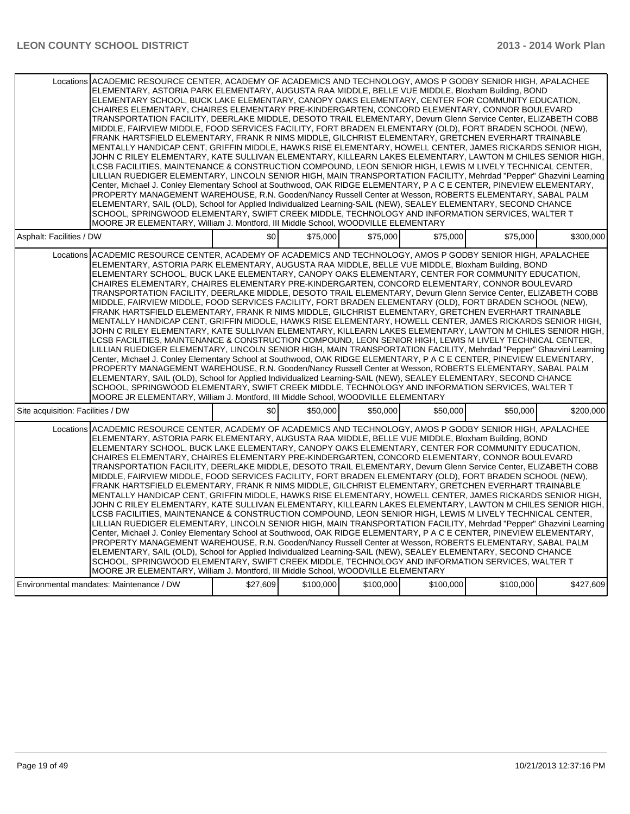| Locations ACADEMIC RESOURCE CENTER, ACADEMY OF ACADEMICS AND TECHNOLOGY, AMOS P GODBY SENIOR HIGH, APALACHEE<br>ELEMENTARY, ASTORIA PARK ELEMENTARY, AUGUSTA RAA MIDDLE, BELLE VUE MIDDLE, Bloxham Building, BOND<br>ELEMENTARY SCHOOL, BUCK LAKE ELEMENTARY, CANOPY OAKS ELEMENTARY, CENTER FOR COMMUNITY EDUCATION,<br>CHAIRES ELEMENTARY, CHAIRES ELEMENTARY PRE-KINDERGARTEN, CONCORD ELEMENTARY, CONNOR BOULEVARD<br>TRANSPORTATION FACILITY, DEERLAKE MIDDLE, DESOTO TRAIL ELEMENTARY, Devurn Glenn Service Center, ELIZABETH COBB<br>MIDDLE, FAIRVIEW MIDDLE, FOOD SERVICES FACILITY, FORT BRADEN ELEMENTARY (OLD), FORT BRADEN SCHOOL (NEW),<br>FRANK HARTSFIELD ELEMENTARY, FRANK R NIMS MIDDLE, GILCHRIST ELEMENTARY, GRETCHEN EVERHART TRAINABLE<br>MENTALLY HANDICAP CENT. GRIFFIN MIDDLE, HAWKS RISE ELEMENTARY, HOWELL CENTER, JAMES RICKARDS SENIOR HIGH.<br>JOHN C RILEY ELEMENTARY, KATE SULLIVAN ELEMENTARY, KILLEARN LAKES ELEMENTARY, LAWTON M CHILES SENIOR HIGH,<br>LCSB FACILITIES, MAINTENANCE & CONSTRUCTION COMPOUND, LEON SENIOR HIGH, LEWIS M LIVELY TECHNICAL CENTER,<br>LILLIAN RUEDIGER ELEMENTARY, LINCOLN SENIOR HIGH, MAIN TRANSPORTATION FACILITY, Mehrdad "Pepper" Ghazvini Learning<br>Center, Michael J. Conley Elementary School at Southwood, OAK RIDGE ELEMENTARY, P A C E CENTER, PINEVIEW ELEMENTARY,<br>PROPERTY MANAGEMENT WAREHOUSE, R.N. Gooden/Nancy Russell Center at Wesson, ROBERTS ELEMENTARY, SABAL PALM<br>ELEMENTARY, SAIL (OLD), School for Applied Individualized Learning-SAIL (NEW), SEALEY ELEMENTARY, SECOND CHANCE<br>SCHOOL, SPRINGWOOD ELEMENTARY, SWIFT CREEK MIDDLE, TECHNOLOGY AND INFORMATION SERVICES, WALTER T<br>MOORE JR ELEMENTARY, William J. Montford, III Middle School, WOODVILLE ELEMENTARY |     |          |          |          |          |           |
|---------------------------------------------------------------------------------------------------------------------------------------------------------------------------------------------------------------------------------------------------------------------------------------------------------------------------------------------------------------------------------------------------------------------------------------------------------------------------------------------------------------------------------------------------------------------------------------------------------------------------------------------------------------------------------------------------------------------------------------------------------------------------------------------------------------------------------------------------------------------------------------------------------------------------------------------------------------------------------------------------------------------------------------------------------------------------------------------------------------------------------------------------------------------------------------------------------------------------------------------------------------------------------------------------------------------------------------------------------------------------------------------------------------------------------------------------------------------------------------------------------------------------------------------------------------------------------------------------------------------------------------------------------------------------------------------------------------------------------------------------------------------------|-----|----------|----------|----------|----------|-----------|
| Asphalt: Facilities / DW                                                                                                                                                                                                                                                                                                                                                                                                                                                                                                                                                                                                                                                                                                                                                                                                                                                                                                                                                                                                                                                                                                                                                                                                                                                                                                                                                                                                                                                                                                                                                                                                                                                                                                                                                  | \$0 | \$75,000 | \$75.000 | \$75,000 | \$75,000 | \$300,000 |
| Locations ACADEMIC RESOURCE CENTER, ACADEMY OF ACADEMICS AND TECHNOLOGY, AMOS P GODBY SENIOR HIGH, APALACHEE<br>ELEMENTARY, ASTORIA PARK ELEMENTARY, AUGUSTA RAA MIDDLE, BELLE VUE MIDDLE, Bloxham Building, BOND<br>ELEMENTARY SCHOOL, BUCK LAKE ELEMENTARY, CANOPY OAKS ELEMENTARY, CENTER FOR COMMUNITY EDUCATION,<br>CHAIRES ELEMENTARY, CHAIRES ELEMENTARY PRE-KINDERGARTEN, CONCORD ELEMENTARY, CONNOR BOULEVARD<br>TRANSPORTATION FACILITY, DEERLAKE MIDDLE, DESOTO TRAIL ELEMENTARY, Devurn Glenn Service Center, ELIZABETH COBB<br>MIDDLE, FAIRVIEW MIDDLE, FOOD SERVICES FACILITY, FORT BRADEN ELEMENTARY (OLD), FORT BRADEN SCHOOL (NEW),<br>FRANK HARTSFIELD ELEMENTARY, FRANK R NIMS MIDDLE, GILCHRIST ELEMENTARY, GRETCHEN EVERHART TRAINABLE<br>MENTALLY HANDICAP CENT, GRIFFIN MIDDLE, HAWKS RISE ELEMENTARY, HOWELL CENTER, JAMES RICKARDS SENIOR HIGH,<br>JOHN C RILEY ELEMENTARY, KATE SULLIVAN ELEMENTARY, KILLEARN LAKES ELEMENTARY, LAWTON M CHILES SENIOR HIGH,<br>LCSB FACILITIES, MAINTENANCE & CONSTRUCTION COMPOUND, LEON SENIOR HIGH, LEWIS M LIVELY TECHNICAL CENTER,<br>LILLIAN RUEDIGER ELEMENTARY, LINCOLN SENIOR HIGH, MAIN TRANSPORTATION FACILITY, Mehrdad "Pepper" Ghazvini Learning<br>Center, Michael J. Conley Elementary School at Southwood, OAK RIDGE ELEMENTARY, P A C E CENTER, PINEVIEW ELEMENTARY,<br>PROPERTY MANAGEMENT WAREHOUSE, R.N. Gooden/Nancy Russell Center at Wesson, ROBERTS ELEMENTARY, SABAL PALM<br>ELEMENTARY, SAIL (OLD), School for Applied Individualized Learning-SAIL (NEW), SEALEY ELEMENTARY, SECOND CHANCE<br>SCHOOL, SPRINGWOOD ELEMENTARY, SWIFT CREEK MIDDLE, TECHNOLOGY AND INFORMATION SERVICES, WALTER T<br>MOORE JR ELEMENTARY, William J. Montford, III Middle School, WOODVILLE ELEMENTARY |     |          |          |          |          |           |
| Site acquisition: Facilities / DW                                                                                                                                                                                                                                                                                                                                                                                                                                                                                                                                                                                                                                                                                                                                                                                                                                                                                                                                                                                                                                                                                                                                                                                                                                                                                                                                                                                                                                                                                                                                                                                                                                                                                                                                         | \$0 | \$50,000 | \$50,000 | \$50,000 | \$50,000 | \$200,000 |
| Locations ACADEMIC RESOURCE CENTER, ACADEMY OF ACADEMICS AND TECHNOLOGY, AMOS P GODBY SENIOR HIGH, APALACHEE<br>ELEMENTARY, ASTORIA PARK ELEMENTARY, AUGUSTA RAA MIDDLE, BELLE VUE MIDDLE, Bloxham Building, BOND<br>ELEMENTARY SCHOOL, BUCK LAKE ELEMENTARY, CANOPY OAKS ELEMENTARY, CENTER FOR COMMUNITY EDUCATION,<br>CHAIRES ELEMENTARY, CHAIRES ELEMENTARY PRE-KINDERGARTEN, CONCORD ELEMENTARY, CONNOR BOULEVARD<br>TRANSPORTATION FACILITY, DEERLAKE MIDDLE, DESOTO TRAIL ELEMENTARY, Devurn Glenn Service Center, ELIZABETH COBB<br>MIDDLE, FAIRVIEW MIDDLE, FOOD SERVICES FACILITY, FORT BRADEN ELEMENTARY (OLD), FORT BRADEN SCHOOL (NEW),<br>FRANK HARTSFIELD ELEMENTARY, FRANK R NIMS MIDDLE, GILCHRIST ELEMENTARY, GRETCHEN EVERHART TRAINABLE<br>MENTALLY HANDICAP CENT, GRIFFIN MIDDLE, HAWKS RISE ELEMENTARY, HOWELL CENTER, JAMES RICKARDS SENIOR HIGH,<br>JOHN C RILEY ELEMENTARY, KATE SULLIVAN ELEMENTARY, KILLEARN LAKES ELEMENTARY, LAWTON M CHILES SENIOR HIGH,<br>LCSB FACILITIES, MAINTENANCE & CONSTRUCTION COMPOUND, LEON SENIOR HIGH, LEWIS M LIVELY TECHNICAL CENTER,<br>LILLIAN RUEDIGER ELEMENTARY, LINCOLN SENIOR HIGH, MAIN TRANSPORTATION FACILITY, Mehrdad "Pepper" Ghazvini Learning<br>Center, Michael J. Conley Elementary School at Southwood, OAK RIDGE ELEMENTARY, P A C E CENTER, PINEVIEW ELEMENTARY,<br>PROPERTY MANAGEMENT WAREHOUSE, R.N. Gooden/Nancy Russell Center at Wesson, ROBERTS ELEMENTARY, SABAL PALM<br>ELEMENTARY, SAIL (OLD), School for Applied Individualized Learning-SAIL (NEW), SEALEY ELEMENTARY, SECOND CHANCE<br>SCHOOL, SPRINGWOOD ELEMENTARY, SWIFT CREEK MIDDLE, TECHNOLOGY AND INFORMATION SERVICES, WALTER T<br>MOORE JR ELEMENTARY, William J. Montford, III Middle School, WOODVILLE ELEMENTARY |     |          |          |          |          |           |
|                                                                                                                                                                                                                                                                                                                                                                                                                                                                                                                                                                                                                                                                                                                                                                                                                                                                                                                                                                                                                                                                                                                                                                                                                                                                                                                                                                                                                                                                                                                                                                                                                                                                                                                                                                           |     |          |          |          |          |           |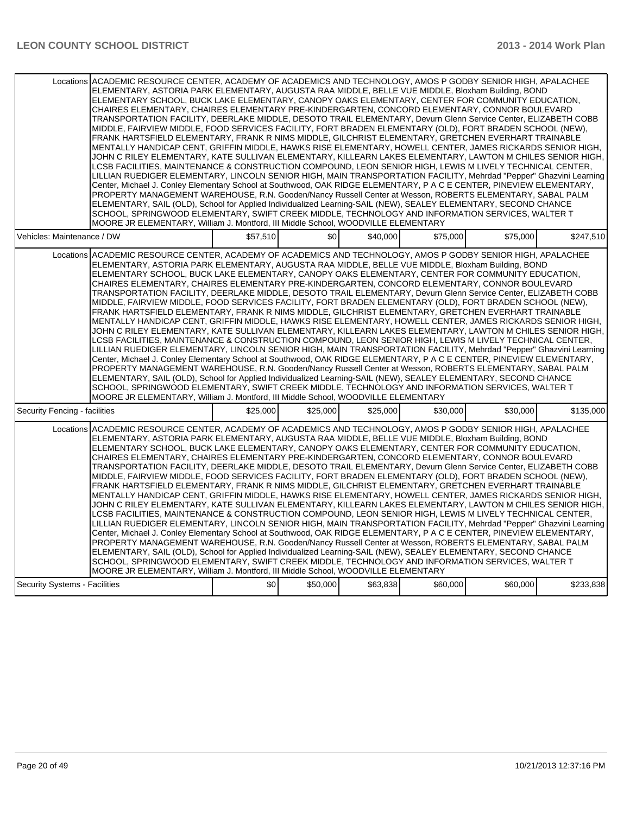| Locations ACADEMIC RESOURCE CENTER, ACADEMY OF ACADEMICS AND TECHNOLOGY, AMOS P GODBY SENIOR HIGH, APALACHEE<br>ELEMENTARY, ASTORIA PARK ELEMENTARY, AUGUSTA RAA MIDDLE, BELLE VUE MIDDLE, Bloxham Building, BOND<br>ELEMENTARY SCHOOL, BUCK LAKE ELEMENTARY, CANOPY OAKS ELEMENTARY, CENTER FOR COMMUNITY EDUCATION,<br>CHAIRES ELEMENTARY, CHAIRES ELEMENTARY PRE-KINDERGARTEN, CONCORD ELEMENTARY, CONNOR BOULEVARD<br>TRANSPORTATION FACILITY, DEERLAKE MIDDLE, DESOTO TRAIL ELEMENTARY, Devurn Glenn Service Center, ELIZABETH COBB<br>MIDDLE, FAIRVIEW MIDDLE, FOOD SERVICES FACILITY, FORT BRADEN ELEMENTARY (OLD), FORT BRADEN SCHOOL (NEW),<br>FRANK HARTSFIELD ELEMENTARY, FRANK R NIMS MIDDLE, GILCHRIST ELEMENTARY, GRETCHEN EVERHART TRAINABLE<br>MENTALLY HANDICAP CENT, GRIFFIN MIDDLE, HAWKS RISE ELEMENTARY, HOWELL CENTER, JAMES RICKARDS SENIOR HIGH,<br>JOHN C RILEY ELEMENTARY, KATE SULLIVAN ELEMENTARY, KILLEARN LAKES ELEMENTARY, LAWTON M CHILES SENIOR HIGH,<br>LCSB FACILITIES, MAINTENANCE & CONSTRUCTION COMPOUND, LEON SENIOR HIGH, LEWIS M LIVELY TECHNICAL CENTER,<br>LILLIAN RUEDIGER ELEMENTARY, LINCOLN SENIOR HIGH, MAIN TRANSPORTATION FACILITY, Mehrdad "Pepper" Ghazvini Learning<br>Center, Michael J. Conley Elementary School at Southwood, OAK RIDGE ELEMENTARY, P A C E CENTER, PINEVIEW ELEMENTARY,<br>PROPERTY MANAGEMENT WAREHOUSE, R.N. Gooden/Nancy Russell Center at Wesson, ROBERTS ELEMENTARY, SABAL PALM<br>ELEMENTARY, SAIL (OLD), School for Applied Individualized Learning-SAIL (NEW), SEALEY ELEMENTARY, SECOND CHANCE                                                                                                                                                                                          |          |          |          |          |          |           |
|---------------------------------------------------------------------------------------------------------------------------------------------------------------------------------------------------------------------------------------------------------------------------------------------------------------------------------------------------------------------------------------------------------------------------------------------------------------------------------------------------------------------------------------------------------------------------------------------------------------------------------------------------------------------------------------------------------------------------------------------------------------------------------------------------------------------------------------------------------------------------------------------------------------------------------------------------------------------------------------------------------------------------------------------------------------------------------------------------------------------------------------------------------------------------------------------------------------------------------------------------------------------------------------------------------------------------------------------------------------------------------------------------------------------------------------------------------------------------------------------------------------------------------------------------------------------------------------------------------------------------------------------------------------------------------------------------------------------------------------------------------------------------|----------|----------|----------|----------|----------|-----------|
| SCHOOL, SPRINGWOOD ELEMENTARY, SWIFT CREEK MIDDLE, TECHNOLOGY AND INFORMATION SERVICES, WALTER T<br>MOORE JR ELEMENTARY, William J. Montford, III Middle School, WOODVILLE ELEMENTARY                                                                                                                                                                                                                                                                                                                                                                                                                                                                                                                                                                                                                                                                                                                                                                                                                                                                                                                                                                                                                                                                                                                                                                                                                                                                                                                                                                                                                                                                                                                                                                                     |          |          |          |          |          |           |
| Vehicles: Maintenance / DW                                                                                                                                                                                                                                                                                                                                                                                                                                                                                                                                                                                                                                                                                                                                                                                                                                                                                                                                                                                                                                                                                                                                                                                                                                                                                                                                                                                                                                                                                                                                                                                                                                                                                                                                                | \$57,510 | \$0      | \$40,000 | \$75,000 | \$75,000 | \$247,510 |
| Locations ACADEMIC RESOURCE CENTER, ACADEMY OF ACADEMICS AND TECHNOLOGY, AMOS P GODBY SENIOR HIGH, APALACHEE<br>ELEMENTARY, ASTORIA PARK ELEMENTARY, AUGUSTA RAA MIDDLE, BELLE VUE MIDDLE, Bloxham Building, BOND<br>ELEMENTARY SCHOOL, BUCK LAKE ELEMENTARY, CANOPY OAKS ELEMENTARY, CENTER FOR COMMUNITY EDUCATION,<br>CHAIRES ELEMENTARY, CHAIRES ELEMENTARY PRE-KINDERGARTEN, CONCORD ELEMENTARY, CONNOR BOULEVARD<br>TRANSPORTATION FACILITY, DEERLAKE MIDDLE, DESOTO TRAIL ELEMENTARY, Devurn Glenn Service Center, ELIZABETH COBB<br>MIDDLE, FAIRVIEW MIDDLE, FOOD SERVICES FACILITY, FORT BRADEN ELEMENTARY (OLD), FORT BRADEN SCHOOL (NEW),<br>FRANK HARTSFIELD ELEMENTARY, FRANK R NIMS MIDDLE, GILCHRIST ELEMENTARY, GRETCHEN EVERHART TRAINABLE<br>MENTALLY HANDICAP CENT, GRIFFIN MIDDLE, HAWKS RISE ELEMENTARY, HOWELL CENTER, JAMES RICKARDS SENIOR HIGH,<br>JOHN C RILEY ELEMENTARY, KATE SULLIVAN ELEMENTARY, KILLEARN LAKES ELEMENTARY, LAWTON M CHILES SENIOR HIGH,<br>LCSB FACILITIES, MAINTENANCE & CONSTRUCTION COMPOUND, LEON SENIOR HIGH, LEWIS M LIVELY TECHNICAL CENTER,<br>LILLIAN RUEDIGER ELEMENTARY, LINCOLN SENIOR HIGH, MAIN TRANSPORTATION FACILITY, Mehrdad "Pepper" Ghazvini Learning<br>Center, Michael J. Conley Elementary School at Southwood, OAK RIDGE ELEMENTARY, P A C E CENTER, PINEVIEW ELEMENTARY,<br>PROPERTY MANAGEMENT WAREHOUSE, R.N. Gooden/Nancy Russell Center at Wesson, ROBERTS ELEMENTARY, SABAL PALM<br>ELEMENTARY, SAIL (OLD), School for Applied Individualized Learning-SAIL (NEW), SEALEY ELEMENTARY, SECOND CHANCE<br>SCHOOL, SPRINGWOOD ELEMENTARY, SWIFT CREEK MIDDLE, TECHNOLOGY AND INFORMATION SERVICES, WALTER T<br>MOORE JR ELEMENTARY, William J. Montford, III Middle School, WOODVILLE ELEMENTARY |          |          |          |          |          |           |
| Security Fencing - facilities                                                                                                                                                                                                                                                                                                                                                                                                                                                                                                                                                                                                                                                                                                                                                                                                                                                                                                                                                                                                                                                                                                                                                                                                                                                                                                                                                                                                                                                                                                                                                                                                                                                                                                                                             | \$25.000 | \$25,000 | \$25.000 | \$30,000 | \$30,000 | \$135,000 |
| Locations ACADEMIC RESOURCE CENTER, ACADEMY OF ACADEMICS AND TECHNOLOGY, AMOS P GODBY SENIOR HIGH, APALACHEE<br>ELEMENTARY, ASTORIA PARK ELEMENTARY, AUGUSTA RAA MIDDLE, BELLE VUE MIDDLE, Bloxham Building, BOND<br>ELEMENTARY SCHOOL, BUCK LAKE ELEMENTARY, CANOPY OAKS ELEMENTARY, CENTER FOR COMMUNITY EDUCATION,<br>CHAIRES ELEMENTARY, CHAIRES ELEMENTARY PRE-KINDERGARTEN, CONCORD ELEMENTARY, CONNOR BOULEVARD<br>TRANSPORTATION FACILITY, DEERLAKE MIDDLE, DESOTO TRAIL ELEMENTARY, Devurn Glenn Service Center, ELIZABETH COBB<br>MIDDLE, FAIRVIEW MIDDLE, FOOD SERVICES FACILITY, FORT BRADEN ELEMENTARY (OLD), FORT BRADEN SCHOOL (NEW),<br>FRANK HARTSFIELD ELEMENTARY, FRANK R NIMS MIDDLE, GILCHRIST ELEMENTARY, GRETCHEN EVERHART TRAINABLE<br>MENTALLY HANDICAP CENT, GRIFFIN MIDDLE, HAWKS RISE ELEMENTARY, HOWELL CENTER, JAMES RICKARDS SENIOR HIGH,<br>JOHN C RILEY ELEMENTARY, KATE SULLIVAN ELEMENTARY, KILLEARN LAKES ELEMENTARY, LAWTON M CHILES SENIOR HIGH,<br>LCSB FACILITIES, MAINTENANCE & CONSTRUCTION COMPOUND, LEON SENIOR HIGH, LEWIS M LIVELY TECHNICAL CENTER,<br>LILLIAN RUEDIGER ELEMENTARY, LINCOLN SENIOR HIGH, MAIN TRANSPORTATION FACILITY, Mehrdad "Pepper" Ghazvini Learning<br>Center, Michael J. Conley Elementary School at Southwood, OAK RIDGE ELEMENTARY, P A C E CENTER, PINEVIEW ELEMENTARY,<br>PROPERTY MANAGEMENT WAREHOUSE, R.N. Gooden/Nancy Russell Center at Wesson, ROBERTS ELEMENTARY, SABAL PALM<br>ELEMENTARY, SAIL (OLD), School for Applied Individualized Learning-SAIL (NEW), SEALEY ELEMENTARY, SECOND CHANCE<br>SCHOOL, SPRINGWOOD ELEMENTARY, SWIFT CREEK MIDDLE, TECHNOLOGY AND INFORMATION SERVICES, WALTER T<br>MOORE JR ELEMENTARY, William J. Montford, III Middle School, WOODVILLE ELEMENTARY |          |          |          |          |          |           |
| Security Systems - Facilities                                                                                                                                                                                                                                                                                                                                                                                                                                                                                                                                                                                                                                                                                                                                                                                                                                                                                                                                                                                                                                                                                                                                                                                                                                                                                                                                                                                                                                                                                                                                                                                                                                                                                                                                             | \$0      | \$50,000 | \$63,838 | \$60,000 | \$60,000 | \$233,838 |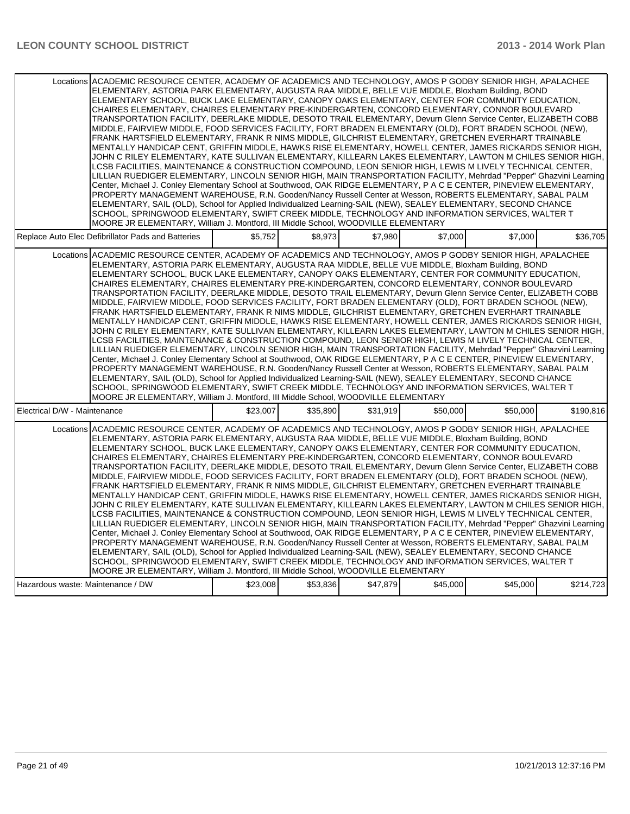| Locations ACADEMIC RESOURCE CENTER, ACADEMY OF ACADEMICS AND TECHNOLOGY, AMOS P GODBY SENIOR HIGH, APALACHEE<br>ELEMENTARY, ASTORIA PARK ELEMENTARY, AUGUSTA RAA MIDDLE, BELLE VUE MIDDLE, Bloxham Building, BOND<br>ELEMENTARY SCHOOL, BUCK LAKE ELEMENTARY, CANOPY OAKS ELEMENTARY, CENTER FOR COMMUNITY EDUCATION,<br>CHAIRES ELEMENTARY, CHAIRES ELEMENTARY PRE-KINDERGARTEN, CONCORD ELEMENTARY, CONNOR BOULEVARD<br>TRANSPORTATION FACILITY, DEERLAKE MIDDLE, DESOTO TRAIL ELEMENTARY, Devurn Glenn Service Center, ELIZABETH COBB<br>MIDDLE, FAIRVIEW MIDDLE, FOOD SERVICES FACILITY, FORT BRADEN ELEMENTARY (OLD), FORT BRADEN SCHOOL (NEW),<br>FRANK HARTSFIELD ELEMENTARY, FRANK R NIMS MIDDLE, GILCHRIST ELEMENTARY, GRETCHEN EVERHART TRAINABLE<br>MENTALLY HANDICAP CENT, GRIFFIN MIDDLE, HAWKS RISE ELEMENTARY, HOWELL CENTER, JAMES RICKARDS SENIOR HIGH,<br>JOHN C RILEY ELEMENTARY, KATE SULLIVAN ELEMENTARY, KILLEARN LAKES ELEMENTARY, LAWTON M CHILES SENIOR HIGH,<br>LCSB FACILITIES, MAINTENANCE & CONSTRUCTION COMPOUND, LEON SENIOR HIGH, LEWIS M LIVELY TECHNICAL CENTER,<br>LILLIAN RUEDIGER ELEMENTARY, LINCOLN SENIOR HIGH, MAIN TRANSPORTATION FACILITY, Mehrdad "Pepper" Ghazvini Learning<br>Center, Michael J. Conley Elementary School at Southwood, OAK RIDGE ELEMENTARY, P A C E CENTER, PINEVIEW ELEMENTARY,<br>PROPERTY MANAGEMENT WAREHOUSE, R.N. Gooden/Nancy Russell Center at Wesson, ROBERTS ELEMENTARY, SABAL PALM<br>ELEMENTARY, SAIL (OLD), School for Applied Individualized Learning-SAIL (NEW), SEALEY ELEMENTARY, SECOND CHANCE<br>SCHOOL, SPRINGWOOD ELEMENTARY, SWIFT CREEK MIDDLE, TECHNOLOGY AND INFORMATION SERVICES, WALTER T                                                                                      |          |          |          |          |          |           |
|---------------------------------------------------------------------------------------------------------------------------------------------------------------------------------------------------------------------------------------------------------------------------------------------------------------------------------------------------------------------------------------------------------------------------------------------------------------------------------------------------------------------------------------------------------------------------------------------------------------------------------------------------------------------------------------------------------------------------------------------------------------------------------------------------------------------------------------------------------------------------------------------------------------------------------------------------------------------------------------------------------------------------------------------------------------------------------------------------------------------------------------------------------------------------------------------------------------------------------------------------------------------------------------------------------------------------------------------------------------------------------------------------------------------------------------------------------------------------------------------------------------------------------------------------------------------------------------------------------------------------------------------------------------------------------------------------------------------------------------------------------------------------|----------|----------|----------|----------|----------|-----------|
| MOORE JR ELEMENTARY, William J. Montford, III Middle School, WOODVILLE ELEMENTARY<br>Replace Auto Elec Defibrillator Pads and Batteries                                                                                                                                                                                                                                                                                                                                                                                                                                                                                                                                                                                                                                                                                                                                                                                                                                                                                                                                                                                                                                                                                                                                                                                                                                                                                                                                                                                                                                                                                                                                                                                                                                   | \$5,752  | \$8,973  | \$7,980  | \$7,000  | \$7,000  | \$36,705  |
| Locations ACADEMIC RESOURCE CENTER, ACADEMY OF ACADEMICS AND TECHNOLOGY, AMOS P GODBY SENIOR HIGH, APALACHEE<br>ELEMENTARY, ASTORIA PARK ELEMENTARY, AUGUSTA RAA MIDDLE, BELLE VUE MIDDLE, Bloxham Building, BOND<br>ELEMENTARY SCHOOL, BUCK LAKE ELEMENTARY, CANOPY OAKS ELEMENTARY, CENTER FOR COMMUNITY EDUCATION,<br>CHAIRES ELEMENTARY, CHAIRES ELEMENTARY PRE-KINDERGARTEN, CONCORD ELEMENTARY, CONNOR BOULEVARD<br>TRANSPORTATION FACILITY, DEERLAKE MIDDLE, DESOTO TRAIL ELEMENTARY, Devurn Glenn Service Center, ELIZABETH COBB<br>MIDDLE, FAIRVIEW MIDDLE, FOOD SERVICES FACILITY, FORT BRADEN ELEMENTARY (OLD), FORT BRADEN SCHOOL (NEW),<br>FRANK HARTSFIELD ELEMENTARY, FRANK R NIMS MIDDLE, GILCHRIST ELEMENTARY, GRETCHEN EVERHART TRAINABLE<br>MENTALLY HANDICAP CENT, GRIFFIN MIDDLE, HAWKS RISE ELEMENTARY, HOWELL CENTER, JAMES RICKARDS SENIOR HIGH,<br>JOHN C RILEY ELEMENTARY, KATE SULLIVAN ELEMENTARY, KILLEARN LAKES ELEMENTARY, LAWTON M CHILES SENIOR HIGH,<br>LCSB FACILITIES, MAINTENANCE & CONSTRUCTION COMPOUND, LEON SENIOR HIGH, LEWIS M LIVELY TECHNICAL CENTER,<br>LILLIAN RUEDIGER ELEMENTARY, LINCOLN SENIOR HIGH, MAIN TRANSPORTATION FACILITY, Mehrdad "Pepper" Ghazvini Learning<br>Center, Michael J. Conley Elementary School at Southwood, OAK RIDGE ELEMENTARY, P A C E CENTER, PINEVIEW ELEMENTARY,<br>PROPERTY MANAGEMENT WAREHOUSE, R.N. Gooden/Nancy Russell Center at Wesson, ROBERTS ELEMENTARY, SABAL PALM<br>ELEMENTARY, SAIL (OLD), School for Applied Individualized Learning-SAIL (NEW), SEALEY ELEMENTARY, SECOND CHANCE<br>SCHOOL, SPRINGWOOD ELEMENTARY, SWIFT CREEK MIDDLE, TECHNOLOGY AND INFORMATION SERVICES, WALTER T<br>MOORE JR ELEMENTARY, William J. Montford, III Middle School, WOODVILLE ELEMENTARY |          |          |          |          |          |           |
| Electrical D/W - Maintenance                                                                                                                                                                                                                                                                                                                                                                                                                                                                                                                                                                                                                                                                                                                                                                                                                                                                                                                                                                                                                                                                                                                                                                                                                                                                                                                                                                                                                                                                                                                                                                                                                                                                                                                                              | \$23.007 | \$35,890 | \$31.919 | \$50,000 | \$50,000 | \$190,816 |
| Locations ACADEMIC RESOURCE CENTER, ACADEMY OF ACADEMICS AND TECHNOLOGY, AMOS P GODBY SENIOR HIGH, APALACHEE<br>ELEMENTARY, ASTORIA PARK ELEMENTARY, AUGUSTA RAA MIDDLE, BELLE VUE MIDDLE, Bloxham Building, BOND<br>ELEMENTARY SCHOOL, BUCK LAKE ELEMENTARY, CANOPY OAKS ELEMENTARY, CENTER FOR COMMUNITY EDUCATION,<br>CHAIRES ELEMENTARY, CHAIRES ELEMENTARY PRE-KINDERGARTEN, CONCORD ELEMENTARY, CONNOR BOULEVARD<br>TRANSPORTATION FACILITY, DEERLAKE MIDDLE, DESOTO TRAIL ELEMENTARY, Devurn Glenn Service Center, ELIZABETH COBB<br>MIDDLE, FAIRVIEW MIDDLE, FOOD SERVICES FACILITY, FORT BRADEN ELEMENTARY (OLD), FORT BRADEN SCHOOL (NEW),<br>FRANK HARTSFIELD ELEMENTARY, FRANK R NIMS MIDDLE, GILCHRIST ELEMENTARY, GRETCHEN EVERHART TRAINABLE<br>MENTALLY HANDICAP CENT, GRIFFIN MIDDLE, HAWKS RISE ELEMENTARY, HOWELL CENTER, JAMES RICKARDS SENIOR HIGH,<br>JOHN C RILEY ELEMENTARY, KATE SULLIVAN ELEMENTARY, KILLEARN LAKES ELEMENTARY, LAWTON M CHILES SENIOR HIGH,<br>LCSB FACILITIES, MAINTENANCE & CONSTRUCTION COMPOUND, LEON SENIOR HIGH, LEWIS M LIVELY TECHNICAL CENTER,<br>LILLIAN RUEDIGER ELEMENTARY, LINCOLN SENIOR HIGH, MAIN TRANSPORTATION FACILITY, Mehrdad "Pepper" Ghazvini Learning<br>Center, Michael J. Conley Elementary School at Southwood, OAK RIDGE ELEMENTARY, P A C E CENTER, PINEVIEW ELEMENTARY,<br>PROPERTY MANAGEMENT WAREHOUSE, R.N. Gooden/Nancy Russell Center at Wesson, ROBERTS ELEMENTARY, SABAL PALM<br>ELEMENTARY, SAIL (OLD), School for Applied Individualized Learning-SAIL (NEW), SEALEY ELEMENTARY, SECOND CHANCE<br>SCHOOL, SPRINGWOOD ELEMENTARY, SWIFT CREEK MIDDLE, TECHNOLOGY AND INFORMATION SERVICES, WALTER T<br>MOORE JR ELEMENTARY, William J. Montford, III Middle School, WOODVILLE ELEMENTARY |          |          |          |          |          |           |
| Hazardous waste: Maintenance / DW                                                                                                                                                                                                                                                                                                                                                                                                                                                                                                                                                                                                                                                                                                                                                                                                                                                                                                                                                                                                                                                                                                                                                                                                                                                                                                                                                                                                                                                                                                                                                                                                                                                                                                                                         | \$23,008 | \$53,836 | \$47,879 | \$45,000 | \$45,000 | \$214,723 |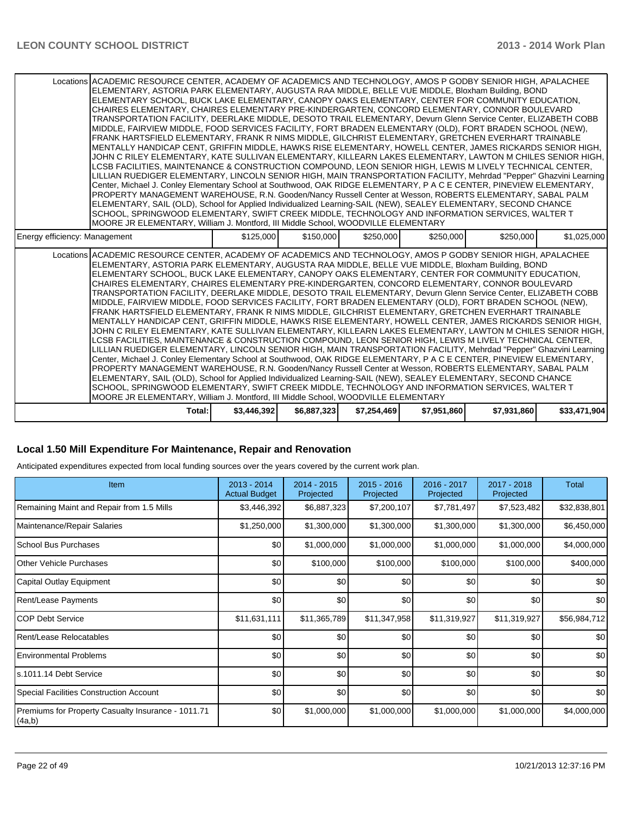#### **Local 1.50 Mill Expenditure For Maintenance, Repair and Renovation**

Anticipated expenditures expected from local funding sources over the years covered by the current work plan.

| Item                                                         | 2013 - 2014<br><b>Actual Budget</b> | 2014 - 2015<br>Projected | 2015 - 2016<br>Projected | 2016 - 2017<br>Projected | 2017 - 2018<br>Projected | Total            |
|--------------------------------------------------------------|-------------------------------------|--------------------------|--------------------------|--------------------------|--------------------------|------------------|
| Remaining Maint and Repair from 1.5 Mills                    | \$3,446,392                         | \$6,887,323              | \$7,200,107              | \$7,781,497              | \$7,523,482              | \$32,838,801     |
| Maintenance/Repair Salaries                                  | \$1,250,000                         | \$1,300,000              | \$1,300,000              | \$1,300,000              | \$1,300,000              | \$6,450,000      |
| School Bus Purchases                                         | \$0                                 | \$1,000,000              | \$1,000,000              | \$1,000,000              | \$1,000,000              | \$4,000,000      |
| Other Vehicle Purchases                                      | \$0 <sub>1</sub>                    | \$100,000                | \$100,000                | \$100,000                | \$100,000                | \$400,000        |
| Capital Outlay Equipment                                     | \$0                                 | \$0                      | \$0                      | \$0                      | \$0                      | \$0 <sub>1</sub> |
| Rent/Lease Payments                                          | \$0                                 | \$0                      | \$0                      | \$0                      | \$0                      | \$0              |
| <b>COP Debt Service</b>                                      | \$11,631,111                        | \$11,365,789             | \$11,347,958             | \$11,319,927             | \$11,319,927             | \$56,984,712     |
| Rent/Lease Relocatables                                      | \$0                                 | \$0                      | \$0                      | \$0                      | \$0                      | \$0              |
| <b>Environmental Problems</b>                                | \$0                                 | \$0                      | \$0                      | \$0                      | \$0                      | \$0              |
| s.1011.14 Debt Service                                       | \$0                                 | \$0                      | \$0                      | \$0                      | \$0                      | \$0              |
| Special Facilities Construction Account                      | \$0                                 | \$0                      | \$0                      | \$0                      | \$0                      | \$0              |
| Premiums for Property Casualty Insurance - 1011.71<br>(4a,b) | \$0                                 | \$1,000,000              | \$1,000,000              | \$1,000,000              | \$1,000,000              | \$4,000,000      |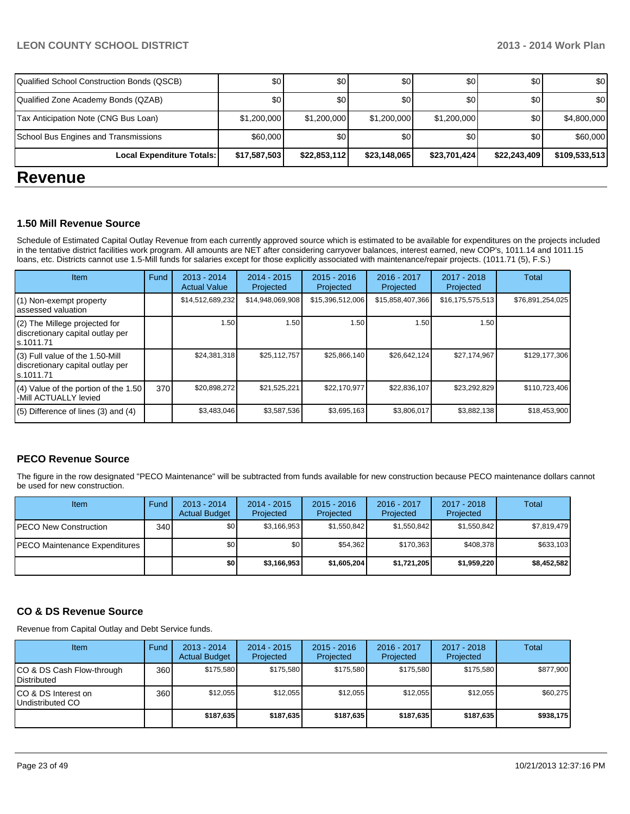| <b>DAVABUA</b>                             |                  |                  |                  |              |              |               |
|--------------------------------------------|------------------|------------------|------------------|--------------|--------------|---------------|
| Local Expenditure Totals:                  | \$17,587,503     | \$22,853,112     | \$23,148,065     | \$23,701,424 | \$22,243,409 | \$109,533,513 |
| School Bus Engines and Transmissions       | \$60,000         | \$0              | \$0              | \$0          | \$0          | \$60,000      |
| Tax Anticipation Note (CNG Bus Loan)       | \$1,200,000      | \$1,200,000      | \$1,200,000      | \$1,200,000  | \$0          | \$4,800,000   |
| Qualified Zone Academy Bonds (QZAB)        | \$0 <sub>1</sub> | \$0              | \$0 <sub>0</sub> | <b>\$0</b>   | \$0          | \$0           |
| Qualified School Construction Bonds (QSCB) | \$0 <sub>1</sub> | \$0 <sub>1</sub> | \$0              | \$0          | \$0          | \$0           |

### **Revenue**

#### **1.50 Mill Revenue Source**

Schedule of Estimated Capital Outlay Revenue from each currently approved source which is estimated to be available for expenditures on the projects included in the tentative district facilities work program. All amounts are NET after considering carryover balances, interest earned, new COP's, 1011.14 and 1011.15 loans, etc. Districts cannot use 1.5-Mill funds for salaries except for those explicitly associated with maintenance/repair projects. (1011.71 (5), F.S.)

| Item                                                                             | Fund | $2013 - 2014$<br><b>Actual Value</b> | $2014 - 2015$<br>Projected | $2015 - 2016$<br>Projected | 2016 - 2017<br>Projected | 2017 - 2018<br>Projected | <b>Total</b>     |
|----------------------------------------------------------------------------------|------|--------------------------------------|----------------------------|----------------------------|--------------------------|--------------------------|------------------|
| (1) Non-exempt property<br>assessed valuation                                    |      | \$14,512,689,232                     | \$14,948,069,908           | \$15,396,512,006           | \$15,858,407,366         | \$16,175,575,513         | \$76,891,254,025 |
| (2) The Millege projected for<br>discretionary capital outlay per<br>ls.1011.71  |      | 1.50                                 | 1.50                       | 1.50                       | 1.50                     | 1.50                     |                  |
| (3) Full value of the 1.50-Mill<br>discretionary capital outlay per<br>s.1011.71 |      | \$24,381,318                         | \$25.112.757               | \$25,866,140               | \$26,642,124             | \$27,174,967             | \$129.177.306    |
| (4) Value of the portion of the 1.50<br>-Mill ACTUALLY levied                    | 370  | \$20,898,272                         | \$21,525,221               | \$22,170,977               | \$22,836,107             | \$23,292,829             | \$110,723,406    |
| $(5)$ Difference of lines (3) and (4)                                            |      | \$3,483,046                          | \$3,587,536                | \$3,695,163                | \$3,806,017              | \$3,882,138              | \$18,453,900     |

#### **PECO Revenue Source**

The figure in the row designated "PECO Maintenance" will be subtracted from funds available for new construction because PECO maintenance dollars cannot be used for new construction.

| Item                                  | Fund | $2013 - 2014$<br><b>Actual Budget</b> | $2014 - 2015$<br>Projected | $2015 - 2016$<br>Projected | 2016 - 2017<br>Projected | $2017 - 2018$<br>Projected | Total       |
|---------------------------------------|------|---------------------------------------|----------------------------|----------------------------|--------------------------|----------------------------|-------------|
| IPECO New Construction                | 340  | \$0                                   | \$3,166,953                | \$1,550,842                | \$1.550.842              | \$1,550,842                | \$7,819,479 |
| <b>IPECO Maintenance Expenditures</b> |      | \$0                                   | \$0                        | \$54,362                   | \$170.363                | \$408,378                  | \$633,103   |
|                                       |      | \$0                                   | \$3,166,953                | \$1,605,204                | \$1,721,205              | \$1,959,220                | \$8,452,582 |

#### **CO & DS Revenue Source**

Revenue from Capital Outlay and Debt Service funds.

| Item                                               | Fund | $2013 - 2014$<br><b>Actual Budget</b> | $2014 - 2015$<br>Projected | $2015 - 2016$<br>Projected | $2016 - 2017$<br>Projected | $2017 - 2018$<br>Projected | Total     |
|----------------------------------------------------|------|---------------------------------------|----------------------------|----------------------------|----------------------------|----------------------------|-----------|
| ICO & DS Cash Flow-through<br><b>I</b> Distributed | 360  | \$175.580                             | \$175.580                  | \$175.580                  | \$175.580                  | \$175.580                  | \$877,900 |
| ICO & DS Interest on<br>Undistributed CO           | 360  | \$12,055                              | \$12.055                   | \$12,055                   | \$12,055                   | \$12,055                   | \$60,275  |
|                                                    |      | \$187.635                             | \$187,635                  | \$187,635                  | \$187,635                  | \$187.635                  | \$938,175 |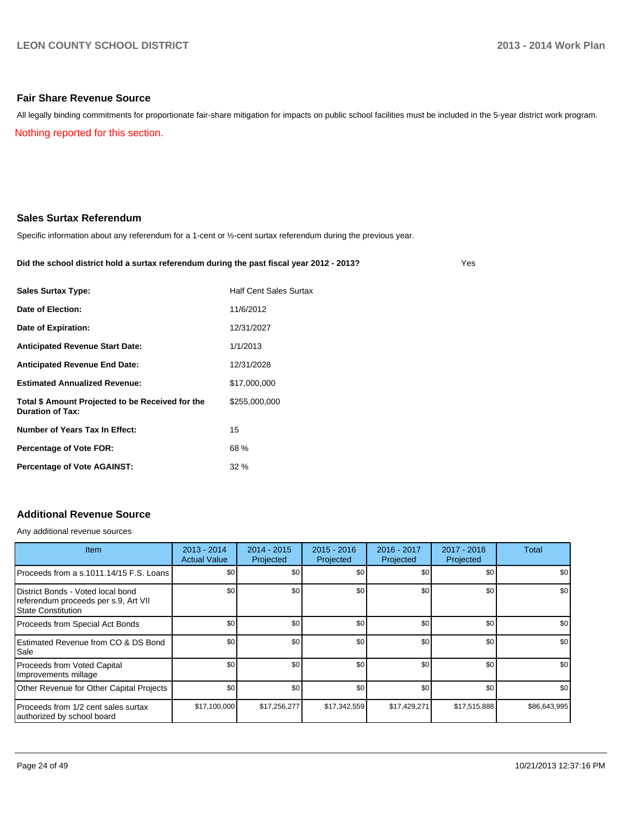#### **Fair Share Revenue Source**

Nothing reported for this section. All legally binding commitments for proportionate fair-share mitigation for impacts on public school facilities must be included in the 5-year district work program.

#### **Sales Surtax Referendum**

Specific information about any referendum for a 1-cent or ½-cent surtax referendum during the previous year.

#### **Did the school district hold a surtax referendum during the past fiscal year 2012 - 2013?**

Yes

| <b>Sales Surtax Type:</b>                                                   | <b>Half Cent Sales Surtax</b> |
|-----------------------------------------------------------------------------|-------------------------------|
| Date of Election:                                                           | 11/6/2012                     |
| Date of Expiration:                                                         | 12/31/2027                    |
| <b>Anticipated Revenue Start Date:</b>                                      | 1/1/2013                      |
| <b>Anticipated Revenue End Date:</b>                                        | 12/31/2028                    |
| <b>Estimated Annualized Revenue:</b>                                        | \$17,000,000                  |
| Total \$ Amount Projected to be Received for the<br><b>Duration of Tax:</b> | \$255,000,000                 |
| Number of Years Tax In Effect:                                              | 15                            |
| <b>Percentage of Vote FOR:</b>                                              | 68 %                          |
| <b>Percentage of Vote AGAINST:</b>                                          | 32%                           |

#### **Additional Revenue Source**

Any additional revenue sources

| <b>Item</b>                                                                                            | $2013 - 2014$<br><b>Actual Value</b> | $2014 - 2015$<br>Projected | $2015 - 2016$<br>Projected | 2016 - 2017<br>Projected | $2017 - 2018$<br>Projected | Total            |
|--------------------------------------------------------------------------------------------------------|--------------------------------------|----------------------------|----------------------------|--------------------------|----------------------------|------------------|
| Proceeds from a s.1011.14/15 F.S. Loans                                                                | \$0 <sub>1</sub>                     | \$0                        | \$0                        | \$0                      | \$0                        | \$0 <sub>1</sub> |
| District Bonds - Voted local bond<br>referendum proceeds per s.9, Art VII<br><b>State Constitution</b> | \$0                                  | \$0                        | \$0                        | \$0                      | \$0                        | \$0              |
| Proceeds from Special Act Bonds                                                                        | \$0                                  | \$0                        | \$0                        | \$0                      | \$0                        | \$0 <sub>1</sub> |
| <b>IEstimated Revenue from CO &amp; DS Bond</b><br>l Sale                                              | \$0                                  | \$0                        | \$0                        | \$0                      | \$0                        | \$0              |
| Proceeds from Voted Capital<br>Improvements millage                                                    | \$0                                  | \$0                        | \$0                        | \$0                      | \$0                        | \$0              |
| Other Revenue for Other Capital Projects                                                               | \$0                                  | \$0                        | \$0                        | \$0                      | \$0                        | \$0              |
| Proceeds from 1/2 cent sales surtax<br>authorized by school board                                      | \$17,100,000                         | \$17,256,277               | \$17,342,559               | \$17,429,271             | \$17,515,888               | \$86,643,995     |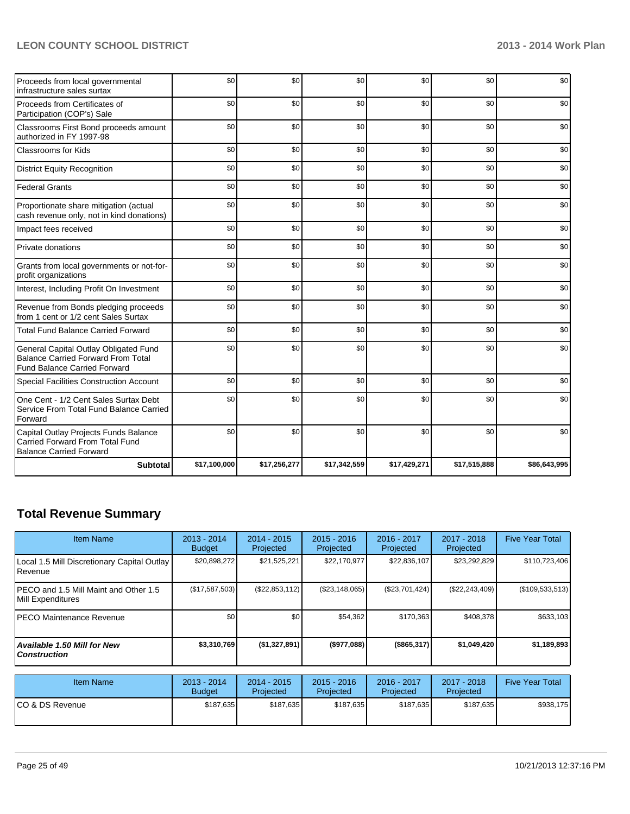| Proceeds from local governmental<br>infrastructure sales surtax                                                           | \$0          | \$0          | \$0          | \$0          | \$0          | \$0          |
|---------------------------------------------------------------------------------------------------------------------------|--------------|--------------|--------------|--------------|--------------|--------------|
| Proceeds from Certificates of<br>Participation (COP's) Sale                                                               | \$0          | \$0          | \$0          | \$0          | \$0          | \$0          |
| Classrooms First Bond proceeds amount<br>authorized in FY 1997-98                                                         | \$0          | \$0          | \$0          | \$0          | \$0          | \$0          |
| Classrooms for Kids                                                                                                       | \$0          | \$0          | \$0          | \$0          | \$0          | \$0          |
| <b>District Equity Recognition</b>                                                                                        | \$0          | \$0          | \$0          | \$0          | \$0          | \$0          |
| <b>Federal Grants</b>                                                                                                     | \$0          | \$0          | \$0          | \$0          | \$0          | \$0          |
| Proportionate share mitigation (actual<br>cash revenue only, not in kind donations)                                       | \$0          | \$0          | \$0          | \$0          | \$0          | \$0          |
| Impact fees received                                                                                                      | \$0          | \$0          | \$0          | \$0          | \$0          | \$0          |
| Private donations                                                                                                         | \$0          | \$0          | \$0          | \$0          | \$0          | \$0          |
| Grants from local governments or not-for-<br>profit organizations                                                         | \$0          | \$0          | \$0          | \$0          | \$0          | \$0          |
| Interest, Including Profit On Investment                                                                                  | \$0          | \$0          | \$0          | \$0          | \$0          | \$0          |
| Revenue from Bonds pledging proceeds<br>from 1 cent or 1/2 cent Sales Surtax                                              | \$0          | \$0          | \$0          | \$0          | \$0          | \$0          |
| <b>Total Fund Balance Carried Forward</b>                                                                                 | \$0          | \$0          | \$0          | \$0          | \$0          | \$0          |
| General Capital Outlay Obligated Fund<br><b>Balance Carried Forward From Total</b><br><b>Fund Balance Carried Forward</b> | \$0          | \$0          | \$0          | \$0          | \$0          | \$0          |
| Special Facilities Construction Account                                                                                   | \$0          | \$0          | \$0          | \$0          | \$0          | \$0          |
| One Cent - 1/2 Cent Sales Surtax Debt<br>Service From Total Fund Balance Carried<br>Forward                               | \$0          | \$0          | \$0          | \$0          | \$0          | \$0          |
| Capital Outlay Projects Funds Balance<br>Carried Forward From Total Fund<br><b>Balance Carried Forward</b>                | \$0          | \$0          | \$0          | \$0          | \$0          | \$0          |
| <b>Subtotal</b>                                                                                                           | \$17,100,000 | \$17,256,277 | \$17,342,559 | \$17,429,271 | \$17,515,888 | \$86,643,995 |

## **Total Revenue Summary**

| Item Name                                                       | 2013 - 2014<br><b>Budget</b> | $2014 - 2015$<br>Projected | $2015 - 2016$<br><b>Projected</b> | 2016 - 2017<br>Projected | 2017 - 2018<br>Projected | <b>Five Year Total</b> |
|-----------------------------------------------------------------|------------------------------|----------------------------|-----------------------------------|--------------------------|--------------------------|------------------------|
| Local 1.5 Mill Discretionary Capital Outlay<br><b>I</b> Revenue | \$20,898,272                 | \$21,525,221               | \$22,170,977                      | \$22,836,107             | \$23,292,829             | \$110,723,406          |
| IPECO and 1.5 Mill Maint and Other 1.5<br>Mill Expenditures     | (S17, 587, 503)              | (\$22,853,112)             | (\$23,148,065)                    | (\$23,701,424)           | (\$22, 243, 409)         | (\$109,533,513)        |
| IPECO Maintenance Revenue                                       | \$0                          | \$0                        | \$54,362                          | \$170,363                | \$408,378                | \$633,103              |
| Available 1.50 Mill for New l<br>l Construction                 | \$3,310,769                  | (\$1,327,891)              | (\$977,088)                       | $($ \$865,317)           | \$1,049,420              | \$1,189,893            |

| Item Name        | 2013 - 2014<br><b>Budget</b> | $2014 - 2015$<br>Projected | $2015 - 2016$<br>Projected | 2016 - 2017<br>Projected | 2017 - 2018<br>Projected | <b>Five Year Total</b> |
|------------------|------------------------------|----------------------------|----------------------------|--------------------------|--------------------------|------------------------|
| ICO & DS Revenue | \$187,635                    | \$187,635                  | \$187,635                  | \$187.635                | \$187.635                | \$938,175              |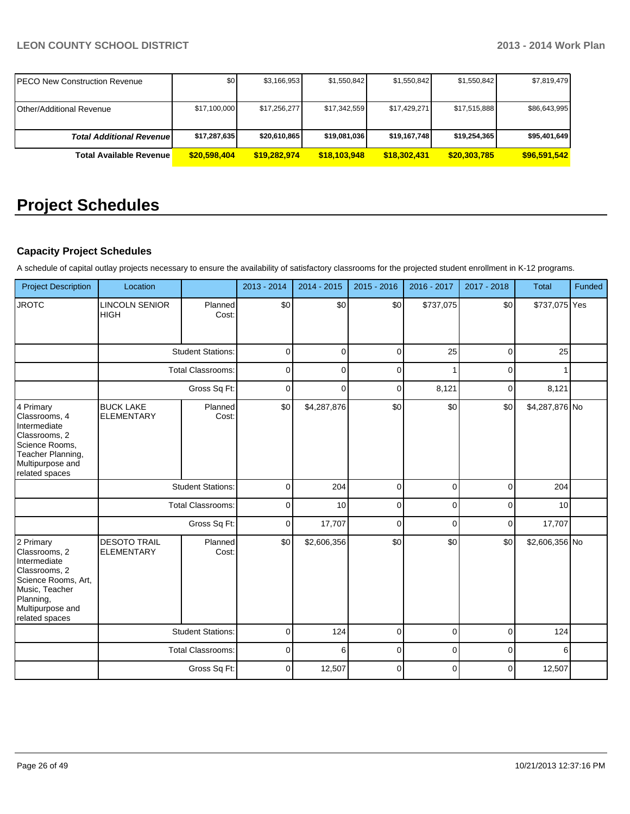| <b>PECO New Construction Revenue</b> | \$0          | \$3,166,953  | \$1,550,842  | \$1,550,842  | \$1,550,842  | \$7,819,479  |
|--------------------------------------|--------------|--------------|--------------|--------------|--------------|--------------|
| <b>Other/Additional Revenue</b>      | \$17,100,000 | \$17,256,277 | \$17,342,559 | \$17,429,271 | \$17,515,888 | \$86,643,995 |
| <b>Total Additional Revenuel</b>     | \$17,287,635 | \$20,610,865 | \$19,081,036 | \$19,167,748 | \$19,254,365 | \$95,401,649 |
| <b>Total Available Revenue</b>       | \$20,598,404 | \$19,282,974 | \$18,103,948 | \$18,302,431 | \$20,303,785 | \$96,591,542 |

## **Project Schedules**

### **Capacity Project Schedules**

A schedule of capital outlay projects necessary to ensure the availability of satisfactory classrooms for the projected student enrollment in K-12 programs.

| <b>Project Description</b>                                                                                                                              | Location                                 |                          | 2013 - 2014 | 2014 - 2015 | 2015 - 2016 | 2016 - 2017 | 2017 - 2018 | <b>Total</b>   | Funded |
|---------------------------------------------------------------------------------------------------------------------------------------------------------|------------------------------------------|--------------------------|-------------|-------------|-------------|-------------|-------------|----------------|--------|
| <b>JROTC</b>                                                                                                                                            | <b>LINCOLN SENIOR</b><br><b>HIGH</b>     | Planned<br>Cost:         | \$0         | \$0         | \$0         | \$737,075   | \$0         | \$737,075 Yes  |        |
|                                                                                                                                                         |                                          | <b>Student Stations:</b> | $\mathbf 0$ | $\mathbf 0$ | $\mathbf 0$ | 25          | $\mathbf 0$ | 25             |        |
|                                                                                                                                                         |                                          | <b>Total Classrooms:</b> | $\mathbf 0$ | 0           | $\mathbf 0$ |             | $\mathbf 0$ |                |        |
|                                                                                                                                                         |                                          | Gross Sq Ft:             | $\mathbf 0$ | 0           | $\mathbf 0$ | 8,121       | $\mathbf 0$ | 8,121          |        |
| 4 Primary<br>Classrooms, 4<br>Intermediate<br>Classrooms, 2<br>Science Rooms,<br>Teacher Planning,<br>Multipurpose and<br>related spaces                | <b>BUCK LAKE</b><br><b>ELEMENTARY</b>    | Planned<br>Cost:         | \$0         | \$4,287,876 | \$0         | \$0         | \$0         | \$4,287,876 No |        |
|                                                                                                                                                         |                                          | <b>Student Stations:</b> | $\mathbf 0$ | 204         | $\mathbf 0$ | $\Omega$    | $\mathbf 0$ | 204            |        |
|                                                                                                                                                         | <b>Total Classrooms:</b>                 |                          | $\mathbf 0$ | 10          | $\mathbf 0$ | $\Omega$    | $\mathbf 0$ | 10             |        |
|                                                                                                                                                         |                                          | Gross Sq Ft:             |             | 17,707      | $\mathbf 0$ | $\mathbf 0$ | $\pmb{0}$   | 17,707         |        |
| 2 Primary<br>Classrooms, 2<br>Intermediate<br>Classrooms, 2<br>Science Rooms, Art,<br>Music, Teacher<br>Planning,<br>Multipurpose and<br>related spaces | <b>DESOTO TRAIL</b><br><b>ELEMENTARY</b> | Planned<br>Cost:         | \$0         | \$2,606,356 | \$0         | \$0         | \$0         | \$2,606,356 No |        |
|                                                                                                                                                         |                                          | <b>Student Stations:</b> | 0           | 124         | $\mathbf 0$ | $\mathbf 0$ | $\mathbf 0$ | 124            |        |
|                                                                                                                                                         |                                          | <b>Total Classrooms:</b> | $\mathbf 0$ | 6           | $\mathbf 0$ | $\mathbf 0$ | $\mathbf 0$ | 6              |        |
|                                                                                                                                                         |                                          | Gross Sq Ft:             | $\mathbf 0$ | 12,507      | $\mathbf 0$ | $\Omega$    | $\mathbf 0$ | 12,507         |        |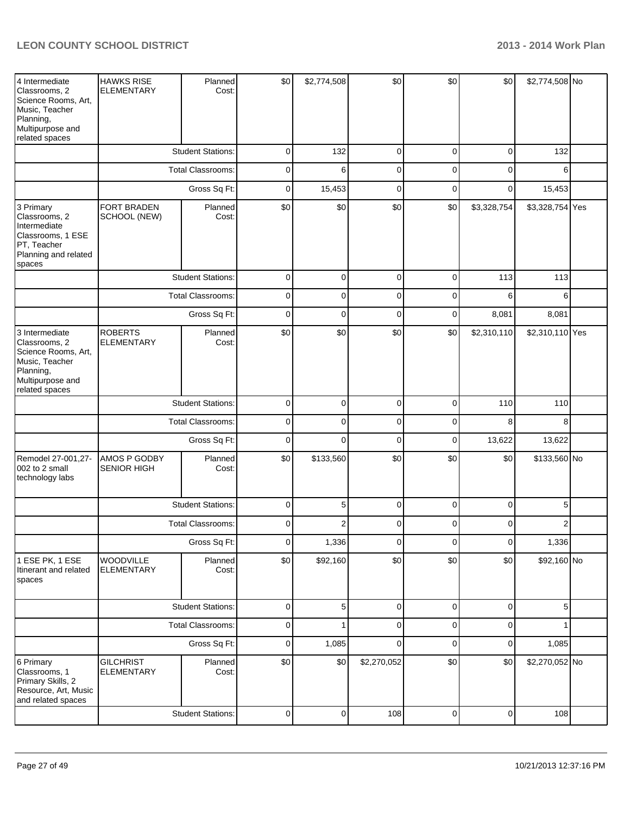| 4 Intermediate<br>Classrooms, 2<br>Science Rooms, Art,<br>Music, Teacher<br>Planning,<br>Multipurpose and<br>related spaces | <b>HAWKS RISE</b><br><b>ELEMENTARY</b> | Planned<br>Cost:         | \$0            | \$2,774,508    | \$0            | \$0            | \$0            | \$2,774,508 No  |  |
|-----------------------------------------------------------------------------------------------------------------------------|----------------------------------------|--------------------------|----------------|----------------|----------------|----------------|----------------|-----------------|--|
|                                                                                                                             |                                        | <b>Student Stations:</b> | 0              | 132            | 0              | 0              | 0              | 132             |  |
|                                                                                                                             |                                        | Total Classrooms:        | 0              | 6              | 0              | 0              | 0              | 6               |  |
|                                                                                                                             |                                        | Gross Sq Ft:             | 0              | 15,453         | 0              | 0              | 0              | 15,453          |  |
| 3 Primary<br>Classrooms, 2<br>Intermediate<br>Classrooms, 1 ESE<br>PT, Teacher<br>Planning and related<br>spaces            | FORT BRADEN<br>SCHOOL (NEW)            | Planned<br>Cost:         | \$0            | \$0            | \$0            | \$0            | \$3,328,754    | \$3,328,754 Yes |  |
|                                                                                                                             |                                        | <b>Student Stations:</b> | 0              | 0              | 0              | 0              | 113            | 113             |  |
|                                                                                                                             |                                        | <b>Total Classrooms:</b> | 0              | 0              | 0              | 0              | 6              | 6               |  |
|                                                                                                                             |                                        | Gross Sq Ft:             | 0              | 0              | 0              | 0              | 8,081          | 8,081           |  |
| 3 Intermediate<br>Classrooms, 2<br>Science Rooms, Art,<br>Music, Teacher<br>Planning,<br>Multipurpose and<br>related spaces | <b>ROBERTS</b><br><b>ELEMENTARY</b>    | Planned<br>Cost:         | \$0            | \$0            | \$0            | \$0            | \$2,310,110    | \$2,310,110 Yes |  |
|                                                                                                                             |                                        | <b>Student Stations:</b> | 0              | 0              | $\pmb{0}$      | 0              | 110            | 110             |  |
|                                                                                                                             |                                        | <b>Total Classrooms:</b> | 0              | 0              | $\pmb{0}$      | 0              | 8              | 8               |  |
|                                                                                                                             |                                        | Gross Sq Ft:             | 0              | $\Omega$       | $\pmb{0}$      | 0              | 13,622         | 13,622          |  |
| Remodel 27-001,27-<br>002 to 2 small<br>technology labs                                                                     | AMOS P GODBY<br><b>SENIOR HIGH</b>     | Planned<br>Cost:         | \$0            | \$133,560      | \$0            | \$0            | \$0            | \$133,560 No    |  |
|                                                                                                                             |                                        | <b>Student Stations:</b> | 0              | 5              | $\pmb{0}$      | 0              | $\pmb{0}$      | 5               |  |
|                                                                                                                             |                                        | <b>Total Classrooms:</b> | 0              | 2              | 0              | 0              | 0              | $\overline{2}$  |  |
|                                                                                                                             |                                        | Gross Sq Ft:             | $\overline{0}$ | 1,336          | $\overline{0}$ | $\overline{0}$ | $\mathbf 0$    | 1,336           |  |
| 1 ESE PK, 1 ESE<br>Itinerant and related<br>spaces                                                                          | WOODVILLE<br><b>ELEMENTARY</b>         | Planned<br>Cost:         | \$0            | \$92,160       | \$0            | \$0            | \$0            | \$92,160 No     |  |
|                                                                                                                             |                                        | <b>Student Stations:</b> | 0              | 5 <sup>1</sup> | $\pmb{0}$      | 0              | 0              | 5               |  |
|                                                                                                                             |                                        | <b>Total Classrooms:</b> | 0              |                | 0              | 0              | 0              |                 |  |
|                                                                                                                             |                                        | Gross Sq Ft:             | 0              | 1,085          | 0              | 0              | 0              | 1,085           |  |
| 6 Primary<br>Classrooms, 1<br>Primary Skills, 2<br>Resource, Art, Music<br>and related spaces                               | <b>GILCHRIST</b><br><b>ELEMENTARY</b>  | Planned<br>Cost:         | \$0            | \$0            | \$2,270,052    | \$0            | \$0            | \$2,270,052 No  |  |
|                                                                                                                             |                                        | <b>Student Stations:</b> | 0              | $\overline{0}$ | 108            | $\overline{0}$ | $\overline{0}$ | 108             |  |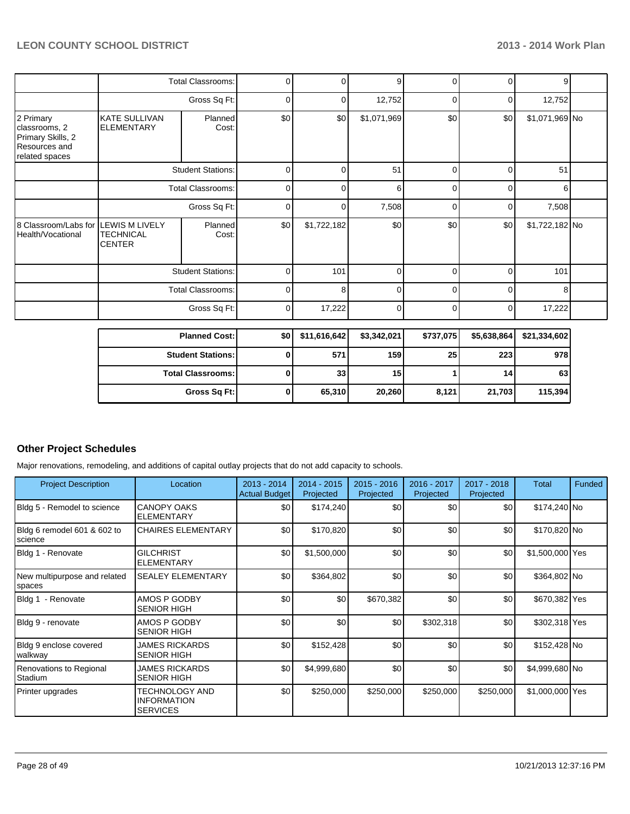|                                                                                    |                                                               | <b>Total Classrooms:</b> | 0        | ი           | 9              | 0        | 0        | 9              |  |
|------------------------------------------------------------------------------------|---------------------------------------------------------------|--------------------------|----------|-------------|----------------|----------|----------|----------------|--|
|                                                                                    | Gross Sq Ft:                                                  |                          | 0        | 0           | 12,752         | $\Omega$ | 0        | 12,752         |  |
| 2 Primary<br>classrooms, 2<br>Primary Skills, 2<br>Resources and<br>related spaces | <b>KATE SULLIVAN</b><br>Planned<br><b>ELEMENTARY</b><br>Cost: |                          | \$0      | \$0         | \$1,071,969    | \$0      | \$0      | \$1,071,969 No |  |
|                                                                                    | <b>Student Stations:</b>                                      |                          | 0        | 0           | 51             | 0        | $\Omega$ | 51             |  |
|                                                                                    | <b>Total Classrooms:</b>                                      |                          | 0        | C           | 6              | $\Omega$ | $\Omega$ | 6              |  |
|                                                                                    | Gross Sq Ft:                                                  |                          | 0        | 0           | 7,508          | $\Omega$ | $\Omega$ | 7,508          |  |
| 8 Classroom/Labs for<br>Health/Vocational                                          | <b>LEWIS M LIVELY</b><br><b>TECHNICAL</b><br><b>CENTER</b>    | Planned<br>Cost:         | \$0      | \$1,722,182 | \$0            | \$0      | \$0      | \$1,722,182 No |  |
|                                                                                    | <b>Student Stations:</b>                                      |                          | 0        | 101         | $\Omega$       | U        | $\Omega$ | 101            |  |
|                                                                                    |                                                               | <b>Total Classrooms:</b> | $\Omega$ | 8           | $\Omega$       | $\Omega$ | $\Omega$ | 8              |  |
|                                                                                    | Gross Sq Ft:                                                  |                          | 0        | 17,222      | $\overline{0}$ | $\Omega$ | 0        | 17,222         |  |
|                                                                                    |                                                               |                          |          |             |                |          |          |                |  |

| <b>Planned Cost:</b>       | \$0 | \$11,616,642 | \$3,342,021 | \$737,075 | \$5,638,864     | \$21,334,602 |
|----------------------------|-----|--------------|-------------|-----------|-----------------|--------------|
| <b>Student Stations: I</b> |     | 571          | 159         | 25        | 223             | 978          |
| <b>Total Classrooms:</b>   |     | 33           | 15          |           | 14 <sub>1</sub> | 63           |
| Gross Sq Ft:               |     | 65,310       | 20,260      | 8,121     | 21.703          | 115,394      |

#### **Other Project Schedules**

Major renovations, remodeling, and additions of capital outlay projects that do not add capacity to schools.

| <b>Project Description</b>             | Location                                                | $2013 - 2014$<br><b>Actual Budget</b> | 2014 - 2015<br>Projected | $2015 - 2016$<br>Projected | 2016 - 2017<br>Projected | $2017 - 2018$<br>Projected | Total           | <b>Funded</b> |
|----------------------------------------|---------------------------------------------------------|---------------------------------------|--------------------------|----------------------------|--------------------------|----------------------------|-----------------|---------------|
| Bldg 5 - Remodel to science            | <b>CANOPY OAKS</b><br><b>ELEMENTARY</b>                 | \$0 <sub>1</sub>                      | \$174,240                | \$0                        | \$0                      | \$0                        | \$174,240 No    |               |
| Bldg 6 remodel 601 & 602 to<br>science | <b>CHAIRES ELEMENTARY</b>                               | \$0                                   | \$170,820                | \$0                        | \$0                      | \$0                        | \$170,820 No    |               |
| Bldg 1 - Renovate                      | <b>GILCHRIST</b><br><b>ELEMENTARY</b>                   | \$0                                   | \$1,500,000              | \$0                        | \$0                      | \$0                        | \$1,500,000 Yes |               |
| New multipurpose and related<br>spaces | <b>SEALEY ELEMENTARY</b>                                | \$0                                   | \$364,802                | \$0                        | \$0                      | \$0                        | \$364,802 No    |               |
| Bldg 1 - Renovate                      | AMOS P GODBY<br><b>SENIOR HIGH</b>                      | \$0                                   | \$0                      | \$670,382                  | \$0                      | \$0                        | \$670,382 Yes   |               |
| Bldg 9 - renovate                      | AMOS P GODBY<br><b>SENIOR HIGH</b>                      | \$0                                   | \$0                      | \$0                        | \$302,318                | \$0                        | \$302,318 Yes   |               |
| Bldg 9 enclose covered<br>walkway      | <b>JAMES RICKARDS</b><br><b>SENIOR HIGH</b>             | \$0                                   | \$152,428                | \$0                        | \$0                      | \$0                        | \$152,428 No    |               |
| Renovations to Regional<br>Stadium     | <b>JAMES RICKARDS</b><br><b>SENIOR HIGH</b>             | \$0                                   | \$4,999,680              | \$0                        | \$0                      | \$0                        | \$4,999,680 No  |               |
| Printer upgrades                       | TECHNOLOGY AND<br><b>INFORMATION</b><br><b>SERVICES</b> | \$0 <sub>1</sub>                      | \$250,000                | \$250,000                  | \$250,000                | \$250,000                  | \$1,000,000 Yes |               |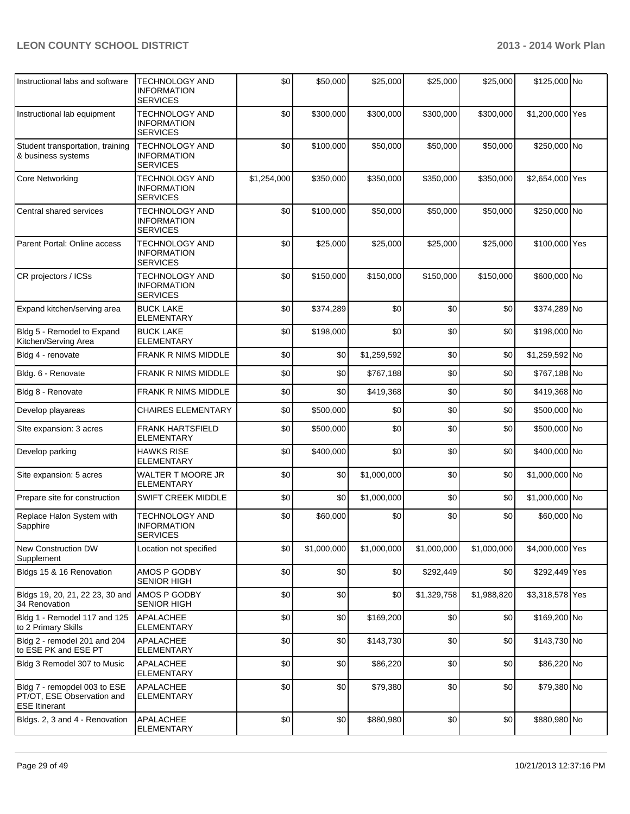| Instructional labs and software                                                    | <b>TECHNOLOGY AND</b><br><b>INFORMATION</b><br><b>SERVICES</b> | \$0         | \$50,000    | \$25,000    | \$25,000    | \$25,000    | \$125,000 No    |  |
|------------------------------------------------------------------------------------|----------------------------------------------------------------|-------------|-------------|-------------|-------------|-------------|-----------------|--|
| Instructional lab equipment                                                        | <b>TECHNOLOGY AND</b><br><b>INFORMATION</b><br><b>SERVICES</b> | \$0         | \$300,000   | \$300,000   | \$300,000   | \$300,000   | \$1,200,000 Yes |  |
| Student transportation, training<br>& business systems                             | TECHNOLOGY AND<br><b>INFORMATION</b><br><b>SERVICES</b>        | \$0         | \$100,000   | \$50,000    | \$50,000    | \$50,000    | \$250,000 No    |  |
| <b>Core Networking</b>                                                             | <b>TECHNOLOGY AND</b><br><b>INFORMATION</b><br><b>SERVICES</b> | \$1,254,000 | \$350,000   | \$350,000   | \$350,000   | \$350,000   | \$2,654,000 Yes |  |
| Central shared services                                                            | <b>TECHNOLOGY AND</b><br><b>INFORMATION</b><br><b>SERVICES</b> | \$0         | \$100,000   | \$50,000    | \$50,000    | \$50,000    | \$250,000 No    |  |
| Parent Portal: Online access                                                       | <b>TECHNOLOGY AND</b><br><b>INFORMATION</b><br><b>SERVICES</b> | \$0         | \$25,000    | \$25,000    | \$25,000    | \$25,000    | \$100,000 Yes   |  |
| CR projectors / ICSs                                                               | <b>TECHNOLOGY AND</b><br><b>INFORMATION</b><br><b>SERVICES</b> | \$0         | \$150,000   | \$150,000   | \$150,000   | \$150,000   | \$600,000 No    |  |
| Expand kitchen/serving area                                                        | <b>BUCK LAKE</b><br><b>ELEMENTARY</b>                          | \$0         | \$374,289   | \$0         | \$0         | \$0         | \$374,289 No    |  |
| Bldg 5 - Remodel to Expand<br>Kitchen/Serving Area                                 | <b>BUCK LAKE</b><br><b>ELEMENTARY</b>                          | \$0         | \$198,000   | \$0         | \$0         | \$0         | \$198,000 No    |  |
| Bldg 4 - renovate                                                                  | <b>FRANK R NIMS MIDDLE</b>                                     | \$0         | \$0         | \$1,259,592 | \$0         | \$0         | \$1,259,592 No  |  |
| Bldg. 6 - Renovate                                                                 | <b>FRANK R NIMS MIDDLE</b>                                     | \$0         | \$0         | \$767,188   | \$0         | \$0         | \$767,188 No    |  |
| Bldg 8 - Renovate                                                                  | <b>FRANK R NIMS MIDDLE</b>                                     | \$0         | \$0         | \$419,368   | \$0         | \$0         | \$419,368 No    |  |
| Develop playareas                                                                  | <b>CHAIRES ELEMENTARY</b>                                      | \$0         | \$500,000   | \$0         | \$0         | \$0         | \$500,000 No    |  |
| Site expansion: 3 acres                                                            | <b>FRANK HARTSFIELD</b><br><b>ELEMENTARY</b>                   | \$0         | \$500,000   | \$0         | \$0         | \$0         | \$500,000 No    |  |
| Develop parking                                                                    | <b>HAWKS RISE</b><br>ELEMENTARY                                | \$0         | \$400,000   | \$0         | \$0         | \$0         | \$400,000 No    |  |
| Site expansion: 5 acres                                                            | <b>WALTER T MOORE JR</b><br><b>ELEMENTARY</b>                  | \$0         | \$0         | \$1,000,000 | \$0         | \$0         | \$1,000,000 No  |  |
| Prepare site for construction                                                      | <b>SWIFT CREEK MIDDLE</b>                                      | \$0         | \$0         | \$1,000,000 | \$0         | \$0         | \$1,000,000 No  |  |
| Replace Halon System with<br>Sapphire                                              | <b>TECHNOLOGY AND</b><br><b>INFORMATION</b><br>SERVICES        | \$0         | \$60,000    | \$0         | \$0         | \$0         | \$60,000 No     |  |
| New Construction DW<br>Supplement                                                  | Location not specified                                         | \$0         | \$1,000,000 | \$1,000,000 | \$1,000,000 | \$1,000,000 | \$4,000,000 Yes |  |
| Bldgs 15 & 16 Renovation                                                           | AMOS P GODBY<br><b>SENIOR HIGH</b>                             | \$0         | \$0         | \$0         | \$292,449   | \$0         | \$292,449 Yes   |  |
| Bldgs 19, 20, 21, 22 23, 30 and<br>34 Renovation                                   | AMOS P GODBY<br><b>SENIOR HIGH</b>                             | \$0         | \$0         | \$0         | \$1,329,758 | \$1,988,820 | \$3,318,578 Yes |  |
| Bldg 1 - Remodel 117 and 125<br>to 2 Primary Skills                                | APALACHEE<br><b>ELEMENTARY</b>                                 | \$0         | \$0         | \$169,200   | \$0         | \$0         | \$169,200 No    |  |
| Bldg 2 - remodel 201 and 204<br>to ESE PK and ESE PT                               | <b>APALACHEE</b><br><b>ELEMENTARY</b>                          | \$0         | \$0         | \$143,730   | \$0         | \$0         | \$143,730 No    |  |
| Bldg 3 Remodel 307 to Music                                                        | APALACHEE<br><b>ELEMENTARY</b>                                 | \$0         | \$0         | \$86,220    | \$0         | \$0         | \$86,220 No     |  |
| Bldg 7 - remopdel 003 to ESE<br>PT/OT, ESE Observation and<br><b>ESE Itinerant</b> | APALACHEE<br><b>ELEMENTARY</b>                                 | \$0         | \$0         | \$79,380    | \$0         | \$0         | \$79,380 No     |  |
| Bldgs. 2, 3 and 4 - Renovation                                                     | APALACHEE<br><b>ELEMENTARY</b>                                 | \$0         | \$0         | \$880,980   | \$0         | \$0         | \$880,980 No    |  |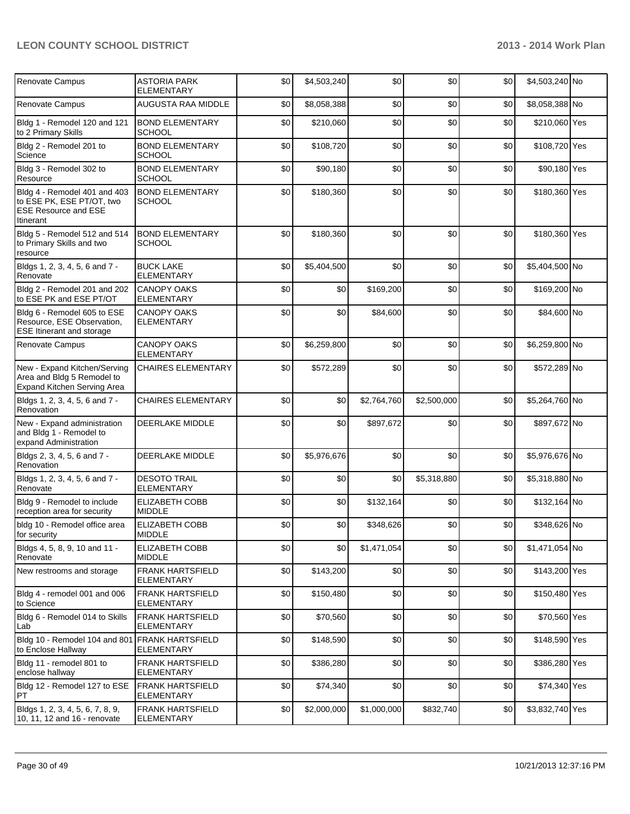| Renovate Campus                                                                                       | <b>ASTORIA PARK</b><br><b>ELEMENTARY</b>     | \$0 | \$4,503,240 | \$0         | \$0         | \$0 | \$4,503,240 No  |  |
|-------------------------------------------------------------------------------------------------------|----------------------------------------------|-----|-------------|-------------|-------------|-----|-----------------|--|
| Renovate Campus                                                                                       | AUGUSTA RAA MIDDLE                           | \$0 | \$8,058,388 | \$0         | \$0         | \$0 | \$8,058,388 No  |  |
| Bldg 1 - Remodel 120 and 121<br>to 2 Primary Skills                                                   | <b>BOND ELEMENTARY</b><br><b>SCHOOL</b>      | \$0 | \$210,060   | \$0         | \$0         | \$0 | \$210,060 Yes   |  |
| Bldg 2 - Remodel 201 to<br>Science                                                                    | <b>BOND ELEMENTARY</b><br><b>SCHOOL</b>      | \$0 | \$108,720   | \$0         | \$0         | \$0 | \$108,720 Yes   |  |
| Bldg 3 - Remodel 302 to<br>Resource                                                                   | <b>BOND ELEMENTARY</b><br><b>SCHOOL</b>      | \$0 | \$90,180    | \$0         | \$0         | \$0 | \$90,180 Yes    |  |
| Bldg 4 - Remodel 401 and 403<br>to ESE PK, ESE PT/OT, two<br><b>ESE Resource and ESE</b><br>Itinerant | <b>BOND ELEMENTARY</b><br>SCHOOL             | \$0 | \$180,360   | \$0         | \$0         | \$0 | \$180,360 Yes   |  |
| Bldg 5 - Remodel 512 and 514<br>to Primary Skills and two<br>resource                                 | <b>BOND ELEMENTARY</b><br><b>SCHOOL</b>      | \$0 | \$180,360   | \$0         | \$0         | \$0 | \$180,360 Yes   |  |
| Bldgs 1, 2, 3, 4, 5, 6 and 7 -<br>Renovate                                                            | <b>BUCK LAKE</b><br><b>ELEMENTARY</b>        | \$0 | \$5,404,500 | \$0         | \$0         | \$0 | \$5,404,500 No  |  |
| Bldg 2 - Remodel 201 and 202<br>to ESE PK and ESE PT/OT                                               | <b>CANOPY OAKS</b><br><b>ELEMENTARY</b>      | \$0 | \$0         | \$169,200   | \$0         | \$0 | \$169,200 No    |  |
| Bldg 6 - Remodel 605 to ESE<br>Resource, ESE Observation,<br><b>ESE Itinerant and storage</b>         | <b>CANOPY OAKS</b><br><b>ELEMENTARY</b>      | \$0 | \$0         | \$84,600    | \$0         | \$0 | \$84,600 No     |  |
| Renovate Campus                                                                                       | <b>CANOPY OAKS</b><br><b>ELEMENTARY</b>      | \$0 | \$6,259,800 | \$0         | \$0         | \$0 | \$6,259,800 No  |  |
| New - Expand Kitchen/Serving<br>Area and Bldg 5 Remodel to<br>Expand Kitchen Serving Area             | <b>CHAIRES ELEMENTARY</b>                    | \$0 | \$572,289   | \$0         | \$0         | \$0 | \$572,289 No    |  |
| Bldgs 1, 2, 3, 4, 5, 6 and 7 -<br>Renovation                                                          | CHAIRES ELEMENTARY                           | \$0 | \$0         | \$2,764,760 | \$2,500,000 | \$0 | \$5,264,760 No  |  |
| New - Expand administration<br>and Bldg 1 - Remodel to<br>expand Administration                       | <b>DEERLAKE MIDDLE</b>                       | \$0 | \$0         | \$897,672   | \$0         | \$0 | \$897,672 No    |  |
| Bldgs 2, 3, 4, 5, 6 and 7 -<br>Renovation                                                             | DEERLAKE MIDDLE                              | \$0 | \$5,976,676 | \$0         | \$0         | \$0 | \$5,976,676 No  |  |
| Bldgs 1, 2, 3, 4, 5, 6 and 7 -<br>Renovate                                                            | <b>DESOTO TRAIL</b><br><b>ELEMENTARY</b>     | \$0 | \$0         | \$0         | \$5,318,880 | \$0 | \$5,318,880 No  |  |
| Bldg 9 - Remodel to include<br>reception area for security                                            | ELIZABETH COBB<br><b>MIDDLE</b>              | \$0 | \$0         | \$132,164   | \$0         | \$0 | \$132,164 No    |  |
| bldg 10 - Remodel office area<br>for security                                                         | <b>ELIZABETH COBB</b><br><b>MIDDLE</b>       | \$0 | \$0         | \$348,626   | \$0         | \$0 | \$348,626 No    |  |
| Bldgs 4, 5, 8, 9, 10 and 11 -<br>Renovate                                                             | <b>ELIZABETH COBB</b><br><b>MIDDLE</b>       | \$0 | \$0         | \$1,471,054 | \$0         | \$0 | \$1,471,054 No  |  |
| New restrooms and storage                                                                             | <b>FRANK HARTSFIELD</b><br><b>ELEMENTARY</b> | \$0 | \$143,200   | \$0         | \$0         | \$0 | \$143,200 Yes   |  |
| Bldg 4 - remodel 001 and 006<br>to Science                                                            | <b>FRANK HARTSFIELD</b><br><b>ELEMENTARY</b> | \$0 | \$150,480   | \$0         | \$0         | \$0 | \$150,480 Yes   |  |
| Bldg 6 - Remodel 014 to Skills<br>Lab                                                                 | <b>FRANK HARTSFIELD</b><br><b>ELEMENTARY</b> | \$0 | \$70,560    | \$0         | \$0         | \$0 | \$70,560 Yes    |  |
| Bldg 10 - Remodel 104 and 801 FRANK HARTSFIELD<br>to Enclose Hallway                                  | <b>ELEMENTARY</b>                            | \$0 | \$148,590   | \$0         | \$0         | \$0 | \$148,590 Yes   |  |
| Bldg 11 - remodel 801 to<br>enclose hallway                                                           | <b>FRANK HARTSFIELD</b><br><b>ELEMENTARY</b> | \$0 | \$386,280   | \$0         | \$0         | \$0 | \$386,280 Yes   |  |
| Bldg 12 - Remodel 127 to ESE<br>PT                                                                    | <b>FRANK HARTSFIELD</b><br><b>ELEMENTARY</b> | \$0 | \$74,340    | \$0         | \$0         | \$0 | \$74,340 Yes    |  |
| Bldgs 1, 2, 3, 4, 5, 6, 7, 8, 9,<br>10, 11, 12 and 16 - renovate                                      | <b>FRANK HARTSFIELD</b><br><b>ELEMENTARY</b> | \$0 | \$2,000,000 | \$1,000,000 | \$832,740   | \$0 | \$3,832,740 Yes |  |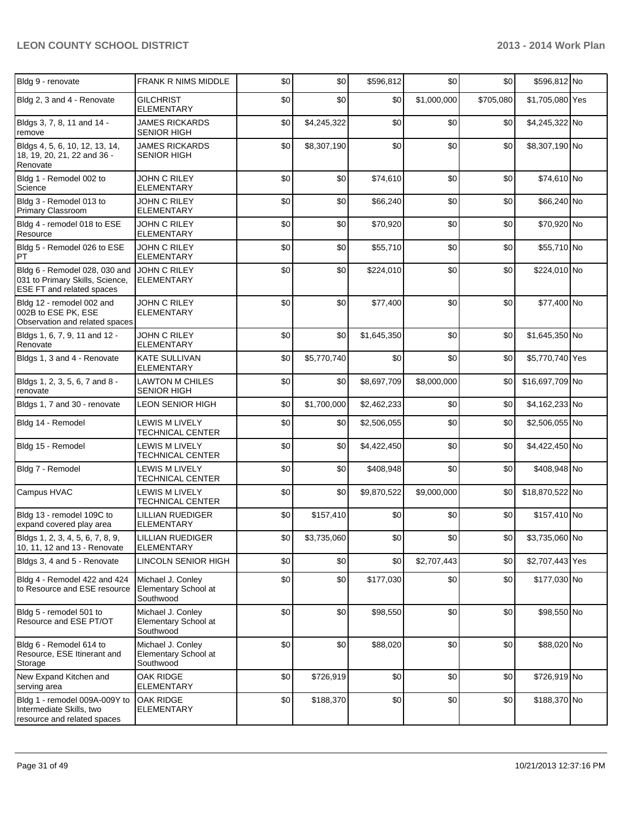| Bldg 9 - renovate                                                                             | <b>FRANK R NIMS MIDDLE</b>                             | \$0 | \$0         | \$596,812   | \$0         | \$0       | \$596,812 No    |  |
|-----------------------------------------------------------------------------------------------|--------------------------------------------------------|-----|-------------|-------------|-------------|-----------|-----------------|--|
| Bldg 2, 3 and 4 - Renovate                                                                    | <b>GILCHRIST</b><br><b>ELEMENTARY</b>                  | \$0 | \$0         | \$0         | \$1,000,000 | \$705,080 | \$1,705,080 Yes |  |
| Bldgs 3, 7, 8, 11 and 14 -<br>remove                                                          | <b>JAMES RICKARDS</b><br><b>SENIOR HIGH</b>            | \$0 | \$4,245,322 | \$0         | \$0         | \$0       | \$4,245,322 No  |  |
| Bldgs 4, 5, 6, 10, 12, 13, 14,<br>18, 19, 20, 21, 22 and 36 -<br>Renovate                     | <b>JAMES RICKARDS</b><br><b>SENIOR HIGH</b>            | \$0 | \$8,307,190 | \$0         | \$0         | \$0       | \$8,307,190 No  |  |
| Bldg 1 - Remodel 002 to<br>Science                                                            | JOHN C RILEY<br>ELEMENTARY                             | \$0 | \$0         | \$74,610    | \$0         | \$0       | \$74,610 No     |  |
| Bldg 3 - Remodel 013 to<br>Primary Classroom                                                  | JOHN C RILEY<br><b>ELEMENTARY</b>                      | \$0 | \$0         | \$66,240    | \$0         | \$0       | \$66,240 No     |  |
| Bldg 4 - remodel 018 to ESE<br>Resource                                                       | JOHN C RILEY<br><b>ELEMENTARY</b>                      | \$0 | \$0         | \$70,920    | \$0         | \$0       | \$70,920 No     |  |
| Bldg 5 - Remodel 026 to ESE<br>PT                                                             | JOHN C RILEY<br><b>ELEMENTARY</b>                      | \$0 | \$0         | \$55,710    | \$0         | \$0       | \$55,710 No     |  |
| Bldg 6 - Remodel 028, 030 and<br>031 to Primary Skills, Science,<br>ESE FT and related spaces | JOHN C RILEY<br><b>ELEMENTARY</b>                      | \$0 | \$0         | \$224,010   | \$0         | \$0       | \$224,010 No    |  |
| Bldg 12 - remodel 002 and<br>002B to ESE PK, ESE<br>Observation and related spaces            | JOHN C RILEY<br><b>ELEMENTARY</b>                      | \$0 | \$0         | \$77,400    | \$0         | \$0       | \$77,400 No     |  |
| Bldgs 1, 6, 7, 9, 11 and 12 -<br>Renovate                                                     | JOHN C RILEY<br><b>ELEMENTARY</b>                      | \$0 | \$0         | \$1,645,350 | \$0         | \$0       | \$1,645,350 No  |  |
| Bldgs 1, 3 and 4 - Renovate                                                                   | <b>KATE SULLIVAN</b><br><b>ELEMENTARY</b>              | \$0 | \$5,770,740 | \$0         | \$0         | \$0       | \$5,770,740 Yes |  |
| Bldgs 1, 2, 3, 5, 6, 7 and 8 -<br>renovate                                                    | <b>LAWTON M CHILES</b><br><b>SENIOR HIGH</b>           | \$0 | \$0         | \$8,697,709 | \$8,000,000 | \$0       | \$16,697,709 No |  |
| Bldgs 1, 7 and 30 - renovate                                                                  | LEON SENIOR HIGH                                       | \$0 | \$1,700,000 | \$2,462,233 | \$0         | \$0       | \$4,162,233 No  |  |
| Bldg 14 - Remodel                                                                             | LEWIS M LIVELY<br><b>TECHNICAL CENTER</b>              | \$0 | \$0         | \$2,506,055 | \$0         | \$0       | \$2,506,055 No  |  |
| Bldg 15 - Remodel                                                                             | <b>LEWIS M LIVELY</b><br>TECHNICAL CENTER              | \$0 | \$0         | \$4,422,450 | \$0         | \$0       | \$4,422,450 No  |  |
| Bldg 7 - Remodel                                                                              | <b>LEWIS M LIVELY</b><br>TECHNICAL CENTER              | \$0 | \$0         | \$408,948   | \$0         | \$0       | \$408,948 No    |  |
| Campus HVAC                                                                                   | <b>LEWIS M LIVELY</b><br>TECHNICAL CENTER              | \$0 | \$0         | \$9,870,522 | \$9,000,000 | \$0       | \$18,870,522 No |  |
| Bldg 13 - remodel 109C to<br>expand covered play area                                         | <b>LILLIAN RUEDIGER</b><br><b>ELEMENTARY</b>           | \$0 | \$157,410   | \$0         | \$0         | \$0       | \$157,410 No    |  |
| Bldgs 1, 2, 3, 4, 5, 6, 7, 8, 9,<br>10, 11, 12 and 13 - Renovate                              | <b>LILLIAN RUEDIGER</b><br><b>ELEMENTARY</b>           | \$0 | \$3,735,060 | \$0         | \$0         | \$0       | \$3,735,060 No  |  |
| Bldgs 3, 4 and 5 - Renovate                                                                   | LINCOLN SENIOR HIGH                                    | \$0 | \$0         | \$0         | \$2,707,443 | \$0       | \$2,707,443 Yes |  |
| Bldg 4 - Remodel 422 and 424<br>to Resource and ESE resource                                  | Michael J. Conley<br>Elementary School at<br>Southwood | \$0 | \$0         | \$177,030   | \$0         | \$0       | \$177,030 No    |  |
| Bldg 5 - remodel 501 to<br>Resource and ESE PT/OT                                             | Michael J. Conley<br>Elementary School at<br>Southwood | \$0 | \$0         | \$98,550    | \$0         | \$0       | \$98,550 No     |  |
| Bldg 6 - Remodel 614 to<br>Resource, ESE Itinerant and<br>Storage                             | Michael J. Conley<br>Elementary School at<br>Southwood | \$0 | \$0         | \$88,020    | \$0         | \$0       | \$88,020 No     |  |
| New Expand Kitchen and<br>serving area                                                        | OAK RIDGE<br>ELEMENTARY                                | \$0 | \$726,919   | \$0         | \$0         | \$0       | \$726,919 No    |  |
| Bldg 1 - remodel 009A-009Y to<br>Intermediate Skills, two<br>resource and related spaces      | <b>OAK RIDGE</b><br><b>ELEMENTARY</b>                  | \$0 | \$188,370   | \$0         | \$0         | \$0       | \$188,370 No    |  |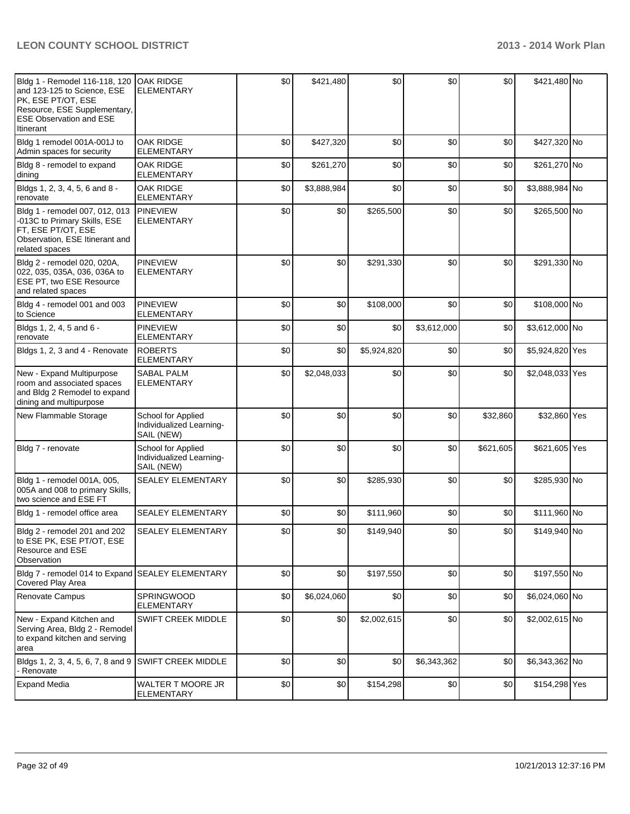| Bldg 1 - Remodel 116-118, 120<br>and 123-125 to Science, ESE<br>PK, ESE PT/OT, ESE<br>Resource, ESE Supplementary,<br><b>ESE Observation and ESE</b><br>Itinerant | <b>OAK RIDGE</b><br><b>ELEMENTARY</b>                        | \$0 | \$421,480   | \$0         | \$0         | \$0       | \$421,480 No    |  |
|-------------------------------------------------------------------------------------------------------------------------------------------------------------------|--------------------------------------------------------------|-----|-------------|-------------|-------------|-----------|-----------------|--|
| Bldg 1 remodel 001A-001J to<br>Admin spaces for security                                                                                                          | <b>OAK RIDGE</b><br><b>ELEMENTARY</b>                        | \$0 | \$427,320   | \$0         | \$0         | \$0       | \$427,320 No    |  |
| Bldg 8 - remodel to expand<br>dining                                                                                                                              | <b>OAK RIDGE</b><br><b>ELEMENTARY</b>                        | \$0 | \$261,270   | \$0         | \$0         | \$0       | \$261,270 No    |  |
| Bldgs 1, 2, 3, 4, 5, 6 and 8 -<br>renovate                                                                                                                        | <b>OAK RIDGE</b><br>ELEMENTARY                               | \$0 | \$3,888,984 | \$0         | \$0         | \$0       | \$3,888,984 No  |  |
| Bldg 1 - remodel 007, 012, 013<br>-013C to Primary Skills, ESE<br>FT, ESE PT/OT, ESE<br>Observation, ESE Itinerant and<br>related spaces                          | <b>PINEVIEW</b><br><b>ELEMENTARY</b>                         | \$0 | \$0         | \$265,500   | \$0         | \$0       | \$265,500 No    |  |
| Bldg 2 - remodel 020, 020A,<br>022, 035, 035A, 036, 036A to<br>ESE PT, two ESE Resource<br>and related spaces                                                     | <b>PINEVIEW</b><br><b>ELEMENTARY</b>                         | \$0 | \$0         | \$291,330   | \$0         | \$0       | \$291,330 No    |  |
| Bldg 4 - remodel 001 and 003<br>to Science                                                                                                                        | <b>PINEVIEW</b><br><b>ELEMENTARY</b>                         | \$0 | \$0         | \$108,000   | \$0         | \$0       | \$108,000 No    |  |
| Bldgs 1, 2, 4, 5 and 6 -<br>renovate                                                                                                                              | <b>PINEVIEW</b><br><b>ELEMENTARY</b>                         | \$0 | \$0         | \$0         | \$3,612,000 | \$0       | \$3,612,000 No  |  |
| Bldgs 1, 2, 3 and 4 - Renovate                                                                                                                                    | <b>ROBERTS</b><br>ELEMENTARY                                 | \$0 | \$0         | \$5,924,820 | \$0         | \$0       | \$5,924,820 Yes |  |
| New - Expand Multipurpose<br>room and associated spaces<br>and Bldg 2 Remodel to expand<br>dining and multipurpose                                                | <b>SABAL PALM</b><br>ELEMENTARY                              | \$0 | \$2,048,033 | \$0         | \$0         | \$0       | \$2,048,033 Yes |  |
| New Flammable Storage                                                                                                                                             | School for Applied<br>Individualized Learning-<br>SAIL (NEW) | \$0 | \$0         | \$0         | \$0         | \$32,860  | \$32,860 Yes    |  |
| Bldg 7 - renovate                                                                                                                                                 | School for Applied<br>Individualized Learning-<br>SAIL (NEW) | \$0 | \$0         | \$0         | \$0         | \$621,605 | \$621,605 Yes   |  |
| Bldg 1 - remodel 001A, 005,<br>005A and 008 to primary Skills,<br>two science and ESE FT                                                                          | <b>SEALEY ELEMENTARY</b>                                     | \$0 | \$0         | \$285,930   | \$0         | \$0       | \$285,930 No    |  |
| Bldg 1 - remodel office area                                                                                                                                      | <b>SEALEY ELEMENTARY</b>                                     | \$0 | \$0         | \$111,960   | \$0         | \$0       | \$111,960 No    |  |
| Bldg 2 - remodel 201 and 202<br>to ESE PK, ESE PT/OT, ESE<br>Resource and ESE<br>Observation                                                                      | <b>SEALEY ELEMENTARY</b>                                     | \$0 | \$0         | \$149,940   | \$0         | \$0       | \$149,940 No    |  |
| Bldg 7 - remodel 014 to Expand SEALEY ELEMENTARY<br>Covered Play Area                                                                                             |                                                              | \$0 | \$0         | \$197,550   | \$0         | \$0       | \$197,550 No    |  |
| Renovate Campus                                                                                                                                                   | SPRINGWOOD<br><b>ELEMENTARY</b>                              | \$0 | \$6,024,060 | \$0         | \$0         | \$0       | \$6,024,060 No  |  |
| New - Expand Kitchen and<br>Serving Area, Bldg 2 - Remodel<br>to expand kitchen and serving<br>area                                                               | SWIFT CREEK MIDDLE                                           | \$0 | \$0         | \$2,002,615 | \$0         | \$0       | \$2,002,615 No  |  |
| Bldgs 1, 2, 3, 4, 5, 6, 7, 8 and 9<br>- Renovate                                                                                                                  | <b>SWIFT CREEK MIDDLE</b>                                    | \$0 | \$0         | \$0         | \$6,343,362 | \$0       | \$6,343,362 No  |  |
| <b>Expand Media</b>                                                                                                                                               | WALTER T MOORE JR<br>ELEMENTARY                              | \$0 | \$0         | \$154,298   | \$0         | \$0       | \$154,298 Yes   |  |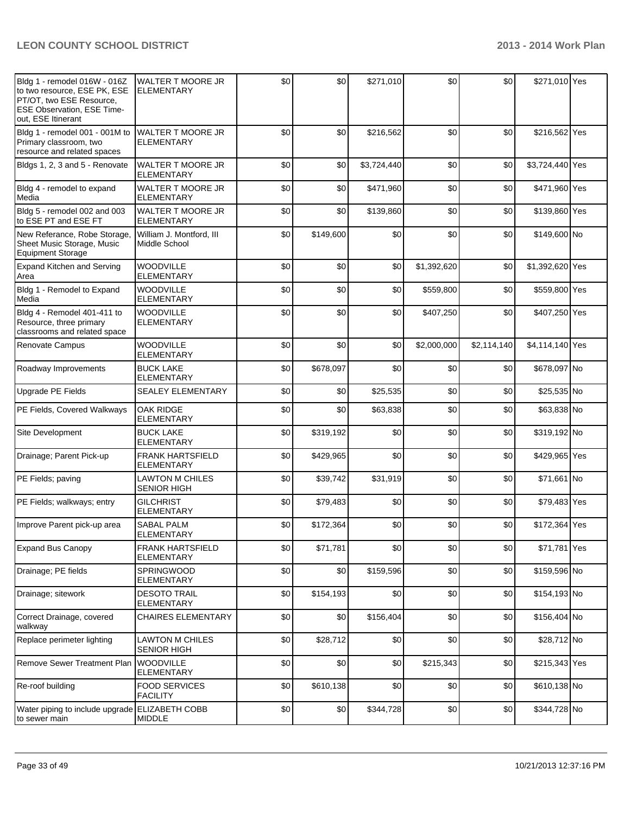| Bldg 1 - remodel 016W - 016Z<br>to two resource, ESE PK, ESE<br>PT/OT, two ESE Resource,<br><b>ESE Observation, ESE Time-</b><br>out, ESE Itinerant | <b>WALTER T MOORE JR</b><br>IELEMENTARY       | \$0 | \$0       | \$271,010   | \$0         | \$0         | \$271,010 Yes   |  |
|-----------------------------------------------------------------------------------------------------------------------------------------------------|-----------------------------------------------|-----|-----------|-------------|-------------|-------------|-----------------|--|
| Bldg 1 - remodel 001 - 001M to<br>Primary classroom, two<br>resource and related spaces                                                             | WALTER T MOORE JR<br><b>ELEMENTARY</b>        | \$0 | \$0       | \$216,562   | \$0         | \$0         | \$216,562 Yes   |  |
| Bldgs 1, 2, 3 and 5 - Renovate                                                                                                                      | <b>WALTER T MOORE JR</b><br><b>ELEMENTARY</b> | \$0 | \$0       | \$3,724,440 | \$0         | \$0         | \$3,724,440 Yes |  |
| Bldg 4 - remodel to expand<br>Media                                                                                                                 | <b>WALTER T MOORE JR</b><br><b>ELEMENTARY</b> | \$0 | \$0       | \$471,960   | \$0         | \$0         | \$471,960 Yes   |  |
| Bldg 5 - remodel 002 and 003<br>to ESE PT and ESE FT                                                                                                | <b>WALTER T MOORE JR</b><br><b>ELEMENTARY</b> | \$0 | \$0       | \$139,860   | \$0         | \$0         | \$139,860 Yes   |  |
| New Referance, Robe Storage,<br>Sheet Music Storage, Music<br><b>Equipment Storage</b>                                                              | William J. Montford, III<br>Middle School     | \$0 | \$149,600 | \$0         | \$0         | \$0         | \$149,600 No    |  |
| <b>Expand Kitchen and Serving</b><br>Area                                                                                                           | WOODVILLE<br><b>ELEMENTARY</b>                | \$0 | \$0       | \$0         | \$1,392,620 | \$0         | \$1,392,620 Yes |  |
| Bldg 1 - Remodel to Expand<br>Media                                                                                                                 | <b>WOODVILLE</b><br><b>ELEMENTARY</b>         | \$0 | \$0       | \$0         | \$559,800   | \$0         | \$559,800 Yes   |  |
| Bldg 4 - Remodel 401-411 to<br>Resource, three primary<br>classrooms and related space                                                              | <b>WOODVILLE</b><br><b>ELEMENTARY</b>         | \$0 | \$0       | \$0         | \$407,250   | \$0         | \$407,250 Yes   |  |
| Renovate Campus                                                                                                                                     | <b>WOODVILLE</b><br><b>ELEMENTARY</b>         | \$0 | \$0       | \$0         | \$2,000,000 | \$2,114,140 | \$4,114,140 Yes |  |
| Roadway Improvements                                                                                                                                | <b>BUCK LAKE</b><br><b>ELEMENTARY</b>         | \$0 | \$678,097 | \$0         | \$0         | \$0         | \$678,097 No    |  |
| Upgrade PE Fields                                                                                                                                   | <b>SEALEY ELEMENTARY</b>                      | \$0 | \$0       | \$25,535    | \$0         | \$0         | \$25,535 No     |  |
| PE Fields, Covered Walkways                                                                                                                         | <b>OAK RIDGE</b><br><b>ELEMENTARY</b>         | \$0 | \$0       | \$63,838    | \$0         | \$0         | \$63,838 No     |  |
| Site Development                                                                                                                                    | <b>BUCK LAKE</b><br><b>ELEMENTARY</b>         | \$0 | \$319,192 | \$0         | \$0         | \$0         | \$319,192 No    |  |
| Drainage; Parent Pick-up                                                                                                                            | <b>FRANK HARTSFIELD</b><br><b>ELEMENTARY</b>  | \$0 | \$429,965 | \$0         | \$0         | \$0         | \$429,965 Yes   |  |
| PE Fields; paving                                                                                                                                   | <b>LAWTON M CHILES</b><br><b>SENIOR HIGH</b>  | \$0 | \$39,742  | \$31,919    | \$0         | \$0         | \$71,661 No     |  |
| PE Fields; walkways; entry                                                                                                                          | <b>GILCHRIST</b><br><b>ELEMENTARY</b>         | \$0 | \$79,483  | \$0         | \$0         | \$0         | \$79,483 Yes    |  |
| Improve Parent pick-up area                                                                                                                         | <b>SABAL PALM</b><br><b>ELEMENTARY</b>        | \$0 | \$172,364 | \$0         | \$0         | \$0         | \$172,364 Yes   |  |
| <b>Expand Bus Canopy</b>                                                                                                                            | <b>FRANK HARTSFIELD</b><br>ELEMENTARY         | \$0 | \$71,781  | \$0         | \$0         | \$0         | \$71,781 Yes    |  |
| Drainage; PE fields                                                                                                                                 | SPRINGWOOD<br><b>ELEMENTARY</b>               | \$0 | \$0       | \$159,596   | \$0         | \$0         | \$159,596 No    |  |
| Drainage; sitework                                                                                                                                  | <b>DESOTO TRAIL</b><br><b>ELEMENTARY</b>      | \$0 | \$154,193 | \$0         | \$0         | \$0         | \$154,193 No    |  |
| Correct Drainage, covered<br>walkway                                                                                                                | <b>CHAIRES ELEMENTARY</b>                     | \$0 | \$0       | \$156,404   | \$0         | \$0         | \$156,404 No    |  |
| Replace perimeter lighting                                                                                                                          | <b>LAWTON M CHILES</b><br><b>SENIOR HIGH</b>  | \$0 | \$28,712  | \$0         | \$0         | \$0         | \$28,712 No     |  |
| Remove Sewer Treatment Plan                                                                                                                         | <b>WOODVILLE</b><br><b>ELEMENTARY</b>         | \$0 | \$0       | \$0         | \$215,343   | \$0         | \$215,343 Yes   |  |
| Re-roof building                                                                                                                                    | <b>FOOD SERVICES</b><br><b>FACILITY</b>       | \$0 | \$610,138 | \$0         | \$0         | \$0         | \$610,138 No    |  |
| Water piping to include upgrade ELIZABETH COBB<br>to sewer main                                                                                     | <b>MIDDLE</b>                                 | \$0 | \$0       | \$344,728   | \$0         | \$0         | \$344,728 No    |  |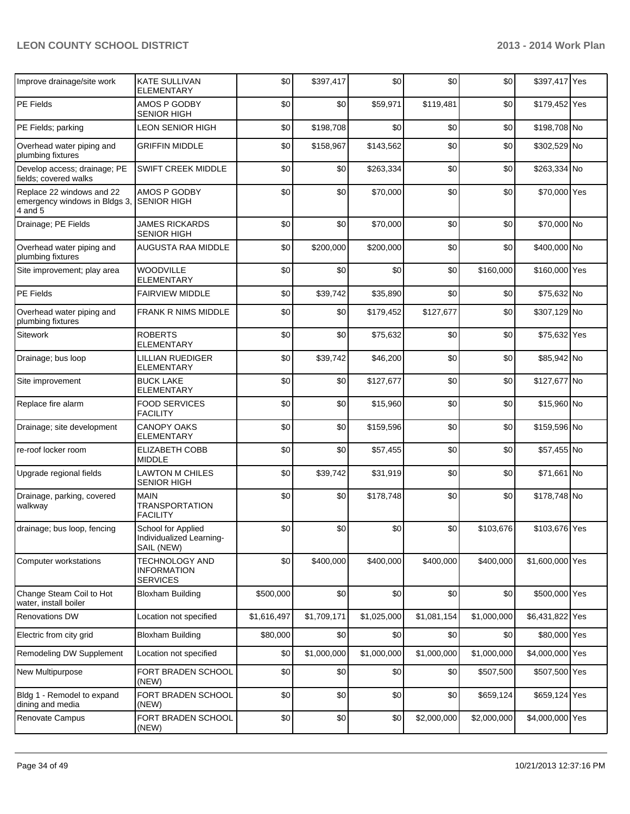| Improve drainage/site work                                            | <b>KATE SULLIVAN</b><br>ELEMENTARY                           | \$0         | \$397,417   | \$0         | \$0         | \$0         | \$397,417 Yes   |  |
|-----------------------------------------------------------------------|--------------------------------------------------------------|-------------|-------------|-------------|-------------|-------------|-----------------|--|
| <b>PE Fields</b>                                                      | AMOS P GODBY<br><b>SENIOR HIGH</b>                           | \$0         | \$0         | \$59,971    | \$119,481   | \$0         | \$179,452 Yes   |  |
| PE Fields; parking                                                    | LEON SENIOR HIGH                                             | \$0         | \$198,708   | \$0         | \$0         | \$0         | \$198,708 No    |  |
| Overhead water piping and<br>plumbing fixtures                        | <b>GRIFFIN MIDDLE</b>                                        | \$0         | \$158,967   | \$143,562   | \$0         | \$0         | \$302,529 No    |  |
| Develop access; drainage; PE<br>fields; covered walks                 | <b>SWIFT CREEK MIDDLE</b>                                    | \$0         | \$0         | \$263,334   | \$0         | \$0         | \$263,334 No    |  |
| Replace 22 windows and 22<br>emergency windows in Bldgs 3,<br>4 and 5 | AMOS P GODBY<br><b>SENIOR HIGH</b>                           | \$0         | \$0         | \$70,000    | \$0         | \$0         | \$70,000 Yes    |  |
| Drainage; PE Fields                                                   | <b>JAMES RICKARDS</b><br><b>SENIOR HIGH</b>                  | \$0         | \$0         | \$70,000    | \$0         | \$0         | \$70,000 No     |  |
| Overhead water piping and<br>plumbing fixtures                        | <b>AUGUSTA RAA MIDDLE</b>                                    | \$0         | \$200,000   | \$200,000   | \$0         | \$0         | \$400,000 No    |  |
| Site improvement; play area                                           | WOODVILLE<br><b>ELEMENTARY</b>                               | \$0         | \$0         | \$0         | \$0         | \$160,000   | \$160,000 Yes   |  |
| PE Fields                                                             | <b>FAIRVIEW MIDDLE</b>                                       | \$0         | \$39,742    | \$35,890    | \$0         | \$0         | \$75,632 No     |  |
| Overhead water piping and<br>plumbing fixtures                        | FRANK R NIMS MIDDLE                                          | \$0         | \$0         | \$179,452   | \$127,677   | \$0         | \$307,129 No    |  |
| Sitework                                                              | <b>ROBERTS</b><br>ELEMENTARY                                 | \$0         | \$0         | \$75,632    | \$0         | \$0         | \$75,632 Yes    |  |
| Drainage; bus loop                                                    | LILLIAN RUEDIGER<br><b>ELEMENTARY</b>                        | \$0         | \$39,742    | \$46,200    | \$0         | \$0         | \$85,942 No     |  |
| Site improvement                                                      | <b>BUCK LAKE</b><br><b>ELEMENTARY</b>                        | \$0         | \$0         | \$127,677   | \$0         | \$0         | \$127,677 No    |  |
| Replace fire alarm                                                    | <b>FOOD SERVICES</b><br><b>FACILITY</b>                      | \$0         | \$0         | \$15,960    | \$0         | \$0         | \$15,960 No     |  |
| Drainage; site development                                            | <b>CANOPY OAKS</b><br><b>ELEMENTARY</b>                      | \$0         | \$0         | \$159,596   | \$0         | \$0         | \$159,596 No    |  |
| re-roof locker room                                                   | <b>ELIZABETH COBB</b><br><b>MIDDLE</b>                       | \$0         | \$0         | \$57,455    | \$0         | \$0         | \$57,455 No     |  |
| Upgrade regional fields                                               | <b>LAWTON M CHILES</b><br><b>SENIOR HIGH</b>                 | \$0         | \$39,742    | \$31,919    | \$0         | \$0         | \$71,661 No     |  |
| Drainage, parking, covered<br>walkway                                 | <b>MAIN</b><br><b>TRANSPORTATION</b><br><b>FACILITY</b>      | \$0         | \$0         | \$178,748   | \$0         | \$0         | \$178,748 No    |  |
| drainage; bus loop, fencing                                           | School for Applied<br>Individualized Learning-<br>SAIL (NEW) | \$0         | \$0         | \$0         | \$0         | \$103,676   | \$103,676 Yes   |  |
| <b>Computer workstations</b>                                          | <b>TECHNOLOGY AND</b><br>INFORMATION<br><b>SERVICES</b>      | \$0         | \$400,000   | \$400,000   | \$400,000   | \$400,000   | \$1,600,000 Yes |  |
| Change Steam Coil to Hot<br>water, install boiler                     | <b>Bloxham Building</b>                                      | \$500,000   | \$0         | \$0         | \$0         | \$0         | \$500,000 Yes   |  |
| Renovations DW                                                        | Location not specified                                       | \$1,616,497 | \$1,709,171 | \$1,025,000 | \$1,081,154 | \$1,000,000 | \$6,431,822 Yes |  |
| Electric from city grid                                               | <b>Bloxham Building</b>                                      | \$80,000    | \$0         | \$0         | \$0         | \$0         | \$80,000 Yes    |  |
| Remodeling DW Supplement                                              | Location not specified                                       | \$0         | \$1,000,000 | \$1,000,000 | \$1,000,000 | \$1,000,000 | \$4,000,000 Yes |  |
| New Multipurpose                                                      | FORT BRADEN SCHOOL<br>(NEW)                                  | \$0         | \$0         | \$0         | \$0         | \$507,500   | \$507,500 Yes   |  |
| Bldg 1 - Remodel to expand<br>dining and media                        | FORT BRADEN SCHOOL<br>(NEW)                                  | \$0         | \$0         | \$0         | \$0         | \$659,124   | \$659,124 Yes   |  |
| Renovate Campus                                                       | FORT BRADEN SCHOOL<br>(NEW)                                  | \$0         | \$0         | \$0         | \$2,000,000 | \$2,000,000 | \$4,000,000 Yes |  |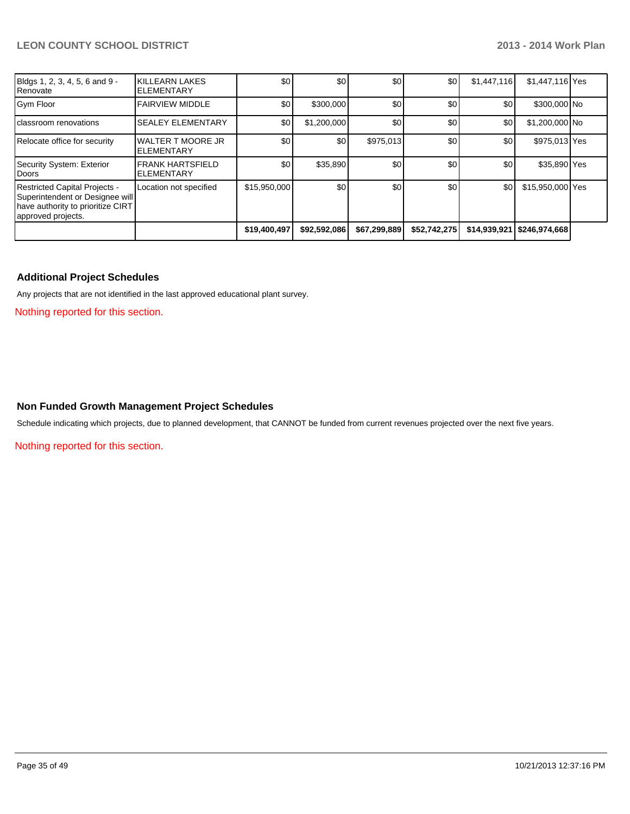| Bldgs 1, 2, 3, 4, 5, 6 and 9 -<br>Renovate                                                                                         | KILLEARN LAKES<br><b>IELEMENTARY</b>           | \$0          | \$0          | \$0          | \$0          | \$1,447,116 | \$1,447,116 Yes              |  |
|------------------------------------------------------------------------------------------------------------------------------------|------------------------------------------------|--------------|--------------|--------------|--------------|-------------|------------------------------|--|
| Gym Floor                                                                                                                          | <b>FAIRVIEW MIDDLE</b>                         | \$0          | \$300,000    | \$0          | \$0          | \$0         | \$300,000 No                 |  |
| classroom renovations                                                                                                              | <b>SEALEY ELEMENTARY</b>                       | \$0          | \$1,200,000  | \$0          | \$0          | \$0         | \$1,200,000 No               |  |
| Relocate office for security                                                                                                       | <b>WALTER T MOORE JR</b><br><b>IELEMENTARY</b> | \$0          | \$0          | \$975,013    | \$0          | \$0         | \$975,013 Yes                |  |
| Security System: Exterior<br>Doors                                                                                                 | <b>IFRANK HARTSFIELD</b><br>IELEMENTARY        | \$0          | \$35,890     | \$0          | \$0          | \$0         | \$35,890 Yes                 |  |
| <b>Restricted Capital Projects -</b><br>Superintendent or Designee will<br>have authority to prioritize CIRT<br>approved projects. | Location not specified                         | \$15,950,000 | \$0          | \$0          | \$0          | \$0         | \$15,950,000 Yes             |  |
|                                                                                                                                    |                                                | \$19,400,497 | \$92,592,086 | \$67,299,889 | \$52,742,275 |             | \$14,939,921   \$246,974,668 |  |

#### **Additional Project Schedules**

Any projects that are not identified in the last approved educational plant survey.

Nothing reported for this section.

#### **Non Funded Growth Management Project Schedules**

Schedule indicating which projects, due to planned development, that CANNOT be funded from current revenues projected over the next five years.

Nothing reported for this section.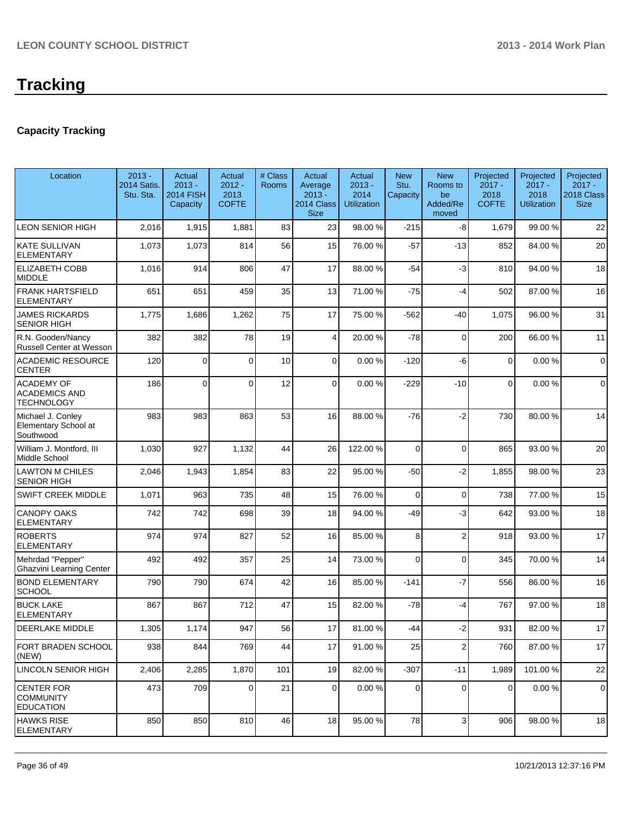### **Capacity Tracking**

| Location                                                       | $2013 -$<br>2014 Satis.<br>Stu. Sta. | Actual<br>$2013 -$<br><b>2014 FISH</b><br>Capacity | Actual<br>$2012 -$<br>2013<br><b>COFTE</b> | # Class<br>Rooms | Actual<br>Average<br>$2013 -$<br>2014 Class<br><b>Size</b> | Actual<br>$2013 -$<br>2014<br><b>Utilization</b> | <b>New</b><br>Stu.<br>Capacity | <b>New</b><br>Rooms to<br>be<br>Added/Re<br>moved | Projected<br>$2017 -$<br>2018<br><b>COFTE</b> | Projected<br>$2017 -$<br>2018<br><b>Utilization</b> | Projected<br>$2017 -$<br>2018 Class<br><b>Size</b> |
|----------------------------------------------------------------|--------------------------------------|----------------------------------------------------|--------------------------------------------|------------------|------------------------------------------------------------|--------------------------------------------------|--------------------------------|---------------------------------------------------|-----------------------------------------------|-----------------------------------------------------|----------------------------------------------------|
| <b>LEON SENIOR HIGH</b>                                        | 2,016                                | 1,915                                              | 1,881                                      | 83               | 23                                                         | 98.00 %                                          | $-215$                         | -8                                                | 1,679                                         | 99.00 %                                             | 22                                                 |
| <b>KATE SULLIVAN</b><br><b>ELEMENTARY</b>                      | 1,073                                | 1,073                                              | 814                                        | 56               | 15                                                         | 76.00 %                                          | $-57$                          | $-13$                                             | 852                                           | 84.00%                                              | 20                                                 |
| <b>ELIZABETH COBB</b><br><b>MIDDLE</b>                         | 1,016                                | 914                                                | 806                                        | 47               | 17                                                         | 88.00 %                                          | $-54$                          | $-3$                                              | 810                                           | 94.00%                                              | 18                                                 |
| <b>FRANK HARTSFIELD</b><br><b>ELEMENTARY</b>                   | 651                                  | 651                                                | 459                                        | 35               | 13                                                         | 71.00 %                                          | $-75$                          | $-4$                                              | 502                                           | 87.00 %                                             | 16                                                 |
| <b>JAMES RICKARDS</b><br><b>SENIOR HIGH</b>                    | 1,775                                | 1,686                                              | 1,262                                      | 75               | 17                                                         | 75.00 %                                          | $-562$                         | -40                                               | 1,075                                         | 96.00%                                              | 31                                                 |
| R.N. Gooden/Nancy<br><b>Russell Center at Wesson</b>           | 382                                  | 382                                                | 78                                         | 19               | $\vert 4 \vert$                                            | 20.00 %                                          | $-78$                          | $\mathbf 0$                                       | 200                                           | 66.00 %                                             | 11                                                 |
| <b>ACADEMIC RESOURCE</b><br><b>CENTER</b>                      | 120                                  | $\Omega$                                           | $\Omega$                                   | 10               | $\overline{0}$                                             | 0.00%                                            | $-120$                         | -6                                                | 0                                             | 0.00%                                               | $\mathbf 0$                                        |
| <b>ACADEMY OF</b><br><b>ACADEMICS AND</b><br><b>TECHNOLOGY</b> | 186                                  | $\overline{0}$                                     | $\Omega$                                   | 12               | 0                                                          | 0.00%                                            | $-229$                         | $-10$                                             | $\Omega$                                      | 0.00%                                               | 0                                                  |
| Michael J. Conley<br>Elementary School at<br>Southwood         | 983                                  | 983                                                | 863                                        | 53               | 16                                                         | 88.00 %                                          | $-76$                          | $-2$                                              | 730                                           | 80.00%                                              | 14                                                 |
| William J. Montford, III<br>Middle School                      | 1,030                                | 927                                                | 1,132                                      | 44               | 26                                                         | 122.00 %                                         | 0                              | $\Omega$                                          | 865                                           | 93.00 %                                             | 20                                                 |
| <b>LAWTON M CHILES</b><br><b>SENIOR HIGH</b>                   | 2,046                                | 1,943                                              | 1,854                                      | 83               | 22                                                         | 95.00 %                                          | $-50$                          | $-2$                                              | 1,855                                         | 98.00%                                              | 23                                                 |
| SWIFT CREEK MIDDLE                                             | 1,071                                | 963                                                | 735                                        | 48               | 15                                                         | 76.00 %                                          | 0                              | $\mathbf 0$                                       | 738                                           | 77.00 %                                             | 15                                                 |
| <b>CANOPY OAKS</b><br><b>ELEMENTARY</b>                        | 742                                  | 742                                                | 698                                        | 39               | 18                                                         | 94.00 %                                          | -49                            | $-3$                                              | 642                                           | 93.00 %                                             | 18                                                 |
| <b>ROBERTS</b><br><b>ELEMENTARY</b>                            | 974                                  | 974                                                | 827                                        | 52               | 16                                                         | 85.00 %                                          | 8                              | $\overline{2}$                                    | 918                                           | 93.00 %                                             | 17                                                 |
| Mehrdad "Pepper"<br><b>Ghazvini Learning Center</b>            | 492                                  | 492                                                | 357                                        | 25               | 14                                                         | 73.00 %                                          | 0                              | $\Omega$                                          | 345                                           | 70.00%                                              | 14                                                 |
| <b>BOND ELEMENTARY</b><br><b>SCHOOL</b>                        | 790                                  | 790                                                | 674                                        | 42               | 16                                                         | 85.00 %                                          | $-141$                         | $-7$                                              | 556                                           | 86.00 %                                             | 16                                                 |
| <b>BUCK LAKE</b><br><b>ELEMENTARY</b>                          | 867                                  | 867                                                | 712                                        | 47               | 15                                                         | 82.00 %                                          | $-78$                          | $-4$                                              | 767                                           | 97.00 %                                             | 18                                                 |
| DEERLAKE MIDDLE                                                | 1,305                                | 1,174                                              | 947                                        | 56               | 17                                                         | 81.00 %                                          | $-44$                          | $-2$                                              | 931                                           | 82.00%                                              | 17                                                 |
| <b>FORT BRADEN SCHOOL</b><br>(NEW)                             | 938                                  | 844                                                | 769                                        | 44               | 17                                                         | 91.00 %                                          | 25                             | 2 <sup>1</sup>                                    | 760                                           | 87.00 %                                             | 17                                                 |
| <b>LINCOLN SENIOR HIGH</b>                                     | 2,406                                | 2,285                                              | 1,870                                      | 101              | 19                                                         | 82.00 %                                          | $-307$                         | $-11$                                             | 1,989                                         | 101.00%                                             | 22                                                 |
| <b>CENTER FOR</b><br><b>COMMUNITY</b><br><b>EDUCATION</b>      | 473                                  | 709                                                | $\Omega$                                   | 21               | $\overline{0}$                                             | 0.00 %                                           | $\Omega$                       | $\Omega$                                          | 0                                             | 0.00%                                               | 0                                                  |
| <b>HAWKS RISE</b><br><b>ELEMENTARY</b>                         | 850                                  | 850                                                | 810                                        | 46               | 18                                                         | 95.00 %                                          | 78                             | 3                                                 | 906                                           | 98.00 %                                             | 18                                                 |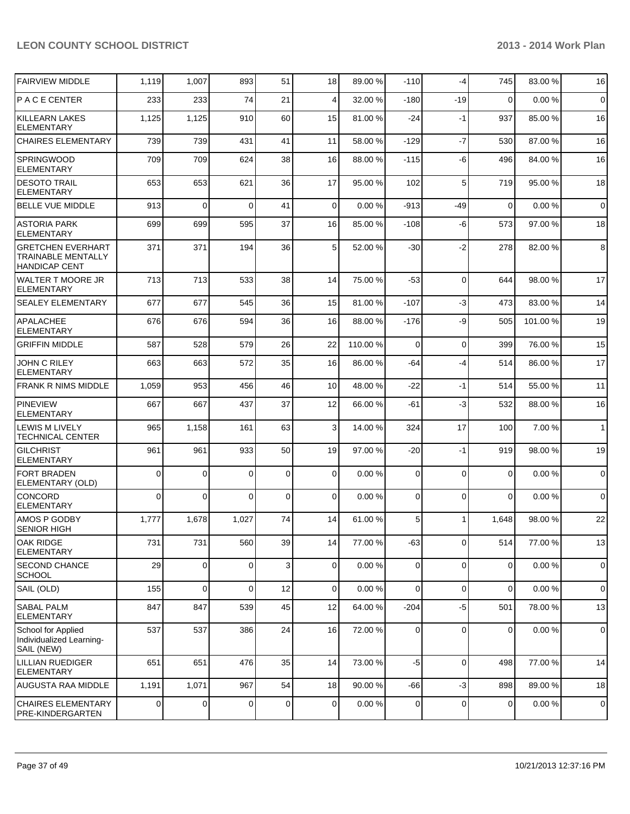| <b>FAIRVIEW MIDDLE</b>                                                 | 1,119       | 1,007          | 893         | 51          | 18             | 89.00 % | $-110$         | -4          | 745            | 83.00 % | 16           |
|------------------------------------------------------------------------|-------------|----------------|-------------|-------------|----------------|---------|----------------|-------------|----------------|---------|--------------|
| PACE CENTER                                                            | 233         | 233            | 74          | 21          | 4              | 32.00 % | $-180$         | $-19$       | 0              | 0.00%   | $\mathbf 0$  |
| <b>KILLEARN LAKES</b><br><b>ELEMENTARY</b>                             | 1,125       | 1,125          | 910         | 60          | 15             | 81.00 % | $-24$          | $-1$        | 937            | 85.00 % | 16           |
| <b>CHAIRES ELEMENTARY</b>                                              | 739         | 739            | 431         | 41          | 11             | 58.00 % | $-129$         | $-7$        | 530            | 87.00%  | 16           |
| <b>SPRINGWOOD</b><br><b>ELEMENTARY</b>                                 | 709         | 709            | 624         | 38          | 16             | 88.00 % | $-115$         | $-6$        | 496            | 84.00%  | 16           |
| <b>DESOTO TRAIL</b><br><b>ELEMENTARY</b>                               | 653         | 653            | 621         | 36          | 17             | 95.00 % | 102            | 5           | 719            | 95.00 % | 18           |
| <b>BELLE VUE MIDDLE</b>                                                | 913         | $\mathbf 0$    | $\Omega$    | 41          | 0              | 0.00%   | $-913$         | $-49$       | 0              | 0.00%   | $\mathbf 0$  |
| <b>ASTORIA PARK</b><br><b>ELEMENTARY</b>                               | 699         | 699            | 595         | 37          | 16             | 85.00 % | $-108$         | -6          | 573            | 97.00 % | 18           |
| <b>GRETCHEN EVERHART</b><br>TRAINABLE MENTALLY<br><b>HANDICAP CENT</b> | 371         | 371            | 194         | 36          | 5              | 52.00 % | $-30$          | $-2$        | 278            | 82.00%  | 8            |
| <b>WALTER T MOORE JR</b><br><b>ELEMENTARY</b>                          | 713         | 713            | 533         | 38          | 14             | 75.00 % | $-53$          | $\Omega$    | 644            | 98.00 % | 17           |
| <b>SEALEY ELEMENTARY</b>                                               | 677         | 677            | 545         | 36          | 15             | 81.00 % | $-107$         | $-3$        | 473            | 83.00 % | 14           |
| <b>APALACHEE</b><br><b>ELEMENTARY</b>                                  | 676         | 676            | 594         | 36          | 16             | 88.00 % | $-176$         | -9          | 505            | 101.00% | 19           |
| <b>GRIFFIN MIDDLE</b>                                                  | 587         | 528            | 579         | 26          | 22             | 110.00% | $\mathbf 0$    | $\mathbf 0$ | 399            | 76.00 % | 15           |
| <b>JOHN C RILEY</b><br><b>ELEMENTARY</b>                               | 663         | 663            | 572         | 35          | 16             | 86.00 % | -64            | $-4$        | 514            | 86.00%  | 17           |
| <b>FRANK R NIMS MIDDLE</b>                                             | 1,059       | 953            | 456         | 46          | 10             | 48.00 % | $-22$          | $-1$        | 514            | 55.00 % | 11           |
| PINEVIEW<br><b>ELEMENTARY</b>                                          | 667         | 667            | 437         | 37          | 12             | 66.00 % | $-61$          | $-3$        | 532            | 88.00%  | 16           |
| <b>LEWIS M LIVELY</b><br><b>TECHNICAL CENTER</b>                       | 965         | 1,158          | 161         | 63          | 3              | 14.00 % | 324            | 17          | 100            | 7.00 %  | $\mathbf{1}$ |
| <b>GILCHRIST</b><br><b>ELEMENTARY</b>                                  | 961         | 961            | 933         | 50          | 19             | 97.00 % | $-20$          | $-1$        | 919            | 98.00 % | 19           |
| <b>FORT BRADEN</b><br>ELEMENTARY (OLD)                                 | $\Omega$    | $\overline{0}$ | $\Omega$    | $\mathbf 0$ | 0              | 0.00%   | 0              | $\Omega$    | $\mathbf 0$    | 0.00%   | $\mathbf 0$  |
| CONCORD<br><b>ELEMENTARY</b>                                           | $\mathbf 0$ | $\overline{0}$ | $\Omega$    | $\mathbf 0$ | 0              | 0.00%   | $\mathbf 0$    | $\Omega$    | $\Omega$       | 0.00%   | $\mathbf 0$  |
| AMOS P GODBY<br><b>SENIOR HIGH</b>                                     | 1,777       | 1,678          | 1,027       | 74          | 14             | 61.00 % | 5              |             | 1,648          | 98.00 % | 22           |
| <b>OAK RIDGE</b><br><b>ELEMENTARY</b>                                  | 731         | 731            | 560         | 39          | 14             | 77.00 % | $-63$          | 0           | 514            | 77.00 % | 13           |
| <b>SECOND CHANCE</b><br><b>SCHOOL</b>                                  | 29          | 0              | 0           | 3           | $\overline{0}$ | 0.00%   | $\overline{0}$ | $\mathbf 0$ | $\overline{0}$ | 0.00%   | $\mathbf 0$  |
| SAIL (OLD)                                                             | 155         | $\overline{0}$ | $\mathbf 0$ | 12          | 0              | 0.00%   | $\mathbf 0$    | $\mathbf 0$ | 0              | 0.00%   | $\mathsf 0$  |
| <b>SABAL PALM</b><br><b>ELEMENTARY</b>                                 | 847         | 847            | 539         | 45          | 12             | 64.00 % | $-204$         | $-5$        | 501            | 78.00 % | 13           |
| School for Applied<br>Individualized Learning-<br>SAIL (NEW)           | 537         | 537            | 386         | 24          | 16             | 72.00 % | 0              | $\mathbf 0$ | 0              | 0.00%   | $\mathbf 0$  |
| <b>LILLIAN RUEDIGER</b><br><b>ELEMENTARY</b>                           | 651         | 651            | 476         | 35          | 14             | 73.00 % | $-5$           | $\mathbf 0$ | 498            | 77.00 % | 14           |
| <b>AUGUSTA RAA MIDDLE</b>                                              | 1,191       | 1,071          | 967         | 54          | 18             | 90.00 % | -66            | $-3$        | 898            | 89.00 % | 18           |
| CHAIRES ELEMENTARY<br>PRE-KINDERGARTEN                                 | 0           | $\overline{0}$ | 0           | $\mathbf 0$ | 0              | 0.00%   | 0              | $\mathbf 0$ | 0              | 0.00%   | $\mathbf 0$  |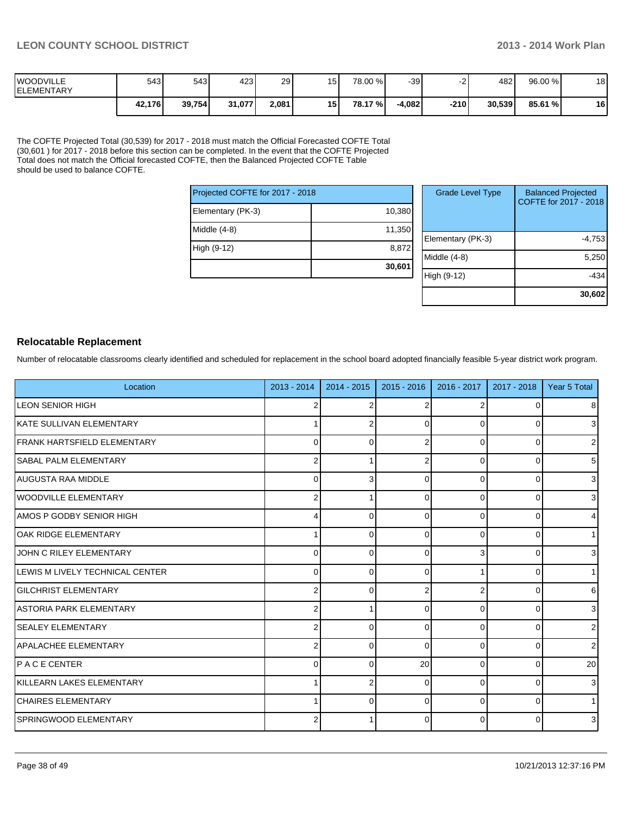| <b>IWOODVILLE</b><br><b>IELEMENTARY</b> | 543    | 543 I  | 4231   | 29    | 15 | 78.00 % | -39      |      | 482 L  | 96.00 % | 18 |
|-----------------------------------------|--------|--------|--------|-------|----|---------|----------|------|--------|---------|----|
|                                         | 42,176 | 39,754 | 31,077 | 2,081 | 15 | 78.17 % | $-4,082$ | -210 | 30.539 | 85.61 % | 16 |

The COFTE Projected Total (30,539) for 2017 - 2018 must match the Official Forecasted COFTE Total (30,601 ) for 2017 - 2018 before this section can be completed. In the event that the COFTE Projected Total does not match the Official forecasted COFTE, then the Balanced Projected COFTE Table should be used to balance COFTE.

| Projected COFTE for 2017 - 2018 |        |   |  |  |  |
|---------------------------------|--------|---|--|--|--|
| Elementary (PK-3)               | 10,380 |   |  |  |  |
| Middle $(4-8)$                  | 11,350 | F |  |  |  |
| High (9-12)                     | 8,872  | N |  |  |  |
|                                 | 30,601 |   |  |  |  |

| <b>Grade Level Type</b> | <b>Balanced Projected</b><br>COFTE for 2017 - 2018 |
|-------------------------|----------------------------------------------------|
| Elementary (PK-3)       | $-4,753$                                           |
| Middle $(4-8)$          | 5,250                                              |
| High (9-12)             | -434                                               |
|                         | 30,602                                             |

#### **Relocatable Replacement**

Number of relocatable classrooms clearly identified and scheduled for replacement in the school board adopted financially feasible 5-year district work program.

| Location                            | $2013 - 2014$  | $2014 - 2015$ | $2015 - 2016$ | 2016 - 2017 | 2017 - 2018    | Year 5 Total   |
|-------------------------------------|----------------|---------------|---------------|-------------|----------------|----------------|
| <b>LEON SENIOR HIGH</b>             | 2              |               |               |             | $\overline{0}$ | 8              |
| IKATE SULLIVAN ELEMENTARY           |                |               | $\Omega$      |             | $\Omega$       | 3 <sup>1</sup> |
| <b>IFRANK HARTSFIELD ELEMENTARY</b> | 0              | O             |               | U           | 0              | $\overline{2}$ |
| <b>ISABAL PALM ELEMENTARY</b>       | 2              |               |               | $\Omega$    | 0              | 5 <sup>1</sup> |
| AUGUSTA RAA MIDDLE                  | $\Omega$       |               | $\Omega$      | $\Omega$    | $\Omega$       | $\mathbf{3}$   |
| WOODVILLE ELEMENTARY                | 2              |               | ŋ             | 0           | 0              | $\mathbf{3}$   |
| AMOS P GODBY SENIOR HIGH            | 4              | ∩             | U             | $\Omega$    | 0              | $\overline{4}$ |
| <b>OAK RIDGE ELEMENTARY</b>         |                | ∩             | $\Omega$      | O           | 0              | 1 <sup>1</sup> |
| JOHN C RILEY ELEMENTARY             | $\Omega$       | $\Omega$      | $\Omega$      |             | 0              | 3 <sup>1</sup> |
| LEWIS M LIVELY TECHNICAL CENTER     | 0              | $\Omega$      | $\Omega$      |             | 0              | 1              |
| <b>GILCHRIST ELEMENTARY</b>         | $\overline{2}$ | $\Omega$      |               | 2           | 0              | $6 \mid$       |
| LASTORIA PARK ELEMENTARY            |                |               | 0             | $\Omega$    | 0              | 3              |
| <b>SEALEY ELEMENTARY</b>            |                | $\Omega$      | 0             | 0           | 0              | 2 <sub>1</sub> |
| APALACHEE ELEMENTARY                | 2              | $\Omega$      | $\Omega$      | 0           | 0              | $\overline{2}$ |
| IP A C E CENTER                     | $\Omega$       | <sup>0</sup>  | 20            | $\Omega$    | 0              | 20             |
| <b>IKILLEARN LAKES ELEMENTARY</b>   |                |               | $\Omega$      | $\Omega$    | 0              | $\overline{3}$ |
| <b>CHAIRES ELEMENTARY</b>           |                | $\Omega$      | $\Omega$      | $\Omega$    | 0              | 1              |
| SPRINGWOOD ELEMENTARY               |                |               | U             | $\Omega$    | 0              | $\mathbf{3}$   |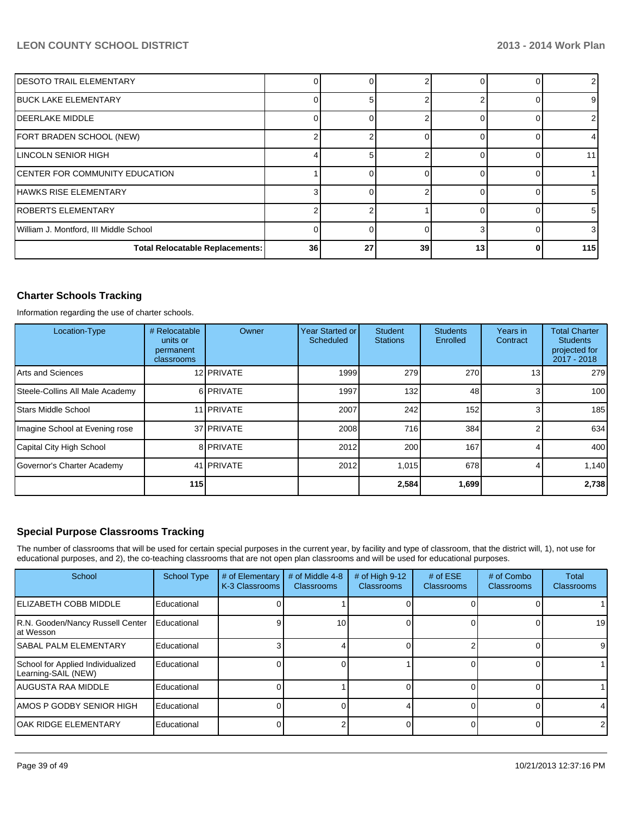| <b>IDESOTO TRAIL ELEMENTARY</b>        |    |    |    |    |                 |
|----------------------------------------|----|----|----|----|-----------------|
| <b>IBUCK LAKE ELEMENTARY</b>           |    |    |    |    | 9               |
| <b>IDEERLAKE MIDDLE</b>                |    |    |    |    | 2               |
| FORT BRADEN SCHOOL (NEW)               |    |    |    |    | 4               |
| LINCOLN SENIOR HIGH                    |    |    |    |    | 11 <sup>1</sup> |
| <b>ICENTER FOR COMMUNITY EDUCATION</b> |    |    |    |    |                 |
| HAWKS RISE ELEMENTARY                  |    |    |    |    | 51              |
| IROBERTS ELEMENTARY                    |    |    |    |    | 5 <sub>l</sub>  |
| William J. Montford, III Middle School |    |    |    |    | $\overline{3}$  |
| <b>Total Relocatable Replacements:</b> | 36 | 27 | 39 | 13 | 115             |

#### **Charter Schools Tracking**

Information regarding the use of charter schools.

| Location-Type                   | # Relocatable<br>units or<br>permanent<br>classrooms | Owner             | Year Started or<br>Scheduled | Student/<br><b>Stations</b> | <b>Students</b><br>Enrolled | Years in<br>Contract | <b>Total Charter</b><br><b>Students</b><br>projected for<br>2017 - 2018 |
|---------------------------------|------------------------------------------------------|-------------------|------------------------------|-----------------------------|-----------------------------|----------------------|-------------------------------------------------------------------------|
| Arts and Sciences               |                                                      | 12 PRIVATE        | 1999                         | <b>279</b>                  | 270                         | 13 <sub>1</sub>      | 279                                                                     |
| Steele-Collins All Male Academy |                                                      | 6 PRIVATE         | 1997                         | 132 <sub>l</sub>            | 48                          |                      | 100 <sup>1</sup>                                                        |
| <b>Stars Middle School</b>      |                                                      | 11 <b>PRIVATE</b> | 2007                         | 242 <sup>I</sup>            | 152                         |                      | 185                                                                     |
| Imagine School at Evening rose  |                                                      | 37 PRIVATE        | 2008                         | 716                         | 384                         |                      | 634                                                                     |
| Capital City High School        |                                                      | 8 PRIVATE         | 2012                         | 200                         | 167                         |                      | 400                                                                     |
| Governor's Charter Academy      |                                                      | 41 <b>PRIVATE</b> | 2012                         | 1,015                       | 678                         |                      | 1,140                                                                   |
|                                 | 115                                                  |                   |                              | 2,584                       | 1,699                       |                      | 2,738                                                                   |

#### **Special Purpose Classrooms Tracking**

The number of classrooms that will be used for certain special purposes in the current year, by facility and type of classroom, that the district will, 1), not use for educational purposes, and 2), the co-teaching classrooms that are not open plan classrooms and will be used for educational purposes.

| School                                                   | <b>School Type</b> | # of Elementary<br>K-3 Classrooms | # of Middle 4-8<br><b>Classrooms</b> | # of High 9-12<br><b>Classrooms</b> | # of $ESE$<br><b>Classrooms</b> | # of Combo<br><b>Classrooms</b> | Total<br><b>Classrooms</b> |
|----------------------------------------------------------|--------------------|-----------------------------------|--------------------------------------|-------------------------------------|---------------------------------|---------------------------------|----------------------------|
| <b>IELIZABETH COBB MIDDLE</b>                            | Educational        |                                   |                                      |                                     |                                 |                                 |                            |
| R.N. Gooden/Nancy Russell Center<br>lat Wesson           | Educational        |                                   | 10                                   |                                     |                                 |                                 | 19                         |
| ISABAL PALM ELEMENTARY                                   | Educational        |                                   |                                      |                                     |                                 |                                 | 9                          |
| School for Applied Individualized<br>Learning-SAIL (NEW) | Educational        |                                   |                                      |                                     |                                 |                                 |                            |
| IAUGUSTA RAA MIDDLE                                      | Educational        |                                   |                                      |                                     |                                 |                                 |                            |
| IAMOS P GODBY SENIOR HIGH                                | Educational        |                                   |                                      |                                     |                                 |                                 |                            |
| lOAK RIDGE ELEMENTARY                                    | Educational        |                                   |                                      |                                     |                                 |                                 | 2                          |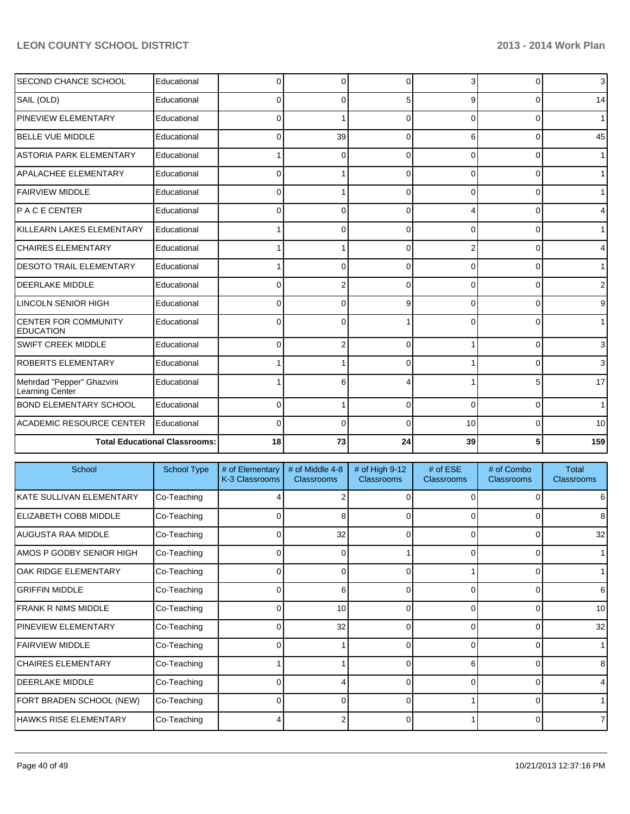| <b>SECOND CHANCE SCHOOL</b>                     | Educational                          | 0            | 0  | ſ        |          | $\Omega$ | 3 <sup>1</sup>  |
|-------------------------------------------------|--------------------------------------|--------------|----|----------|----------|----------|-----------------|
| SAIL (OLD)                                      | Educational                          | <sup>0</sup> | 0  | 5        | 9        | $\Omega$ | 14              |
| PINEVIEW ELEMENTARY                             | Educational                          | 0            |    | ∩        | $\Omega$ | $\Omega$ | 1 <sup>1</sup>  |
| <b>I</b> BELLE VUE MIDDLE                       | Educational                          | 0            | 39 | $\Omega$ | 6        | $\Omega$ | 45              |
| <b>ASTORIA PARK ELEMENTARY</b>                  | Educational                          |              | 0  | 0        | $\Omega$ | $\Omega$ | 11              |
| APALACHEE ELEMENTARY                            | Educational                          | 0            |    | $\Omega$ | $\Omega$ | $\Omega$ | 1 <sup>1</sup>  |
| FAIRVIEW MIDDLE                                 | Educational                          | 0            |    | ∩        | 0        | $\Omega$ | 1 <sup>1</sup>  |
| IP A C E CENTER                                 | Educational                          | ŋ            | 0  | ∩        |          | $\Omega$ | 4               |
| KILLEARN LAKES ELEMENTARY                       | Educational                          |              | 0  | $\Omega$ | $\Omega$ | $\Omega$ | 1 <sup>1</sup>  |
| <b>CHAIRES ELEMENTARY</b>                       | Educational                          |              |    | 0        | 2        | $\Omega$ | 4               |
| <b>DESOTO TRAIL ELEMENTARY</b>                  | Educational                          |              | 0  | $\Omega$ | 0        | $\Omega$ | 1 <sup>1</sup>  |
| <b>IDEERLAKE MIDDLE</b>                         | Educational                          | 0            | 2  | 0        | $\Omega$ | $\Omega$ | $\overline{2}$  |
| <b>LINCOLN SENIOR HIGH</b>                      | Educational                          | 0            | 0  | 9        | 0        | $\Omega$ | 9 <sub>o</sub>  |
| <b>CENTER FOR COMMUNITY</b><br><b>EDUCATION</b> | Educational                          | O            | 0  |          | ∩        | 0        | 1 <sup>1</sup>  |
| <b>SWIFT CREEK MIDDLE</b>                       | Educational                          | 0            | 2  | $\Omega$ |          | $\Omega$ | 3 <sup>1</sup>  |
| <b>ROBERTS ELEMENTARY</b>                       | Educational                          |              |    |          |          | 0        | 3 <sup>1</sup>  |
| Mehrdad "Pepper" Ghazvini<br>Learning Center    | Educational                          |              | 6  |          |          | 5        | 17              |
| <b>BOND ELEMENTARY SCHOOL</b>                   | Educational                          | 0            |    | $\Omega$ | $\Omega$ | $\Omega$ | 1 <sup>1</sup>  |
| ACADEMIC RESOURCE CENTER                        | Educational                          | 0            | 0  | C        | 10       | $\Omega$ | 10 <sup>1</sup> |
|                                                 | <b>Total Educational Classrooms:</b> | 18           | 73 | 24       | 39       |          | 159             |

| School                       | School Type | # of Elementary<br>K-3 Classrooms | # of Middle 4-8<br><b>Classrooms</b> | # of High 9-12<br><b>Classrooms</b> | # of ESE<br>Classrooms | # of Combo<br><b>Classrooms</b> | Total<br>Classrooms |
|------------------------------|-------------|-----------------------------------|--------------------------------------|-------------------------------------|------------------------|---------------------------------|---------------------|
| IKATE SULLIVAN ELEMENTARY    | Co-Teaching |                                   |                                      |                                     |                        |                                 | 6                   |
| ELIZABETH COBB MIDDLE        | Co-Teaching |                                   | 8                                    |                                     |                        |                                 | 8                   |
| <b>AUGUSTA RAA MIDDLE</b>    | Co-Teaching |                                   | 32                                   | $\Omega$                            | $\Omega$               | $\Omega$                        | 32                  |
| AMOS P GODBY SENIOR HIGH     | Co-Teaching |                                   | $\Omega$                             |                                     | $\Omega$               | 0                               |                     |
| OAK RIDGE ELEMENTARY         | Co-Teaching |                                   | $\Omega$                             | C                                   |                        | 0                               | $\mathbf{1}$        |
| <b>GRIFFIN MIDDLE</b>        | Co-Teaching |                                   | 6                                    | 0                                   | 0                      | 0                               | 6                   |
| IFRANK R NIMS MIDDLE         | Co-Teaching |                                   | 10 <sup>1</sup>                      | ſ                                   |                        | ი                               | 10 <sup>1</sup>     |
| <b>PINEVIEW ELEMENTARY</b>   | Co-Teaching |                                   | 32                                   | 0                                   | $\Omega$               | 0                               | 32                  |
| <b>IFAIRVIEW MIDDLE</b>      | Co-Teaching |                                   |                                      |                                     |                        |                                 |                     |
| <b>CHAIRES ELEMENTARY</b>    | Co-Teaching |                                   |                                      | ∩                                   | 6                      | $\Omega$                        | 8                   |
| <b>IDEERLAKE MIDDLE</b>      | Co-Teaching | 0                                 | 4                                    | 0                                   | $\Omega$               | 0                               | $\overline{4}$      |
| FORT BRADEN SCHOOL (NEW)     | Co-Teaching |                                   | 0                                    | ∩                                   |                        | 0                               | $\mathbf{1}$        |
| <b>HAWKS RISE ELEMENTARY</b> | Co-Teaching |                                   | 2                                    |                                     |                        | U                               | $\overline{7}$      |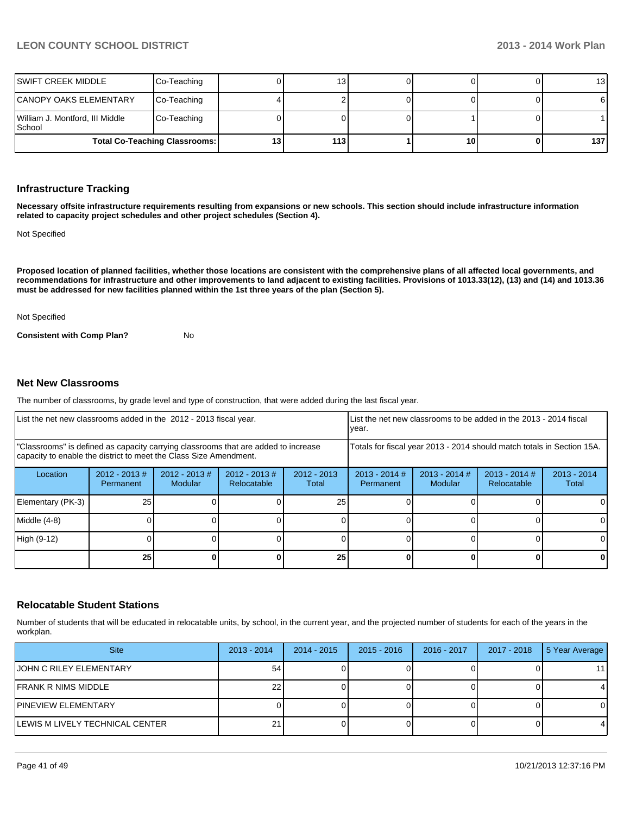| <b>Total Co-Teaching Classrooms:</b>      |             | :3 | 113 <sub>l</sub> | 10 <sub>1</sub> | 137             |
|-------------------------------------------|-------------|----|------------------|-----------------|-----------------|
| William J. Montford, III Middle<br>School | Co-Teaching |    |                  |                 |                 |
| CANOPY OAKS ELEMENTARY                    | Co-Teaching |    |                  |                 |                 |
| ISWIFT CREEK MIDDLE                       | Co-Teaching |    | 131              |                 | 13 <sup>1</sup> |

#### **Infrastructure Tracking**

**Necessary offsite infrastructure requirements resulting from expansions or new schools. This section should include infrastructure information related to capacity project schedules and other project schedules (Section 4).**

Not Specified

**Proposed location of planned facilities, whether those locations are consistent with the comprehensive plans of all affected local governments, and recommendations for infrastructure and other improvements to land adjacent to existing facilities. Provisions of 1013.33(12), (13) and (14) and 1013.36 must be addressed for new facilities planned within the 1st three years of the plan (Section 5).**

Not Specified

**Consistent with Comp Plan?** No

#### **Net New Classrooms**

The number of classrooms, by grade level and type of construction, that were added during the last fiscal year.

| List the net new classrooms added in the 2012 - 2013 fiscal year.                                                                                       |                              |                          | List the net new classrooms to be added in the 2013 - 2014 fiscal<br>Ivear. |                        |                              |                                                                        |   |              |  |
|---------------------------------------------------------------------------------------------------------------------------------------------------------|------------------------------|--------------------------|-----------------------------------------------------------------------------|------------------------|------------------------------|------------------------------------------------------------------------|---|--------------|--|
| "Classrooms" is defined as capacity carrying classrooms that are added to increase<br>capacity to enable the district to meet the Class Size Amendment. |                              |                          |                                                                             |                        |                              | Totals for fiscal year 2013 - 2014 should match totals in Section 15A. |   |              |  |
| Location                                                                                                                                                | $2012 - 2013$ #<br>Permanent | 2012 - 2013 #<br>Modular | $2012 - 2013$ #<br>Relocatable                                              | $2012 - 2013$<br>Total | $2013 - 2014$ #<br>Permanent | $2013 - 2014$<br>Total                                                 |   |              |  |
| Elementary (PK-3)                                                                                                                                       | 25                           |                          |                                                                             | 25                     |                              |                                                                        |   | 0            |  |
| Middle (4-8)                                                                                                                                            |                              |                          |                                                                             |                        |                              |                                                                        |   | $\Omega$     |  |
| High (9-12)                                                                                                                                             |                              |                          |                                                                             |                        |                              |                                                                        |   | $\Omega$     |  |
|                                                                                                                                                         | 25                           |                          |                                                                             | 25                     |                              |                                                                        | 0 | $\mathbf{0}$ |  |

#### **Relocatable Student Stations**

Number of students that will be educated in relocatable units, by school, in the current year, and the projected number of students for each of the years in the workplan.

| <b>Site</b>                     | $2013 - 2014$ | $2014 - 2015$ | $2015 - 2016$ | 2016 - 2017 | 2017 - 2018 | 5 Year Average |
|---------------------------------|---------------|---------------|---------------|-------------|-------------|----------------|
| <b>JOHN C RILEY ELEMENTARY</b>  | 54            |               |               |             |             | 11             |
| IFRANK R NIMS MIDDLE            |               |               |               |             |             | 4              |
| <b>IPINEVIEW ELEMENTARY</b>     |               |               |               |             |             | 0              |
| LEWIS M LIVELY TECHNICAL CENTER |               |               |               |             |             | 4              |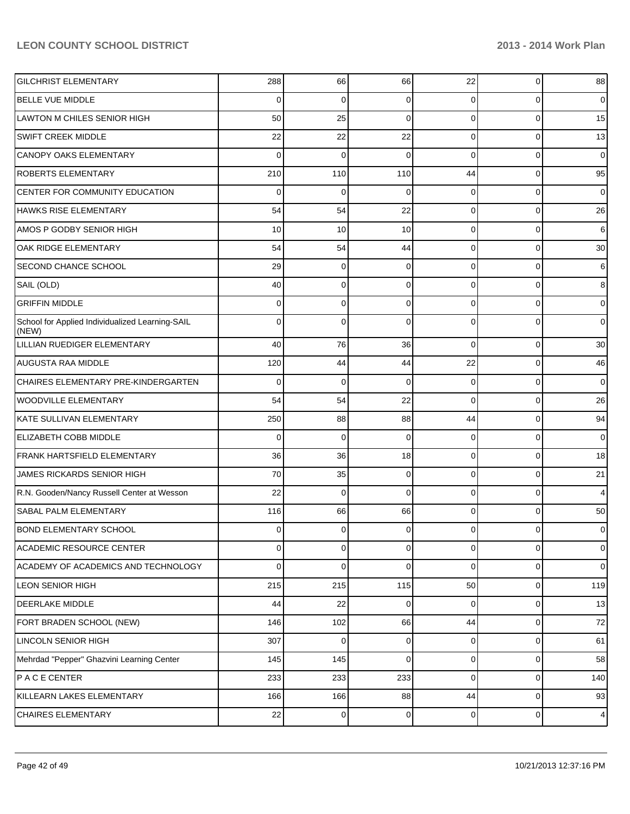| <b>GILCHRIST ELEMENTARY</b>                              | 288            | 66          | 66          | 22             | 0              | 88              |
|----------------------------------------------------------|----------------|-------------|-------------|----------------|----------------|-----------------|
| <b>BELLE VUE MIDDLE</b>                                  | 0              | 0           | 0           | 0              | 0              | $\overline{0}$  |
| LAWTON M CHILES SENIOR HIGH                              | 50             | 25          | 0           | $\Omega$       | 0              | 15              |
| SWIFT CREEK MIDDLE                                       | 22             | 22          | 22          | 0              | 0              | 13              |
| <b>CANOPY OAKS ELEMENTARY</b>                            | 0              | $\Omega$    | O           | $\Omega$       | 0              | 0               |
| <b>ROBERTS ELEMENTARY</b>                                | 210            | 110         | 110         | 44             | 0              | 95              |
| CENTER FOR COMMUNITY EDUCATION                           | 0              | 0           | O           | 0              | 0              | $\overline{0}$  |
| <b>HAWKS RISE ELEMENTARY</b>                             | 54             | 54          | 22          | $\Omega$       | 0              | 26              |
| <b>AMOS P GODBY SENIOR HIGH</b>                          | 10             | 10          | 10          | $\Omega$       | 0              | 6               |
| OAK RIDGE ELEMENTARY                                     | 54             | 54          | 44          | $\Omega$       | 0              | 30 <sup>1</sup> |
| <b>SECOND CHANCE SCHOOL</b>                              | 29             | 0           | 0           | $\Omega$       | 0              | 6               |
| SAIL (OLD)                                               | 40             | 0           | 0           | $\Omega$       | 0              | 8               |
| <b>GRIFFIN MIDDLE</b>                                    | 0              | 0           | 0           | $\Omega$       | 0              | $\overline{0}$  |
| School for Applied Individualized Learning-SAIL<br>(NEW) | 0              | 0           | O           | 0              | 0              | $\overline{0}$  |
| LILLIAN RUEDIGER ELEMENTARY                              | 40             | 76          | 36          | $\Omega$       | 0              | 30              |
| <b>AUGUSTA RAA MIDDLE</b>                                | 120            | 44          | 44          | 22             | $\Omega$       | 46              |
| CHAIRES ELEMENTARY PRE-KINDERGARTEN                      | 0              | 0           | $\mathbf 0$ | $\overline{0}$ | 0              | $\overline{0}$  |
| <b>WOODVILLE ELEMENTARY</b>                              | 54             | 54          | 22          | $\Omega$       | $\Omega$       | 26              |
| KATE SULLIVAN ELEMENTARY                                 | 250            | 88          | 88          | 44             | 0              | 94              |
| ELIZABETH COBB MIDDLE                                    | 0              | $\Omega$    | $\Omega$    | $\overline{0}$ | $\Omega$       | $\overline{0}$  |
| <b>FRANK HARTSFIELD ELEMENTARY</b>                       | 36             | 36          | 18          | $\overline{0}$ | 0              | 18              |
| <b>JAMES RICKARDS SENIOR HIGH</b>                        | 70             | 35          | $\Omega$    | $\overline{0}$ | $\Omega$       | 21              |
| R.N. Gooden/Nancy Russell Center at Wesson               | 22             | $\mathbf 0$ | $\Omega$    | $\overline{0}$ | 0              | 4               |
| <b>SABAL PALM ELEMENTARY</b>                             | 116            | 66          | 66          | $\overline{0}$ | 0              | 50              |
| <b>BOND ELEMENTARY SCHOOL</b>                            | $\overline{0}$ | 0           | 0           | 01             | $\overline{0}$ | $\overline{0}$  |
| <b>ACADEMIC RESOURCE CENTER</b>                          | $\overline{0}$ | $\mathbf 0$ | 0           | $\overline{0}$ | $\overline{0}$ | $\overline{0}$  |
| ACADEMY OF ACADEMICS AND TECHNOLOGY                      | $\Omega$       | $\mathbf 0$ | $\mathbf 0$ | $\overline{0}$ | $\overline{0}$ | $\overline{0}$  |
| <b>LEON SENIOR HIGH</b>                                  | 215            | 215         | 115         | 50             | $\overline{0}$ | 119             |
| <b>DEERLAKE MIDDLE</b>                                   | 44             | 22          | 0           | $\overline{0}$ | $\overline{0}$ | 13              |
| FORT BRADEN SCHOOL (NEW)                                 | 146            | 102         | 66          | 44             | $\overline{0}$ | 72              |
| <b>LINCOLN SENIOR HIGH</b>                               | 307            | $\mathbf 0$ | 0           | $\overline{0}$ | $\overline{0}$ | 61              |
| Mehrdad "Pepper" Ghazvini Learning Center                | 145            | 145         | $\mathbf 0$ | $\overline{0}$ | $\overline{0}$ | 58              |
| <b>PACECENTER</b>                                        | 233            | 233         | 233         | $\overline{0}$ | $\overline{0}$ | 140             |
| KILLEARN LAKES ELEMENTARY                                | 166            | 166         | 88          | 44             | $\overline{0}$ | 93              |
| <b>CHAIRES ELEMENTARY</b>                                | 22             | 0           | 0           | $\overline{0}$ | $\mathbf 0$    | $\overline{4}$  |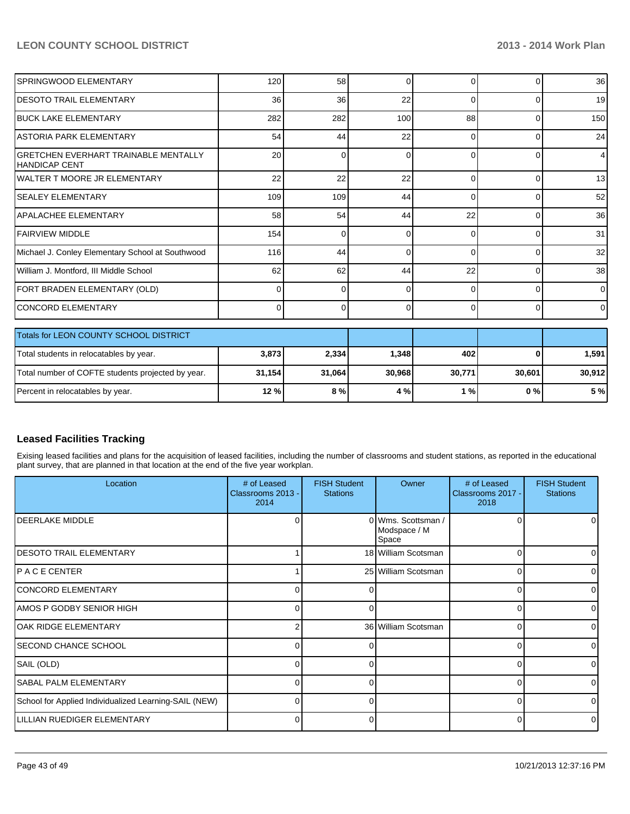| SPRINGWOOD ELEMENTARY                                               | 120    | 58       | 0        | $\Omega$ | 0        | 36              |
|---------------------------------------------------------------------|--------|----------|----------|----------|----------|-----------------|
| <b>IDESOTO TRAIL ELEMENTARY</b>                                     | 36     | 36       | 22       | $\Omega$ | $\Omega$ | 19 <sup>1</sup> |
|                                                                     |        |          |          |          |          |                 |
| <b>BUCK LAKE ELEMENTARY</b>                                         | 282    | 282      | 100      | 88       | 0        | 150             |
| <b>ASTORIA PARK ELEMENTARY</b>                                      | 54     | 44       | 22       | $\Omega$ | $\Omega$ | 24              |
| <b>GRETCHEN EVERHART TRAINABLE MENTALLY</b><br><b>HANDICAP CENT</b> | 20     | 0        | $\Omega$ | $\Omega$ | $\Omega$ | $\overline{4}$  |
| lWALTER T MOORE JR ELEMENTARY                                       | 22     | 22       | 22       | $\Omega$ | $\Omega$ | 13 <sup>1</sup> |
| <b>SEALEY ELEMENTARY</b>                                            | 109    | 109      | 44       | $\Omega$ | $\Omega$ | 52              |
| <b>APALACHEE ELEMENTARY</b>                                         | 58     | 54       | 44       | 22       | $\Omega$ | 36              |
| <b>FAIRVIEW MIDDLE</b>                                              | 154    | $\Omega$ | 0        | ∩        | $\Omega$ | 31              |
| Michael J. Conley Elementary School at Southwood                    | 116    | 44       | $\Omega$ | $\Omega$ | 0        | 32              |
| William J. Montford, III Middle School                              | 62     | 62       | 44       | 22       | 0        | 38 <sup>1</sup> |
| FORT BRADEN ELEMENTARY (OLD)                                        | 0      | $\Omega$ | 0        | $\Omega$ | $\Omega$ | $\overline{0}$  |
| <b>CONCORD ELEMENTARY</b>                                           | 0      | $\Omega$ | $\Omega$ | $\Omega$ | $\Omega$ | $\overline{0}$  |
| Totals for LEON COUNTY SCHOOL DISTRICT                              |        |          |          |          |          |                 |
| Total students in relocatables by year.                             | 3,873  | 2,334    | 1,348    | 402      |          | 1,591           |
| Total number of COFTE students projected by year.                   | 31,154 | 31,064   | 30,968   | 30,771   | 30,601   | 30,912          |
| Percent in relocatables by year.                                    | 12%    | 8%       | 4 %      | 1%       | 0%       | 5 %             |

#### **Leased Facilities Tracking**

Exising leased facilities and plans for the acquisition of leased facilities, including the number of classrooms and student stations, as reported in the educational plant survey, that are planned in that location at the end of the five year workplan.

| Location                                              | # of Leased<br>Classrooms 2013 -<br>2014 | <b>FISH Student</b><br><b>Stations</b> | Owner                                       | # of Leased<br>Classrooms 2017 -<br>2018 | <b>FISH Student</b><br><b>Stations</b> |
|-------------------------------------------------------|------------------------------------------|----------------------------------------|---------------------------------------------|------------------------------------------|----------------------------------------|
| DEERLAKE MIDDLE                                       |                                          |                                        | 0 Wms. Scottsman /<br>Modspace / M<br>Space |                                          |                                        |
| <b>IDESOTO TRAIL ELEMENTARY</b>                       |                                          |                                        | 18 William Scotsman                         |                                          |                                        |
| IP A C E CENTER                                       |                                          |                                        | 25 William Scotsman                         |                                          |                                        |
| CONCORD ELEMENTARY                                    |                                          |                                        |                                             |                                          |                                        |
| AMOS P GODBY SENIOR HIGH                              | U                                        | ∩                                      |                                             |                                          |                                        |
| lOAK RIDGE ELEMENTARY                                 |                                          |                                        | 36 William Scotsman                         | ∩                                        |                                        |
| ISECOND CHANCE SCHOOL                                 | 0                                        |                                        |                                             | n                                        |                                        |
| SAIL (OLD)                                            |                                          |                                        |                                             |                                          |                                        |
| <b>SABAL PALM ELEMENTARY</b>                          | U                                        | ∩                                      |                                             |                                          |                                        |
| School for Applied Individualized Learning-SAIL (NEW) | U                                        | U                                      |                                             |                                          |                                        |
| LILLIAN RUEDIGER ELEMENTARY                           | 0                                        |                                        |                                             | ∩                                        |                                        |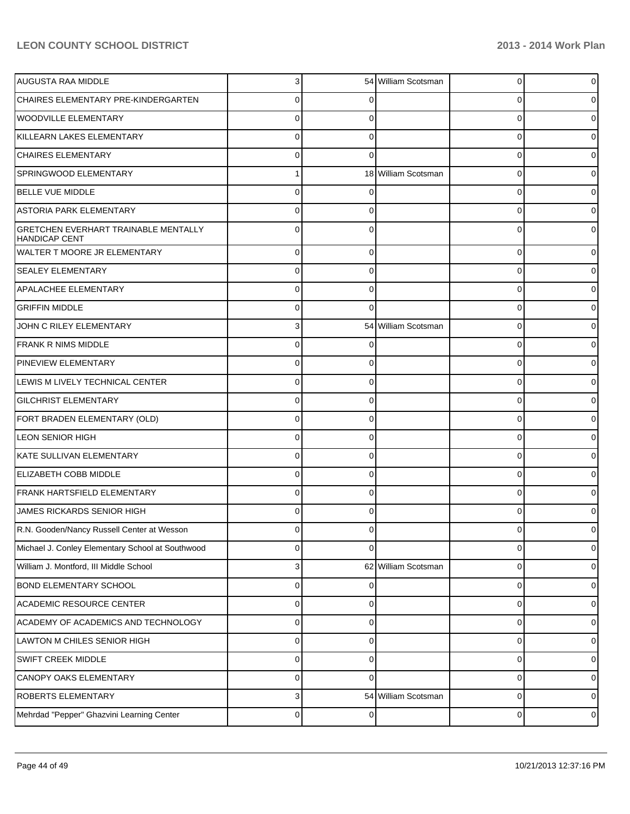| AUGUSTA RAA MIDDLE                                                  |             |          | 54 William Scotsman | 0        |          |
|---------------------------------------------------------------------|-------------|----------|---------------------|----------|----------|
| CHAIRES ELEMENTARY PRE-KINDERGARTEN                                 |             |          |                     | 0        |          |
| <b>WOODVILLE ELEMENTARY</b>                                         |             |          |                     | 0        |          |
| KILLEARN LAKES ELEMENTARY                                           |             |          |                     | 0        |          |
| <b>CHAIRES ELEMENTARY</b>                                           |             |          |                     | 0        |          |
| SPRINGWOOD ELEMENTARY                                               |             |          | 18 William Scotsman | 0        |          |
| <b>BELLE VUE MIDDLE</b>                                             |             |          |                     | 0        |          |
| <b>ASTORIA PARK ELEMENTARY</b>                                      |             |          |                     | 0        |          |
| <b>GRETCHEN EVERHART TRAINABLE MENTALLY</b><br><b>HANDICAP CENT</b> |             |          |                     | 0        |          |
| WALTER T MOORE JR ELEMENTARY                                        | $\Omega$    |          |                     | $\Omega$ |          |
| <b>SEALEY ELEMENTARY</b>                                            | 0           | 0        |                     | $\Omega$ |          |
| <b>APALACHEE ELEMENTARY</b>                                         | $\Omega$    |          |                     | $\Omega$ |          |
| <b>GRIFFIN MIDDLE</b>                                               | 0           | 0        |                     | $\Omega$ |          |
| JOHN C RILEY ELEMENTARY                                             | 3           |          | 54 William Scotsman | $\Omega$ |          |
| <b>FRANK R NIMS MIDDLE</b>                                          | 0           |          |                     | $\Omega$ |          |
| PINEVIEW ELEMENTARY                                                 | $\Omega$    |          |                     | $\Omega$ |          |
| LEWIS M LIVELY TECHNICAL CENTER                                     | $\Omega$    | 0        |                     | $\Omega$ |          |
| <b>GILCHRIST ELEMENTARY</b>                                         | $\Omega$    |          |                     | $\Omega$ |          |
| FORT BRADEN ELEMENTARY (OLD)                                        | $\Omega$    | 0        |                     | $\Omega$ |          |
| <b>LEON SENIOR HIGH</b>                                             | $\Omega$    |          |                     | $\Omega$ |          |
| KATE SULLIVAN ELEMENTARY                                            | $\Omega$    | 0        |                     | $\Omega$ |          |
| ELIZABETH COBB MIDDLE                                               | $\Omega$    |          |                     | $\Omega$ |          |
| <b>FRANK HARTSFIELD ELEMENTARY</b>                                  | $\Omega$    | 0        |                     | $\Omega$ |          |
| JAMES RICKARDS SENIOR HIGH                                          | U           |          |                     | 0        |          |
| R.N. Gooden/Nancy Russell Center at Wesson                          | 0           |          |                     | 0        |          |
| Michael J. Conley Elementary School at Southwood                    | $\Omega$    | 0        |                     | $\Omega$ |          |
| William J. Montford, III Middle School                              | 3           |          | 62 William Scotsman | 0        |          |
| <b>BOND ELEMENTARY SCHOOL</b>                                       | $\Omega$    | 0        |                     | 0        | 0        |
| <b>ACADEMIC RESOURCE CENTER</b>                                     | $\Omega$    | 0        |                     | 0        |          |
| ACADEMY OF ACADEMICS AND TECHNOLOGY                                 | $\Omega$    | 0        |                     | 0        | 0        |
| LAWTON M CHILES SENIOR HIGH                                         | $\Omega$    | 0        |                     | 0        |          |
| <b>SWIFT CREEK MIDDLE</b>                                           | $\Omega$    | 0        |                     | 0        | 0        |
| CANOPY OAKS ELEMENTARY                                              | $\Omega$    | 0        |                     | 0        |          |
| <b>ROBERTS ELEMENTARY</b>                                           | 3           |          | 54 William Scotsman | 0        | $\Omega$ |
| Mehrdad "Pepper" Ghazvini Learning Center                           | $\mathbf 0$ | $\Omega$ |                     | 0        |          |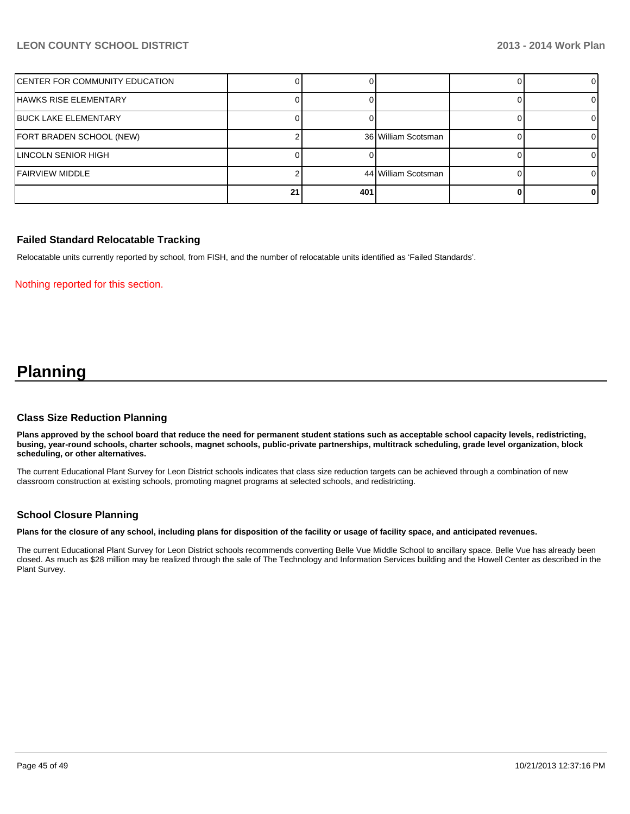| IFAIRVIEW MIDDLE               | 21 | 401 | 44 William Scotsman |  |
|--------------------------------|----|-----|---------------------|--|
| LINCOLN SENIOR HIGH            |    |     |                     |  |
| FORT BRADEN SCHOOL (NEW)       |    |     | 36 William Scotsman |  |
| <b>IBUCK LAKE ELEMENTARY</b>   |    |     |                     |  |
| HAWKS RISE ELEMENTARY          |    |     |                     |  |
| CENTER FOR COMMUNITY EDUCATION |    |     |                     |  |

#### **Failed Standard Relocatable Tracking**

Relocatable units currently reported by school, from FISH, and the number of relocatable units identified as 'Failed Standards'.

Nothing reported for this section.

## **Planning**

#### **Class Size Reduction Planning**

**Plans approved by the school board that reduce the need for permanent student stations such as acceptable school capacity levels, redistricting, busing, year-round schools, charter schools, magnet schools, public-private partnerships, multitrack scheduling, grade level organization, block scheduling, or other alternatives.**

The current Educational Plant Survey for Leon District schools indicates that class size reduction targets can be achieved through a combination of new classroom construction at existing schools, promoting magnet programs at selected schools, and redistricting.

#### **School Closure Planning**

**Plans for the closure of any school, including plans for disposition of the facility or usage of facility space, and anticipated revenues.**

The current Educational Plant Survey for Leon District schools recommends converting Belle Vue Middle School to ancillary space. Belle Vue has already been closed. As much as \$28 million may be realized through the sale of The Technology and Information Services building and the Howell Center as described in the Plant Survey.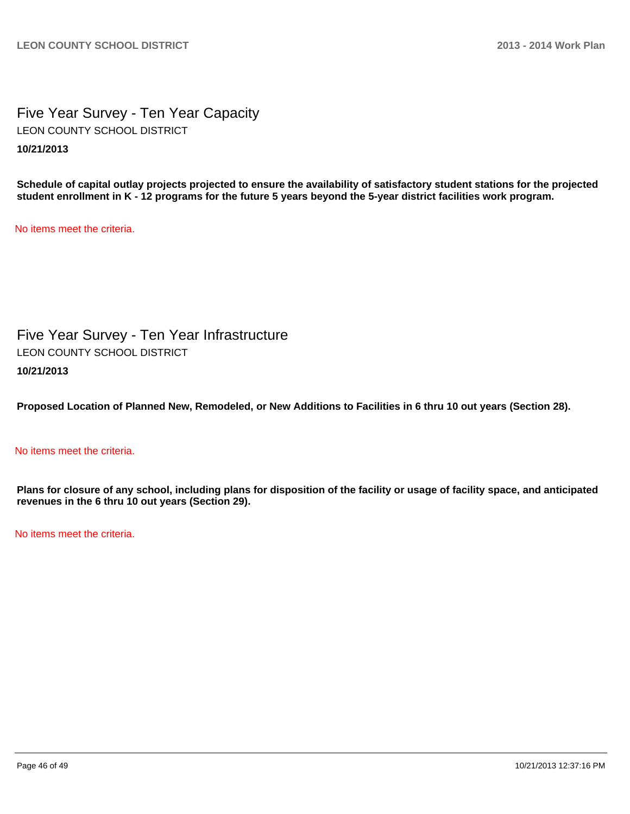Five Year Survey - Ten Year Capacity **10/21/2013** LEON COUNTY SCHOOL DISTRICT

**Schedule of capital outlay projects projected to ensure the availability of satisfactory student stations for the projected student enrollment in K - 12 programs for the future 5 years beyond the 5-year district facilities work program.**

No items meet the criteria.

Five Year Survey - Ten Year Infrastructure **10/21/2013** LEON COUNTY SCHOOL DISTRICT

**Proposed Location of Planned New, Remodeled, or New Additions to Facilities in 6 thru 10 out years (Section 28).**

#### No items meet the criteria.

**Plans for closure of any school, including plans for disposition of the facility or usage of facility space, and anticipated revenues in the 6 thru 10 out years (Section 29).**

No items meet the criteria.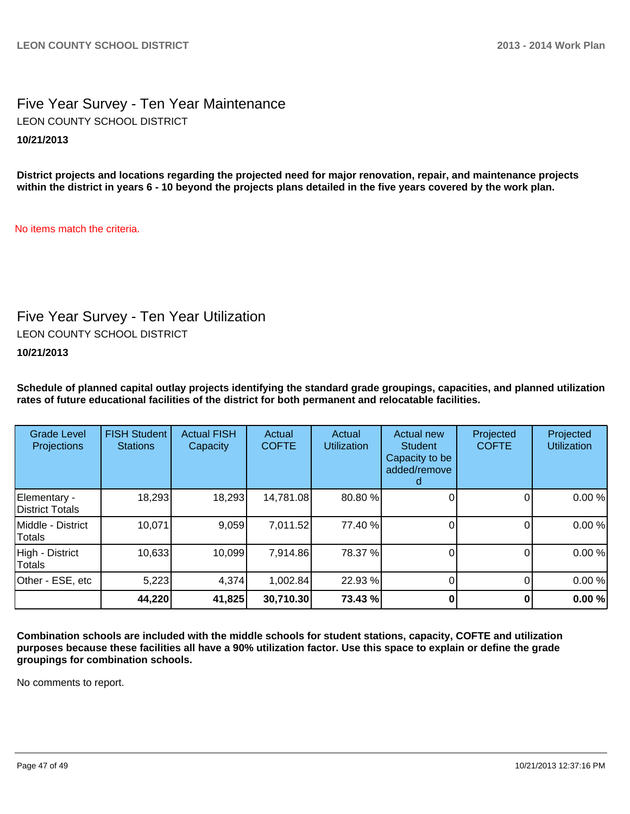## Five Year Survey - Ten Year Maintenance **10/21/2013** LEON COUNTY SCHOOL DISTRICT

**District projects and locations regarding the projected need for major renovation, repair, and maintenance projects within the district in years 6 - 10 beyond the projects plans detailed in the five years covered by the work plan.**

No items match the criteria.

## Five Year Survey - Ten Year Utilization

LEON COUNTY SCHOOL DISTRICT

**10/21/2013**

**Schedule of planned capital outlay projects identifying the standard grade groupings, capacities, and planned utilization rates of future educational facilities of the district for both permanent and relocatable facilities.**

| <b>Grade Level</b><br><b>Projections</b> | <b>FISH Student</b><br><b>Stations</b> | <b>Actual FISH</b><br>Capacity | Actual<br><b>COFTE</b> | Actual<br><b>Utilization</b> | Actual new<br><b>Student</b><br>Capacity to be<br>added/remove | Projected<br><b>COFTE</b> | Projected<br><b>Utilization</b> |
|------------------------------------------|----------------------------------------|--------------------------------|------------------------|------------------------------|----------------------------------------------------------------|---------------------------|---------------------------------|
| Elementary -<br>District Totals          | 18,293                                 | 18,293                         | 14,781.08              | 80.80 %                      |                                                                |                           | 0.00%                           |
| Middle - District<br>Totals              | 10,071                                 | 9,059                          | 7,011.52               | 77.40 %                      |                                                                |                           | 0.00%                           |
| High - District<br>Totals                | 10,633                                 | 10,099                         | 7,914.86               | 78.37 %                      |                                                                |                           | 0.00%                           |
| Other - ESE, etc                         | 5,223                                  | 4,374                          | 1,002.84               | 22.93 %                      |                                                                |                           | 0.00%                           |
|                                          | 44,220                                 | 41,825                         | 30,710.30              | 73.43 %                      |                                                                |                           | 0.00%                           |

**Combination schools are included with the middle schools for student stations, capacity, COFTE and utilization purposes because these facilities all have a 90% utilization factor. Use this space to explain or define the grade groupings for combination schools.**

No comments to report.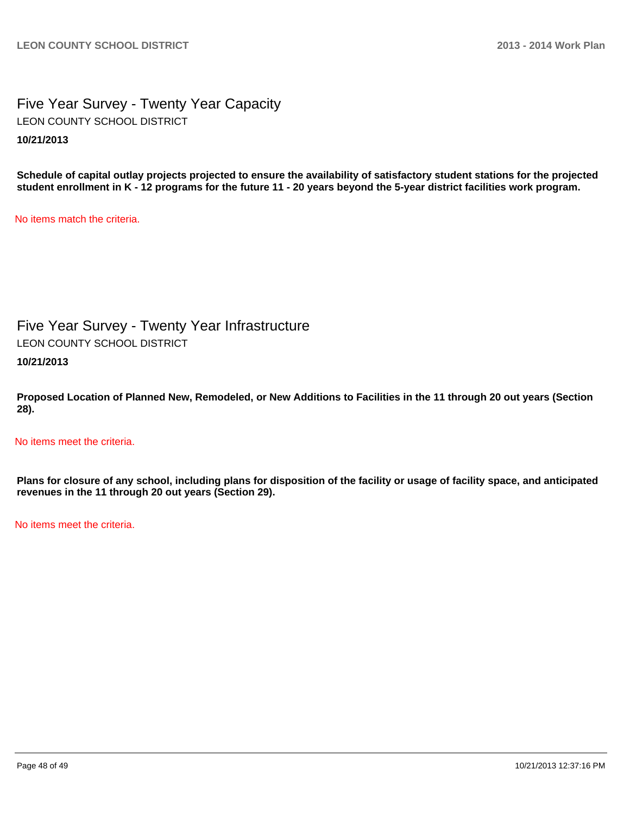## Five Year Survey - Twenty Year Capacity **10/21/2013** LEON COUNTY SCHOOL DISTRICT

**Schedule of capital outlay projects projected to ensure the availability of satisfactory student stations for the projected student enrollment in K - 12 programs for the future 11 - 20 years beyond the 5-year district facilities work program.**

No items match the criteria.

Five Year Survey - Twenty Year Infrastructure LEON COUNTY SCHOOL DISTRICT

**10/21/2013**

**Proposed Location of Planned New, Remodeled, or New Additions to Facilities in the 11 through 20 out years (Section 28).**

No items meet the criteria.

**Plans for closure of any school, including plans for disposition of the facility or usage of facility space, and anticipated revenues in the 11 through 20 out years (Section 29).**

No items meet the criteria.